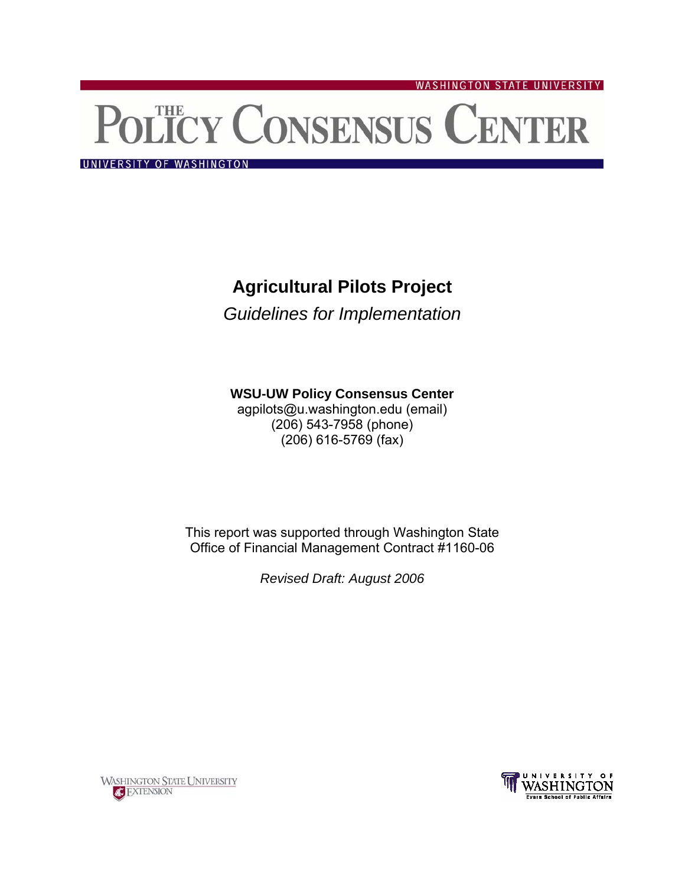# POLICY CONSENSUS CENTER

**WASHINGTON STATE UNIVERSITY** 

UNIVERSITY OF WASHINGTON

# **Agricultural Pilots Project**

*Guidelines for Implementation* 

## **WSU-UW Policy Consensus Center**

agpilots@u.washington.edu (email) (206) 543-7958 (phone) (206) 616-5769 (fax)

This report was supported through Washington State Office of Financial Management Contract #1160-06

*Revised Draft: August 2006* 



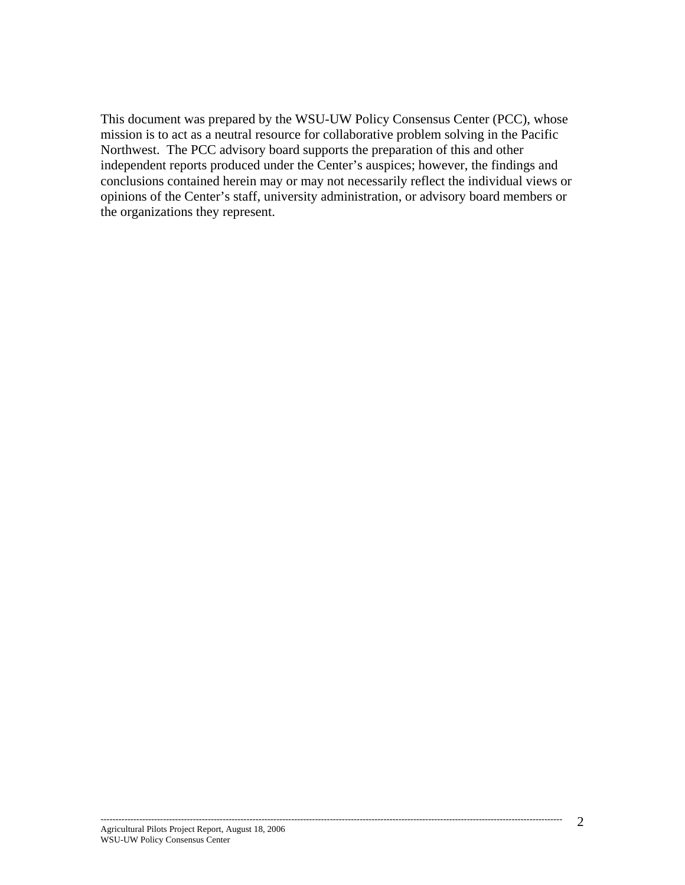This document was prepared by the WSU-UW Policy Consensus Center (PCC), whose mission is to act as a neutral resource for collaborative problem solving in the Pacific Northwest. The PCC advisory board supports the preparation of this and other independent reports produced under the Center's auspices; however, the findings and conclusions contained herein may or may not necessarily reflect the individual views or opinions of the Center's staff, university administration, or advisory board members or the organizations they represent.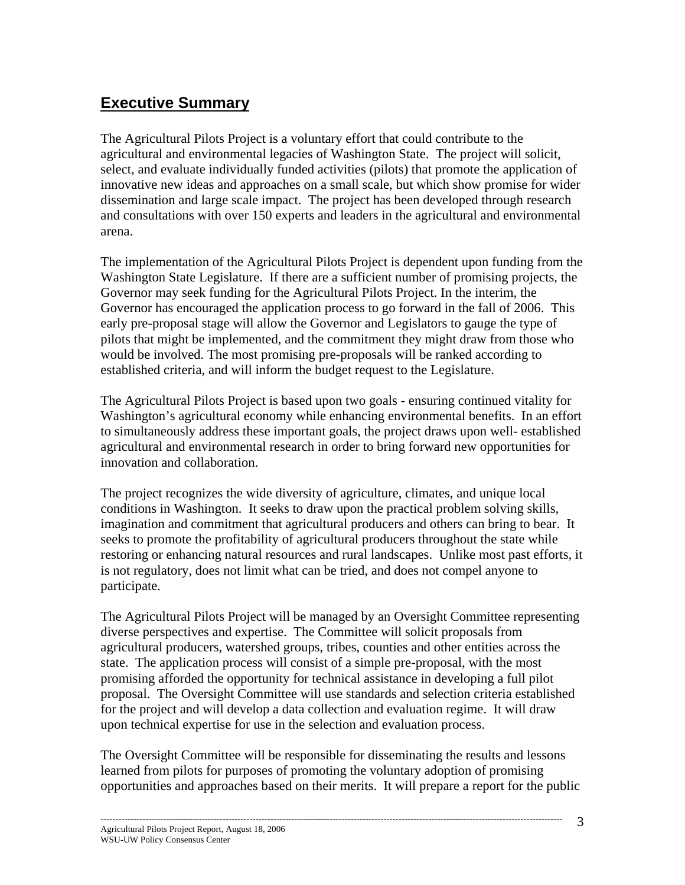# **Executive Summary**

The Agricultural Pilots Project is a voluntary effort that could contribute to the agricultural and environmental legacies of Washington State. The project will solicit, select, and evaluate individually funded activities (pilots) that promote the application of innovative new ideas and approaches on a small scale, but which show promise for wider dissemination and large scale impact. The project has been developed through research and consultations with over 150 experts and leaders in the agricultural and environmental arena.

The implementation of the Agricultural Pilots Project is dependent upon funding from the Washington State Legislature. If there are a sufficient number of promising projects, the Governor may seek funding for the Agricultural Pilots Project. In the interim, the Governor has encouraged the application process to go forward in the fall of 2006. This early pre-proposal stage will allow the Governor and Legislators to gauge the type of pilots that might be implemented, and the commitment they might draw from those who would be involved. The most promising pre-proposals will be ranked according to established criteria, and will inform the budget request to the Legislature.

The Agricultural Pilots Project is based upon two goals - ensuring continued vitality for Washington's agricultural economy while enhancing environmental benefits. In an effort to simultaneously address these important goals, the project draws upon well- established agricultural and environmental research in order to bring forward new opportunities for innovation and collaboration.

The project recognizes the wide diversity of agriculture, climates, and unique local conditions in Washington. It seeks to draw upon the practical problem solving skills, imagination and commitment that agricultural producers and others can bring to bear. It seeks to promote the profitability of agricultural producers throughout the state while restoring or enhancing natural resources and rural landscapes. Unlike most past efforts, it is not regulatory, does not limit what can be tried, and does not compel anyone to participate.

The Agricultural Pilots Project will be managed by an Oversight Committee representing diverse perspectives and expertise. The Committee will solicit proposals from agricultural producers, watershed groups, tribes, counties and other entities across the state. The application process will consist of a simple pre-proposal, with the most promising afforded the opportunity for technical assistance in developing a full pilot proposal. The Oversight Committee will use standards and selection criteria established for the project and will develop a data collection and evaluation regime. It will draw upon technical expertise for use in the selection and evaluation process.

The Oversight Committee will be responsible for disseminating the results and lessons learned from pilots for purposes of promoting the voluntary adoption of promising opportunities and approaches based on their merits. It will prepare a report for the public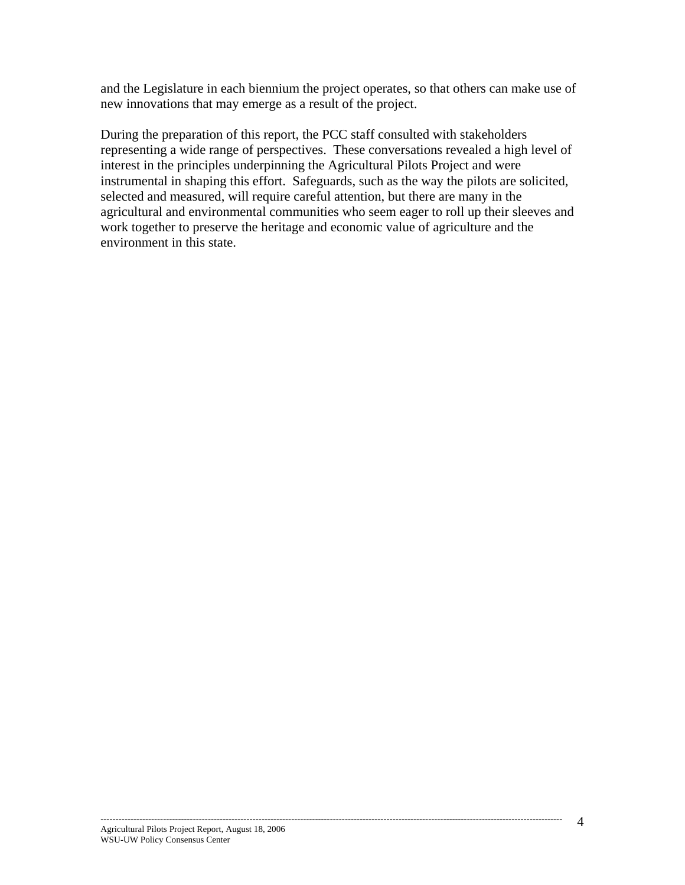and the Legislature in each biennium the project operates, so that others can make use of new innovations that may emerge as a result of the project.

During the preparation of this report, the PCC staff consulted with stakeholders representing a wide range of perspectives. These conversations revealed a high level of interest in the principles underpinning the Agricultural Pilots Project and were instrumental in shaping this effort. Safeguards, such as the way the pilots are solicited, selected and measured, will require careful attention, but there are many in the agricultural and environmental communities who seem eager to roll up their sleeves and work together to preserve the heritage and economic value of agriculture and the environment in this state.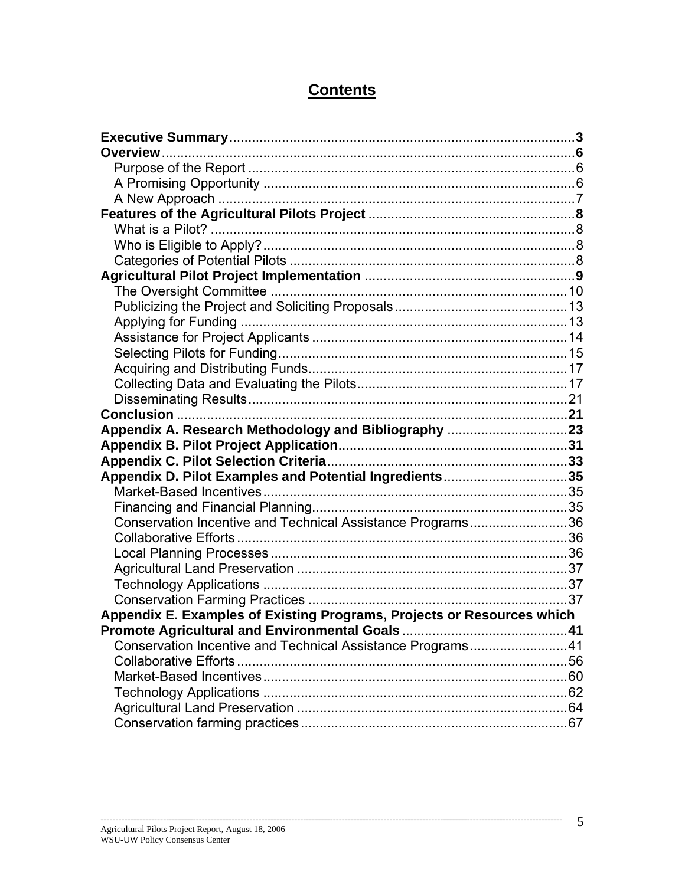# **Contents**

| Appendix D. Pilot Examples and Potential Ingredients35                 |  |
|------------------------------------------------------------------------|--|
|                                                                        |  |
|                                                                        |  |
| Conservation Incentive and Technical Assistance Programs36             |  |
|                                                                        |  |
|                                                                        |  |
|                                                                        |  |
|                                                                        |  |
|                                                                        |  |
| Appendix E. Examples of Existing Programs, Projects or Resources which |  |
|                                                                        |  |
| Conservation Incentive and Technical Assistance Programs41             |  |
|                                                                        |  |
|                                                                        |  |
|                                                                        |  |
|                                                                        |  |
|                                                                        |  |

-------------------------------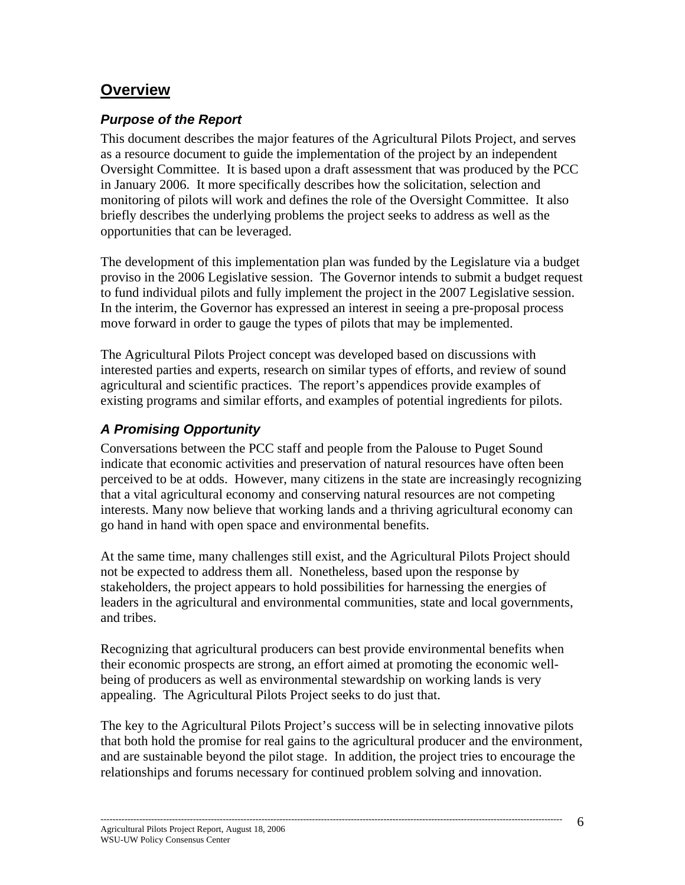# **Overview**

## *Purpose of the Report*

This document describes the major features of the Agricultural Pilots Project, and serves as a resource document to guide the implementation of the project by an independent Oversight Committee. It is based upon a draft assessment that was produced by the PCC in January 2006. It more specifically describes how the solicitation, selection and monitoring of pilots will work and defines the role of the Oversight Committee. It also briefly describes the underlying problems the project seeks to address as well as the opportunities that can be leveraged.

The development of this implementation plan was funded by the Legislature via a budget proviso in the 2006 Legislative session. The Governor intends to submit a budget request to fund individual pilots and fully implement the project in the 2007 Legislative session. In the interim, the Governor has expressed an interest in seeing a pre-proposal process move forward in order to gauge the types of pilots that may be implemented.

The Agricultural Pilots Project concept was developed based on discussions with interested parties and experts, research on similar types of efforts, and review of sound agricultural and scientific practices. The report's appendices provide examples of existing programs and similar efforts, and examples of potential ingredients for pilots.

# *A Promising Opportunity*

Conversations between the PCC staff and people from the Palouse to Puget Sound indicate that economic activities and preservation of natural resources have often been perceived to be at odds. However, many citizens in the state are increasingly recognizing that a vital agricultural economy and conserving natural resources are not competing interests. Many now believe that working lands and a thriving agricultural economy can go hand in hand with open space and environmental benefits.

At the same time, many challenges still exist, and the Agricultural Pilots Project should not be expected to address them all. Nonetheless, based upon the response by stakeholders, the project appears to hold possibilities for harnessing the energies of leaders in the agricultural and environmental communities, state and local governments, and tribes.

Recognizing that agricultural producers can best provide environmental benefits when their economic prospects are strong, an effort aimed at promoting the economic wellbeing of producers as well as environmental stewardship on working lands is very appealing. The Agricultural Pilots Project seeks to do just that.

The key to the Agricultural Pilots Project's success will be in selecting innovative pilots that both hold the promise for real gains to the agricultural producer and the environment, and are sustainable beyond the pilot stage. In addition, the project tries to encourage the relationships and forums necessary for continued problem solving and innovation.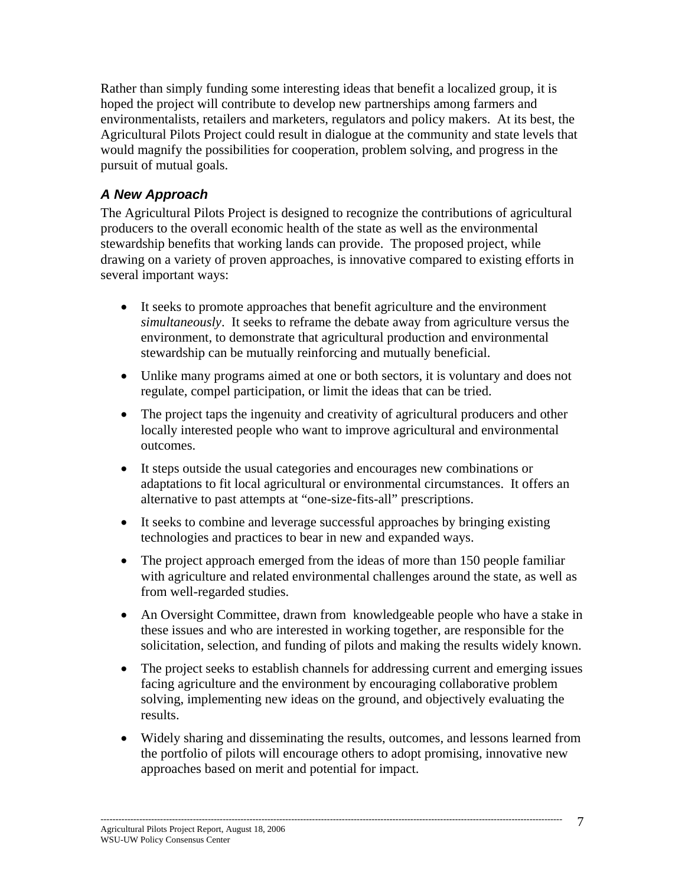Rather than simply funding some interesting ideas that benefit a localized group, it is hoped the project will contribute to develop new partnerships among farmers and environmentalists, retailers and marketers, regulators and policy makers. At its best, the Agricultural Pilots Project could result in dialogue at the community and state levels that would magnify the possibilities for cooperation, problem solving, and progress in the pursuit of mutual goals.

# *A New Approach*

The Agricultural Pilots Project is designed to recognize the contributions of agricultural producers to the overall economic health of the state as well as the environmental stewardship benefits that working lands can provide. The proposed project, while drawing on a variety of proven approaches, is innovative compared to existing efforts in several important ways:

- It seeks to promote approaches that benefit agriculture and the environment *simultaneously*. It seeks to reframe the debate away from agriculture versus the environment, to demonstrate that agricultural production and environmental stewardship can be mutually reinforcing and mutually beneficial.
- Unlike many programs aimed at one or both sectors, it is voluntary and does not regulate, compel participation, or limit the ideas that can be tried.
- The project taps the ingenuity and creativity of agricultural producers and other locally interested people who want to improve agricultural and environmental outcomes.
- It steps outside the usual categories and encourages new combinations or adaptations to fit local agricultural or environmental circumstances. It offers an alternative to past attempts at "one-size-fits-all" prescriptions.
- It seeks to combine and leverage successful approaches by bringing existing technologies and practices to bear in new and expanded ways.
- The project approach emerged from the ideas of more than 150 people familiar with agriculture and related environmental challenges around the state, as well as from well-regarded studies.
- An Oversight Committee, drawn from knowledgeable people who have a stake in these issues and who are interested in working together, are responsible for the solicitation, selection, and funding of pilots and making the results widely known.
- The project seeks to establish channels for addressing current and emerging issues facing agriculture and the environment by encouraging collaborative problem solving, implementing new ideas on the ground, and objectively evaluating the results.
- Widely sharing and disseminating the results, outcomes, and lessons learned from the portfolio of pilots will encourage others to adopt promising, innovative new approaches based on merit and potential for impact.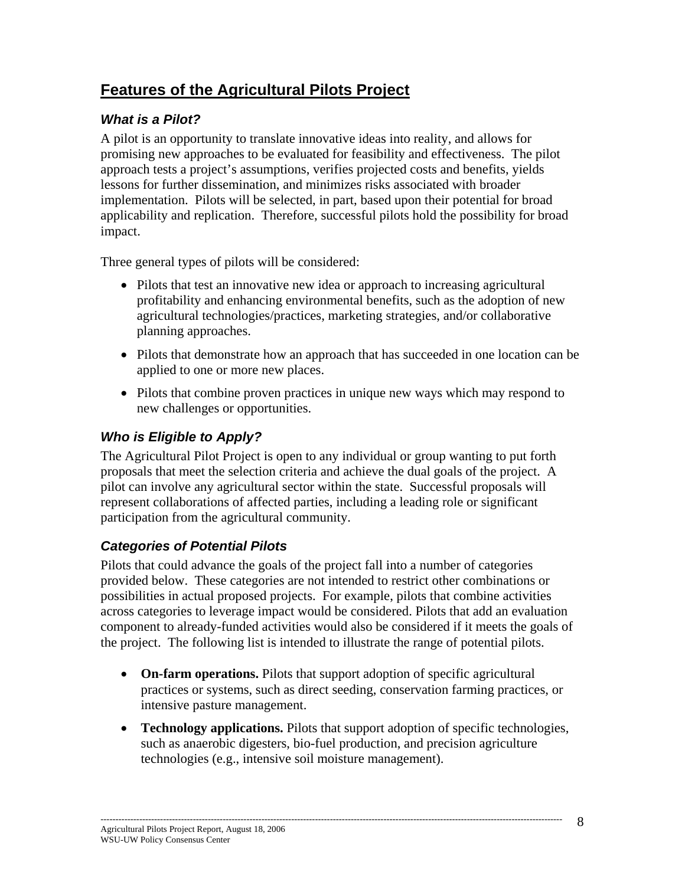# **Features of the Agricultural Pilots Project**

## *What is a Pilot?*

A pilot is an opportunity to translate innovative ideas into reality, and allows for promising new approaches to be evaluated for feasibility and effectiveness. The pilot approach tests a project's assumptions, verifies projected costs and benefits, yields lessons for further dissemination, and minimizes risks associated with broader implementation. Pilots will be selected, in part, based upon their potential for broad applicability and replication. Therefore, successful pilots hold the possibility for broad impact.

Three general types of pilots will be considered:

- Pilots that test an innovative new idea or approach to increasing agricultural profitability and enhancing environmental benefits, such as the adoption of new agricultural technologies/practices, marketing strategies, and/or collaborative planning approaches.
- Pilots that demonstrate how an approach that has succeeded in one location can be applied to one or more new places.
- Pilots that combine proven practices in unique new ways which may respond to new challenges or opportunities.

# *Who is Eligible to Apply?*

The Agricultural Pilot Project is open to any individual or group wanting to put forth proposals that meet the selection criteria and achieve the dual goals of the project. A pilot can involve any agricultural sector within the state. Successful proposals will represent collaborations of affected parties, including a leading role or significant participation from the agricultural community.

# *Categories of Potential Pilots*

Pilots that could advance the goals of the project fall into a number of categories provided below. These categories are not intended to restrict other combinations or possibilities in actual proposed projects. For example, pilots that combine activities across categories to leverage impact would be considered. Pilots that add an evaluation component to already-funded activities would also be considered if it meets the goals of the project. The following list is intended to illustrate the range of potential pilots.

- **On-farm operations.** Pilots that support adoption of specific agricultural practices or systems, such as direct seeding, conservation farming practices, or intensive pasture management.
- **Technology applications.** Pilots that support adoption of specific technologies, such as anaerobic digesters, bio-fuel production, and precision agriculture technologies (e.g., intensive soil moisture management).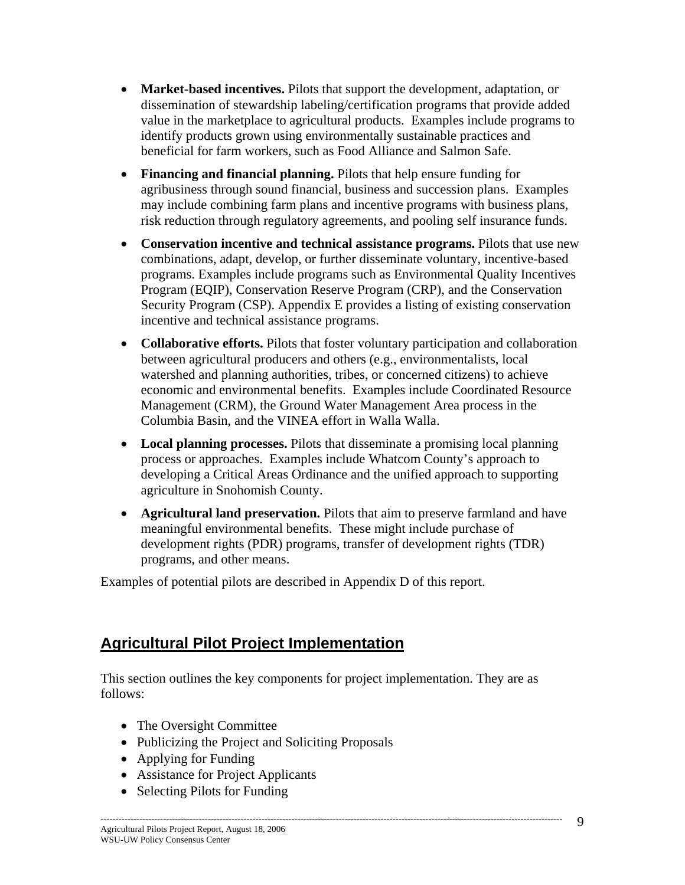- **Market-based incentives.** Pilots that support the development, adaptation, or dissemination of stewardship labeling/certification programs that provide added value in the marketplace to agricultural products. Examples include programs to identify products grown using environmentally sustainable practices and beneficial for farm workers, such as Food Alliance and Salmon Safe.
- **Financing and financial planning.** Pilots that help ensure funding for agribusiness through sound financial, business and succession plans. Examples may include combining farm plans and incentive programs with business plans, risk reduction through regulatory agreements, and pooling self insurance funds.
- **Conservation incentive and technical assistance programs.** Pilots that use new combinations, adapt, develop, or further disseminate voluntary, incentive-based programs. Examples include programs such as Environmental Quality Incentives Program (EQIP), Conservation Reserve Program (CRP), and the Conservation Security Program (CSP). Appendix E provides a listing of existing conservation incentive and technical assistance programs.
- **Collaborative efforts.** Pilots that foster voluntary participation and collaboration between agricultural producers and others (e.g., environmentalists, local watershed and planning authorities, tribes, or concerned citizens) to achieve economic and environmental benefits. Examples include Coordinated Resource Management (CRM), the Ground Water Management Area process in the Columbia Basin, and the VINEA effort in Walla Walla.
- **Local planning processes.** Pilots that disseminate a promising local planning process or approaches. Examples include Whatcom County's approach to developing a Critical Areas Ordinance and the unified approach to supporting agriculture in Snohomish County.
- **Agricultural land preservation.** Pilots that aim to preserve farmland and have meaningful environmental benefits. These might include purchase of development rights (PDR) programs, transfer of development rights (TDR) programs, and other means.

Examples of potential pilots are described in Appendix D of this report.

# **Agricultural Pilot Project Implementation**

This section outlines the key components for project implementation. They are as follows:

- The Oversight Committee
- Publicizing the Project and Soliciting Proposals
- Applying for Funding
- Assistance for Project Applicants
- Selecting Pilots for Funding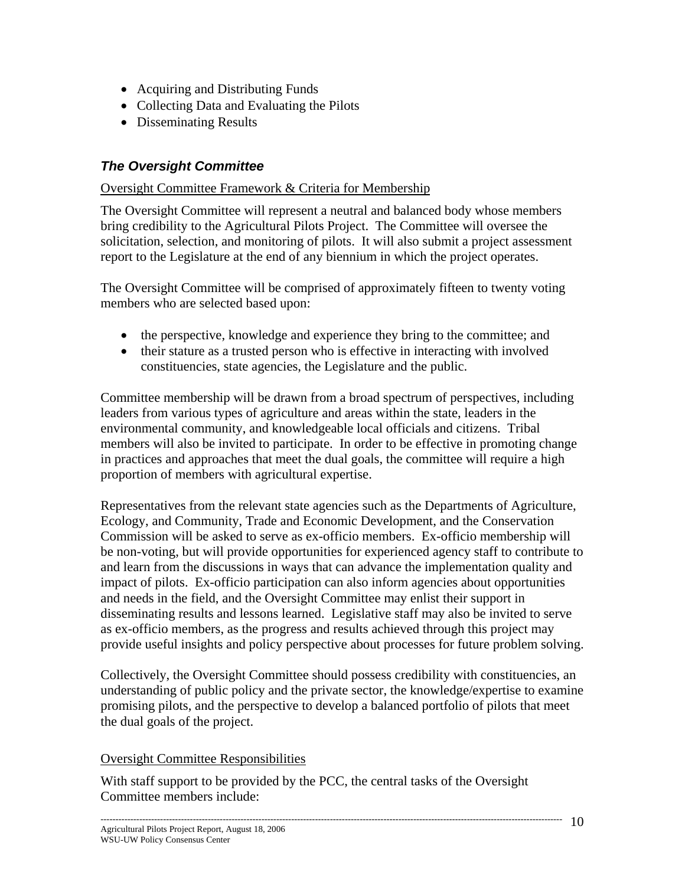- Acquiring and Distributing Funds
- Collecting Data and Evaluating the Pilots
- Disseminating Results

## *The Oversight Committee*

#### Oversight Committee Framework & Criteria for Membership

The Oversight Committee will represent a neutral and balanced body whose members bring credibility to the Agricultural Pilots Project. The Committee will oversee the solicitation, selection, and monitoring of pilots. It will also submit a project assessment report to the Legislature at the end of any biennium in which the project operates.

The Oversight Committee will be comprised of approximately fifteen to twenty voting members who are selected based upon:

- the perspective, knowledge and experience they bring to the committee; and
- their stature as a trusted person who is effective in interacting with involved constituencies, state agencies, the Legislature and the public.

Committee membership will be drawn from a broad spectrum of perspectives, including leaders from various types of agriculture and areas within the state, leaders in the environmental community, and knowledgeable local officials and citizens. Tribal members will also be invited to participate. In order to be effective in promoting change in practices and approaches that meet the dual goals, the committee will require a high proportion of members with agricultural expertise.

Representatives from the relevant state agencies such as the Departments of Agriculture, Ecology, and Community, Trade and Economic Development, and the Conservation Commission will be asked to serve as ex-officio members. Ex-officio membership will be non-voting, but will provide opportunities for experienced agency staff to contribute to and learn from the discussions in ways that can advance the implementation quality and impact of pilots. Ex-officio participation can also inform agencies about opportunities and needs in the field, and the Oversight Committee may enlist their support in disseminating results and lessons learned. Legislative staff may also be invited to serve as ex-officio members, as the progress and results achieved through this project may provide useful insights and policy perspective about processes for future problem solving.

Collectively, the Oversight Committee should possess credibility with constituencies, an understanding of public policy and the private sector, the knowledge/expertise to examine promising pilots, and the perspective to develop a balanced portfolio of pilots that meet the dual goals of the project.

#### Oversight Committee Responsibilities

With staff support to be provided by the PCC, the central tasks of the Oversight Committee members include: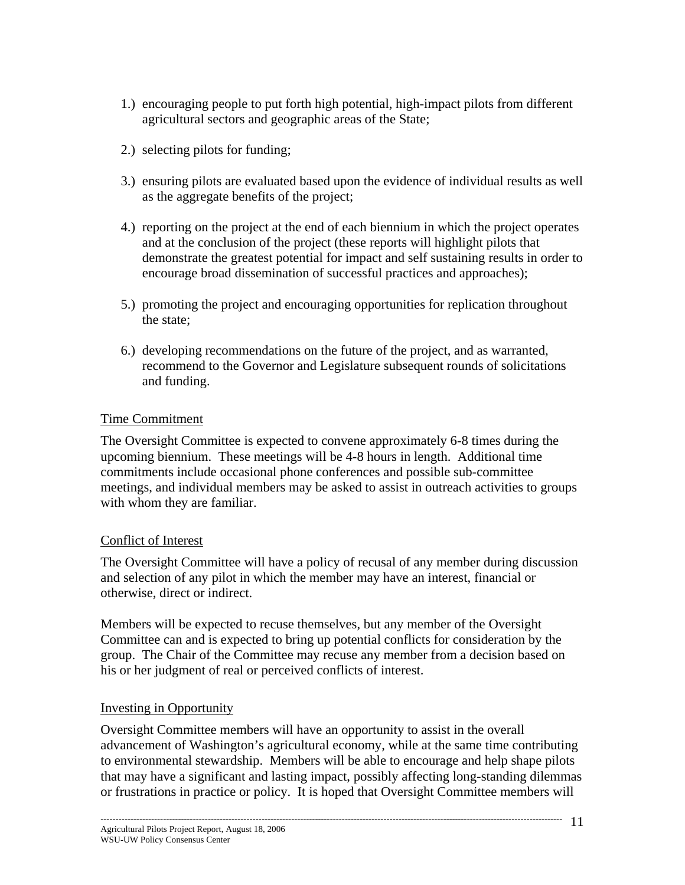- 1.) encouraging people to put forth high potential, high-impact pilots from different agricultural sectors and geographic areas of the State;
- 2.) selecting pilots for funding;
- 3.) ensuring pilots are evaluated based upon the evidence of individual results as well as the aggregate benefits of the project;
- 4.) reporting on the project at the end of each biennium in which the project operates and at the conclusion of the project (these reports will highlight pilots that demonstrate the greatest potential for impact and self sustaining results in order to encourage broad dissemination of successful practices and approaches);
- 5.) promoting the project and encouraging opportunities for replication throughout the state;
- 6.) developing recommendations on the future of the project, and as warranted, recommend to the Governor and Legislature subsequent rounds of solicitations and funding.

#### Time Commitment

The Oversight Committee is expected to convene approximately 6-8 times during the upcoming biennium. These meetings will be 4-8 hours in length. Additional time commitments include occasional phone conferences and possible sub-committee meetings, and individual members may be asked to assist in outreach activities to groups with whom they are familiar.

#### Conflict of Interest

The Oversight Committee will have a policy of recusal of any member during discussion and selection of any pilot in which the member may have an interest, financial or otherwise, direct or indirect.

Members will be expected to recuse themselves, but any member of the Oversight Committee can and is expected to bring up potential conflicts for consideration by the group. The Chair of the Committee may recuse any member from a decision based on his or her judgment of real or perceived conflicts of interest.

#### Investing in Opportunity

Oversight Committee members will have an opportunity to assist in the overall advancement of Washington's agricultural economy, while at the same time contributing to environmental stewardship. Members will be able to encourage and help shape pilots that may have a significant and lasting impact, possibly affecting long-standing dilemmas or frustrations in practice or policy. It is hoped that Oversight Committee members will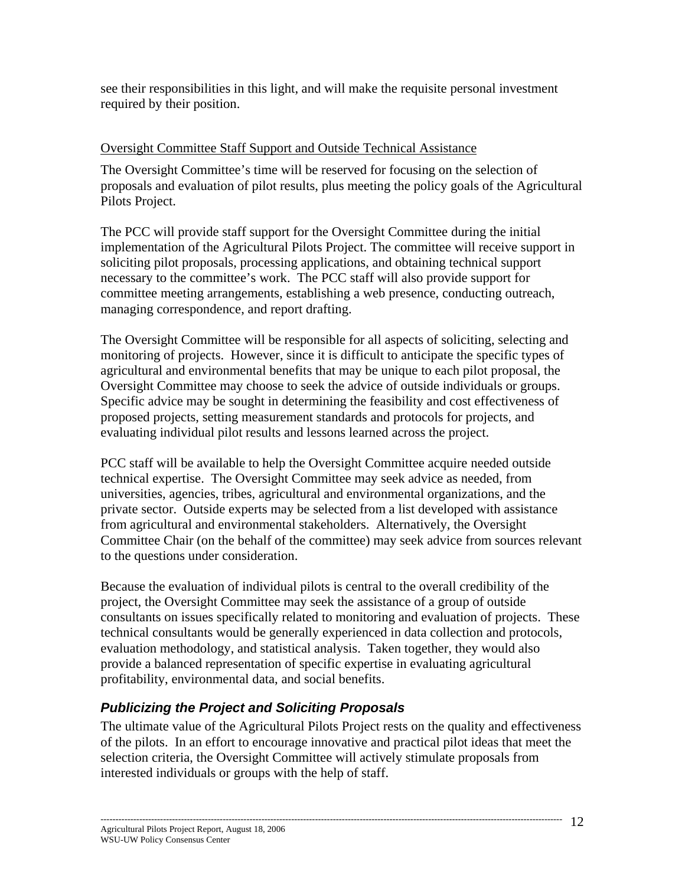see their responsibilities in this light, and will make the requisite personal investment required by their position.

#### Oversight Committee Staff Support and Outside Technical Assistance

The Oversight Committee's time will be reserved for focusing on the selection of proposals and evaluation of pilot results, plus meeting the policy goals of the Agricultural Pilots Project.

The PCC will provide staff support for the Oversight Committee during the initial implementation of the Agricultural Pilots Project. The committee will receive support in soliciting pilot proposals, processing applications, and obtaining technical support necessary to the committee's work. The PCC staff will also provide support for committee meeting arrangements, establishing a web presence, conducting outreach, managing correspondence, and report drafting.

The Oversight Committee will be responsible for all aspects of soliciting, selecting and monitoring of projects. However, since it is difficult to anticipate the specific types of agricultural and environmental benefits that may be unique to each pilot proposal, the Oversight Committee may choose to seek the advice of outside individuals or groups. Specific advice may be sought in determining the feasibility and cost effectiveness of proposed projects, setting measurement standards and protocols for projects, and evaluating individual pilot results and lessons learned across the project.

PCC staff will be available to help the Oversight Committee acquire needed outside technical expertise. The Oversight Committee may seek advice as needed, from universities, agencies, tribes, agricultural and environmental organizations, and the private sector. Outside experts may be selected from a list developed with assistance from agricultural and environmental stakeholders. Alternatively, the Oversight Committee Chair (on the behalf of the committee) may seek advice from sources relevant to the questions under consideration.

Because the evaluation of individual pilots is central to the overall credibility of the project, the Oversight Committee may seek the assistance of a group of outside consultants on issues specifically related to monitoring and evaluation of projects. These technical consultants would be generally experienced in data collection and protocols, evaluation methodology, and statistical analysis. Taken together, they would also provide a balanced representation of specific expertise in evaluating agricultural profitability, environmental data, and social benefits.

# *Publicizing the Project and Soliciting Proposals*

The ultimate value of the Agricultural Pilots Project rests on the quality and effectiveness of the pilots. In an effort to encourage innovative and practical pilot ideas that meet the selection criteria, the Oversight Committee will actively stimulate proposals from interested individuals or groups with the help of staff.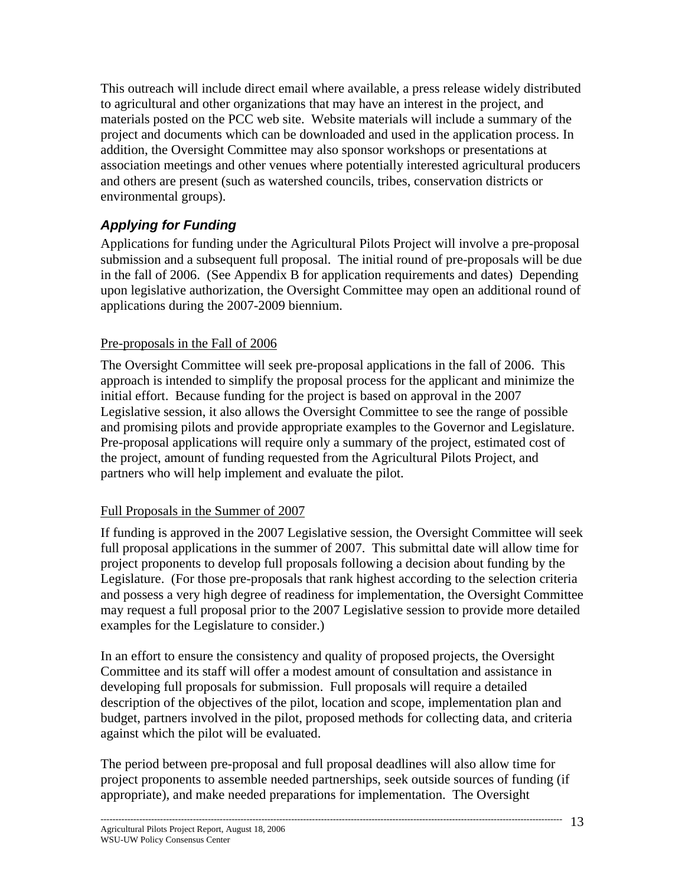This outreach will include direct email where available, a press release widely distributed to agricultural and other organizations that may have an interest in the project, and materials posted on the PCC web site. Website materials will include a summary of the project and documents which can be downloaded and used in the application process. In addition, the Oversight Committee may also sponsor workshops or presentations at association meetings and other venues where potentially interested agricultural producers and others are present (such as watershed councils, tribes, conservation districts or environmental groups).

# *Applying for Funding*

Applications for funding under the Agricultural Pilots Project will involve a pre-proposal submission and a subsequent full proposal. The initial round of pre-proposals will be due in the fall of 2006. (See Appendix B for application requirements and dates) Depending upon legislative authorization, the Oversight Committee may open an additional round of applications during the 2007-2009 biennium.

## Pre-proposals in the Fall of 2006

The Oversight Committee will seek pre-proposal applications in the fall of 2006. This approach is intended to simplify the proposal process for the applicant and minimize the initial effort. Because funding for the project is based on approval in the 2007 Legislative session, it also allows the Oversight Committee to see the range of possible and promising pilots and provide appropriate examples to the Governor and Legislature. Pre-proposal applications will require only a summary of the project, estimated cost of the project, amount of funding requested from the Agricultural Pilots Project, and partners who will help implement and evaluate the pilot.

#### Full Proposals in the Summer of 2007

If funding is approved in the 2007 Legislative session, the Oversight Committee will seek full proposal applications in the summer of 2007. This submittal date will allow time for project proponents to develop full proposals following a decision about funding by the Legislature. (For those pre-proposals that rank highest according to the selection criteria and possess a very high degree of readiness for implementation, the Oversight Committee may request a full proposal prior to the 2007 Legislative session to provide more detailed examples for the Legislature to consider.)

In an effort to ensure the consistency and quality of proposed projects, the Oversight Committee and its staff will offer a modest amount of consultation and assistance in developing full proposals for submission. Full proposals will require a detailed description of the objectives of the pilot, location and scope, implementation plan and budget, partners involved in the pilot, proposed methods for collecting data, and criteria against which the pilot will be evaluated.

The period between pre-proposal and full proposal deadlines will also allow time for project proponents to assemble needed partnerships, seek outside sources of funding (if appropriate), and make needed preparations for implementation. The Oversight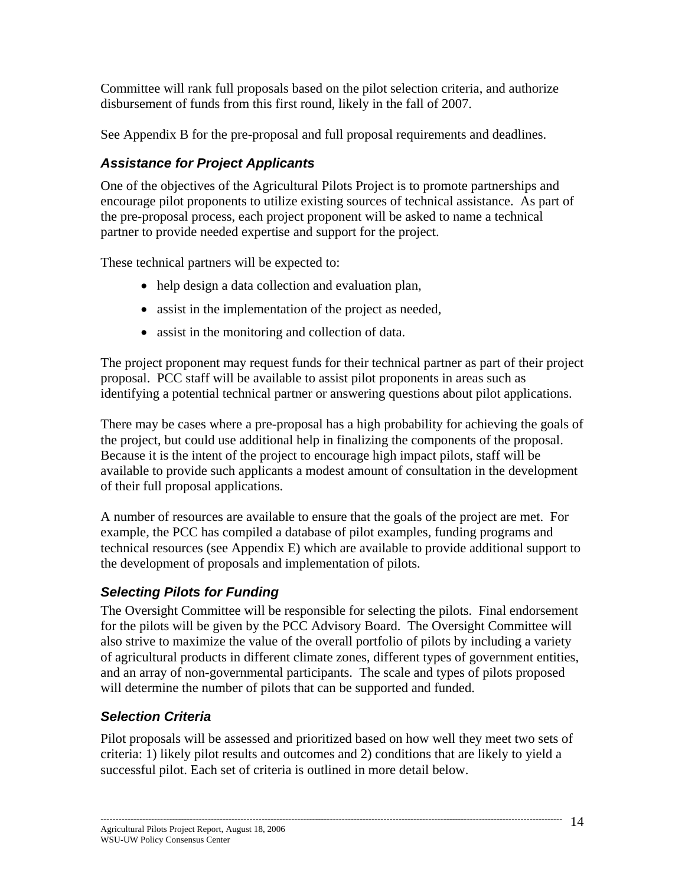Committee will rank full proposals based on the pilot selection criteria, and authorize disbursement of funds from this first round, likely in the fall of 2007.

See Appendix B for the pre-proposal and full proposal requirements and deadlines.

# *Assistance for Project Applicants*

One of the objectives of the Agricultural Pilots Project is to promote partnerships and encourage pilot proponents to utilize existing sources of technical assistance. As part of the pre-proposal process, each project proponent will be asked to name a technical partner to provide needed expertise and support for the project.

These technical partners will be expected to:

- help design a data collection and evaluation plan,
- assist in the implementation of the project as needed,
- assist in the monitoring and collection of data.

The project proponent may request funds for their technical partner as part of their project proposal. PCC staff will be available to assist pilot proponents in areas such as identifying a potential technical partner or answering questions about pilot applications.

There may be cases where a pre-proposal has a high probability for achieving the goals of the project, but could use additional help in finalizing the components of the proposal. Because it is the intent of the project to encourage high impact pilots, staff will be available to provide such applicants a modest amount of consultation in the development of their full proposal applications.

A number of resources are available to ensure that the goals of the project are met. For example, the PCC has compiled a database of pilot examples, funding programs and technical resources (see Appendix E) which are available to provide additional support to the development of proposals and implementation of pilots.

# *Selecting Pilots for Funding*

The Oversight Committee will be responsible for selecting the pilots. Final endorsement for the pilots will be given by the PCC Advisory Board. The Oversight Committee will also strive to maximize the value of the overall portfolio of pilots by including a variety of agricultural products in different climate zones, different types of government entities, and an array of non-governmental participants. The scale and types of pilots proposed will determine the number of pilots that can be supported and funded.

# *Selection Criteria*

Pilot proposals will be assessed and prioritized based on how well they meet two sets of criteria: 1) likely pilot results and outcomes and 2) conditions that are likely to yield a successful pilot. Each set of criteria is outlined in more detail below.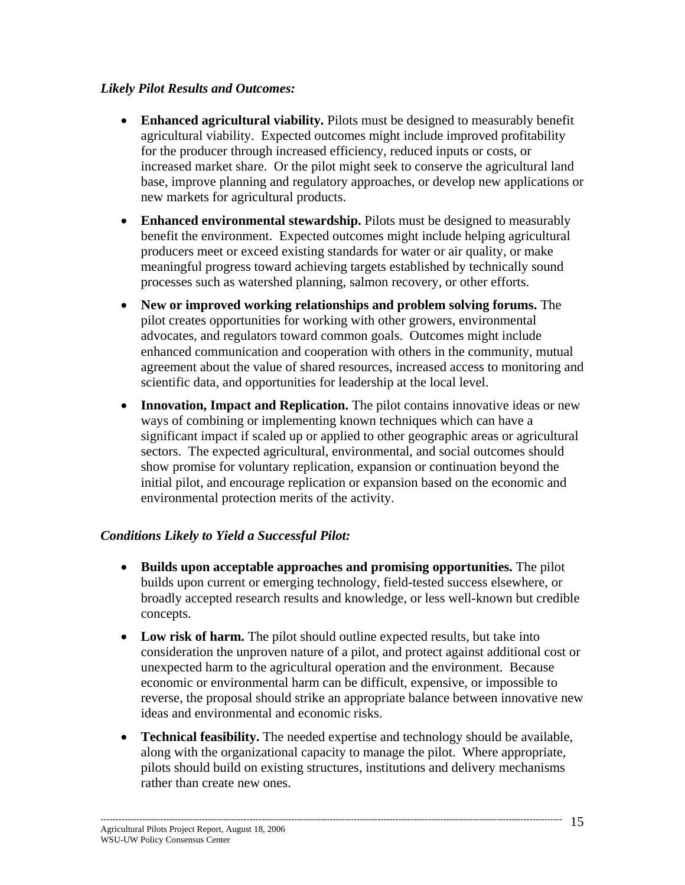#### *Likely Pilot Results and Outcomes:*

- **Enhanced agricultural viability.** Pilots must be designed to measurably benefit agricultural viability. Expected outcomes might include improved profitability for the producer through increased efficiency, reduced inputs or costs, or increased market share. Or the pilot might seek to conserve the agricultural land base, improve planning and regulatory approaches, or develop new applications or new markets for agricultural products.
- **Enhanced environmental stewardship.** Pilots must be designed to measurably benefit the environment. Expected outcomes might include helping agricultural producers meet or exceed existing standards for water or air quality, or make meaningful progress toward achieving targets established by technically sound processes such as watershed planning, salmon recovery, or other efforts.
- **New or improved working relationships and problem solving forums.** The pilot creates opportunities for working with other growers, environmental advocates, and regulators toward common goals. Outcomes might include enhanced communication and cooperation with others in the community, mutual agreement about the value of shared resources, increased access to monitoring and scientific data, and opportunities for leadership at the local level.
- **Innovation, Impact and Replication.** The pilot contains innovative ideas or new ways of combining or implementing known techniques which can have a significant impact if scaled up or applied to other geographic areas or agricultural sectors. The expected agricultural, environmental, and social outcomes should show promise for voluntary replication, expansion or continuation beyond the initial pilot, and encourage replication or expansion based on the economic and environmental protection merits of the activity.

#### *Conditions Likely to Yield a Successful Pilot:*

- **Builds upon acceptable approaches and promising opportunities.** The pilot builds upon current or emerging technology, field-tested success elsewhere, or broadly accepted research results and knowledge, or less well-known but credible concepts.
- Low risk of harm. The pilot should outline expected results, but take into consideration the unproven nature of a pilot, and protect against additional cost or unexpected harm to the agricultural operation and the environment. Because economic or environmental harm can be difficult, expensive, or impossible to reverse, the proposal should strike an appropriate balance between innovative new ideas and environmental and economic risks.
- **Technical feasibility.** The needed expertise and technology should be available, along with the organizational capacity to manage the pilot. Where appropriate, pilots should build on existing structures, institutions and delivery mechanisms rather than create new ones.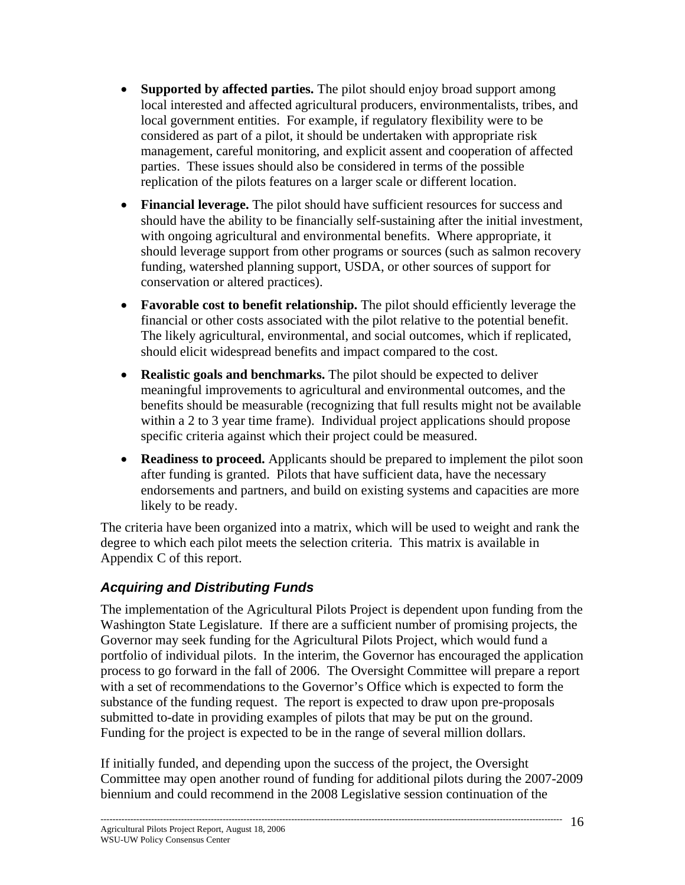- **Supported by affected parties.** The pilot should enjoy broad support among local interested and affected agricultural producers, environmentalists, tribes, and local government entities. For example, if regulatory flexibility were to be considered as part of a pilot, it should be undertaken with appropriate risk management, careful monitoring, and explicit assent and cooperation of affected parties. These issues should also be considered in terms of the possible replication of the pilots features on a larger scale or different location.
- **Financial leverage.** The pilot should have sufficient resources for success and should have the ability to be financially self-sustaining after the initial investment, with ongoing agricultural and environmental benefits. Where appropriate, it should leverage support from other programs or sources (such as salmon recovery funding, watershed planning support, USDA, or other sources of support for conservation or altered practices).
- **Favorable cost to benefit relationship.** The pilot should efficiently leverage the financial or other costs associated with the pilot relative to the potential benefit. The likely agricultural, environmental, and social outcomes, which if replicated, should elicit widespread benefits and impact compared to the cost.
- **Realistic goals and benchmarks.** The pilot should be expected to deliver meaningful improvements to agricultural and environmental outcomes, and the benefits should be measurable (recognizing that full results might not be available within a 2 to 3 year time frame). Individual project applications should propose specific criteria against which their project could be measured.
- **Readiness to proceed.** Applicants should be prepared to implement the pilot soon after funding is granted. Pilots that have sufficient data, have the necessary endorsements and partners, and build on existing systems and capacities are more likely to be ready.

The criteria have been organized into a matrix, which will be used to weight and rank the degree to which each pilot meets the selection criteria. This matrix is available in Appendix C of this report.

# *Acquiring and Distributing Funds*

The implementation of the Agricultural Pilots Project is dependent upon funding from the Washington State Legislature. If there are a sufficient number of promising projects, the Governor may seek funding for the Agricultural Pilots Project, which would fund a portfolio of individual pilots. In the interim, the Governor has encouraged the application process to go forward in the fall of 2006. The Oversight Committee will prepare a report with a set of recommendations to the Governor's Office which is expected to form the substance of the funding request. The report is expected to draw upon pre-proposals submitted to-date in providing examples of pilots that may be put on the ground. Funding for the project is expected to be in the range of several million dollars.

If initially funded, and depending upon the success of the project, the Oversight Committee may open another round of funding for additional pilots during the 2007-2009 biennium and could recommend in the 2008 Legislative session continuation of the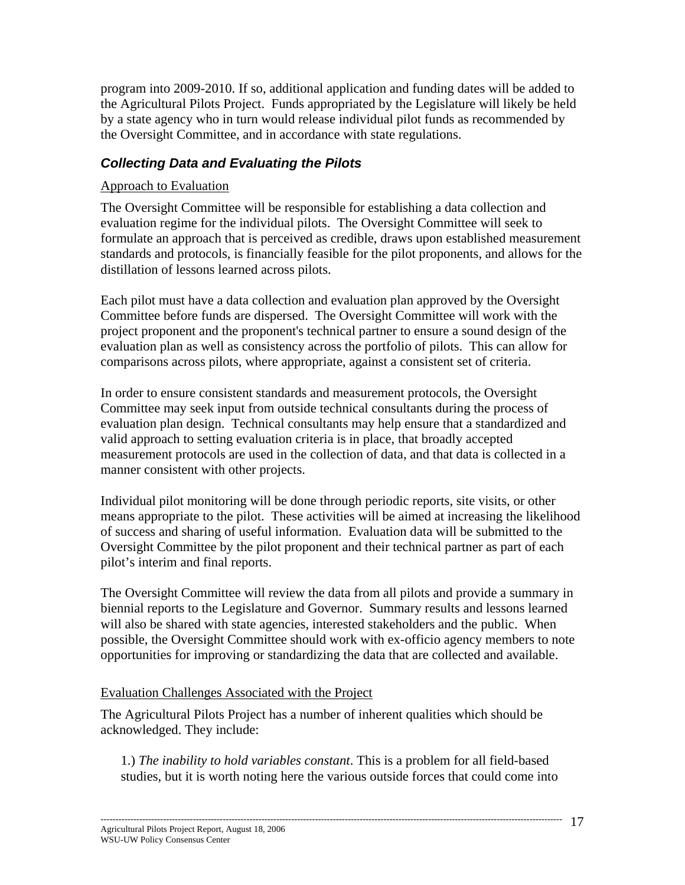program into 2009-2010. If so, additional application and funding dates will be added to the Agricultural Pilots Project. Funds appropriated by the Legislature will likely be held by a state agency who in turn would release individual pilot funds as recommended by the Oversight Committee, and in accordance with state regulations.

## *Collecting Data and Evaluating the Pilots*

#### Approach to Evaluation

The Oversight Committee will be responsible for establishing a data collection and evaluation regime for the individual pilots. The Oversight Committee will seek to formulate an approach that is perceived as credible, draws upon established measurement standards and protocols, is financially feasible for the pilot proponents, and allows for the distillation of lessons learned across pilots.

Each pilot must have a data collection and evaluation plan approved by the Oversight Committee before funds are dispersed. The Oversight Committee will work with the project proponent and the proponent's technical partner to ensure a sound design of the evaluation plan as well as consistency across the portfolio of pilots. This can allow for comparisons across pilots, where appropriate, against a consistent set of criteria.

In order to ensure consistent standards and measurement protocols, the Oversight Committee may seek input from outside technical consultants during the process of evaluation plan design. Technical consultants may help ensure that a standardized and valid approach to setting evaluation criteria is in place, that broadly accepted measurement protocols are used in the collection of data, and that data is collected in a manner consistent with other projects.

Individual pilot monitoring will be done through periodic reports, site visits, or other means appropriate to the pilot. These activities will be aimed at increasing the likelihood of success and sharing of useful information. Evaluation data will be submitted to the Oversight Committee by the pilot proponent and their technical partner as part of each pilot's interim and final reports.

The Oversight Committee will review the data from all pilots and provide a summary in biennial reports to the Legislature and Governor. Summary results and lessons learned will also be shared with state agencies, interested stakeholders and the public. When possible, the Oversight Committee should work with ex-officio agency members to note opportunities for improving or standardizing the data that are collected and available.

#### Evaluation Challenges Associated with the Project

The Agricultural Pilots Project has a number of inherent qualities which should be acknowledged. They include:

1.) *The inability to hold variables constant*. This is a problem for all field-based studies, but it is worth noting here the various outside forces that could come into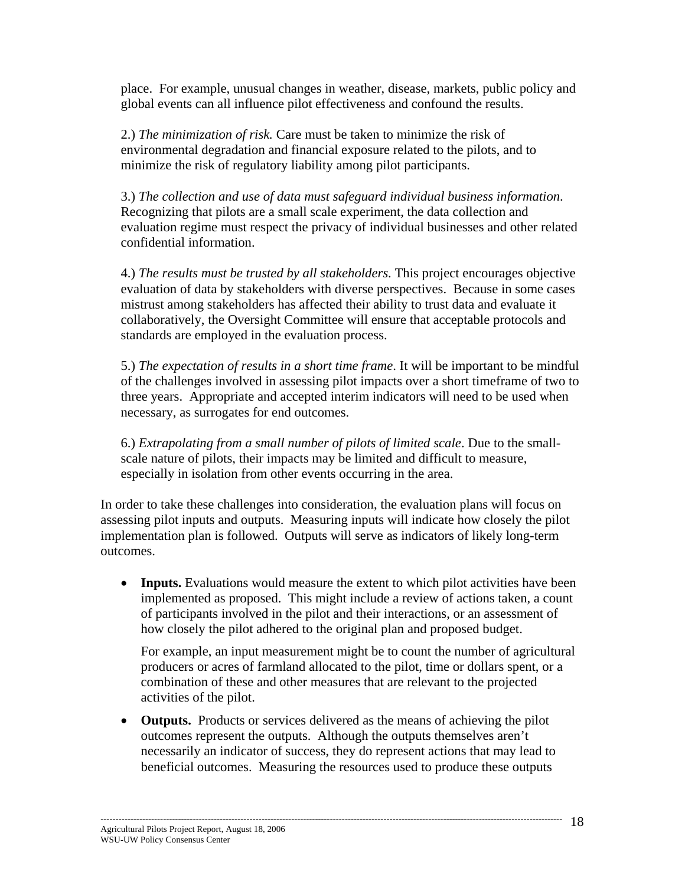place. For example, unusual changes in weather, disease, markets, public policy and global events can all influence pilot effectiveness and confound the results.

2.) *The minimization of risk.* Care must be taken to minimize the risk of environmental degradation and financial exposure related to the pilots, and to minimize the risk of regulatory liability among pilot participants.

3.) *The collection and use of data must safeguard individual business information*. Recognizing that pilots are a small scale experiment, the data collection and evaluation regime must respect the privacy of individual businesses and other related confidential information.

4.) *The results must be trusted by all stakeholders*. This project encourages objective evaluation of data by stakeholders with diverse perspectives. Because in some cases mistrust among stakeholders has affected their ability to trust data and evaluate it collaboratively, the Oversight Committee will ensure that acceptable protocols and standards are employed in the evaluation process.

5.) *The expectation of results in a short time frame*. It will be important to be mindful of the challenges involved in assessing pilot impacts over a short timeframe of two to three years. Appropriate and accepted interim indicators will need to be used when necessary, as surrogates for end outcomes.

6.) *Extrapolating from a small number of pilots of limited scale*. Due to the smallscale nature of pilots, their impacts may be limited and difficult to measure, especially in isolation from other events occurring in the area.

In order to take these challenges into consideration, the evaluation plans will focus on assessing pilot inputs and outputs. Measuring inputs will indicate how closely the pilot implementation plan is followed. Outputs will serve as indicators of likely long-term outcomes.

• **Inputs.** Evaluations would measure the extent to which pilot activities have been implemented as proposed. This might include a review of actions taken, a count of participants involved in the pilot and their interactions, or an assessment of how closely the pilot adhered to the original plan and proposed budget.

For example, an input measurement might be to count the number of agricultural producers or acres of farmland allocated to the pilot, time or dollars spent, or a combination of these and other measures that are relevant to the projected activities of the pilot.

• **Outputs.** Products or services delivered as the means of achieving the pilot outcomes represent the outputs. Although the outputs themselves aren't necessarily an indicator of success, they do represent actions that may lead to beneficial outcomes. Measuring the resources used to produce these outputs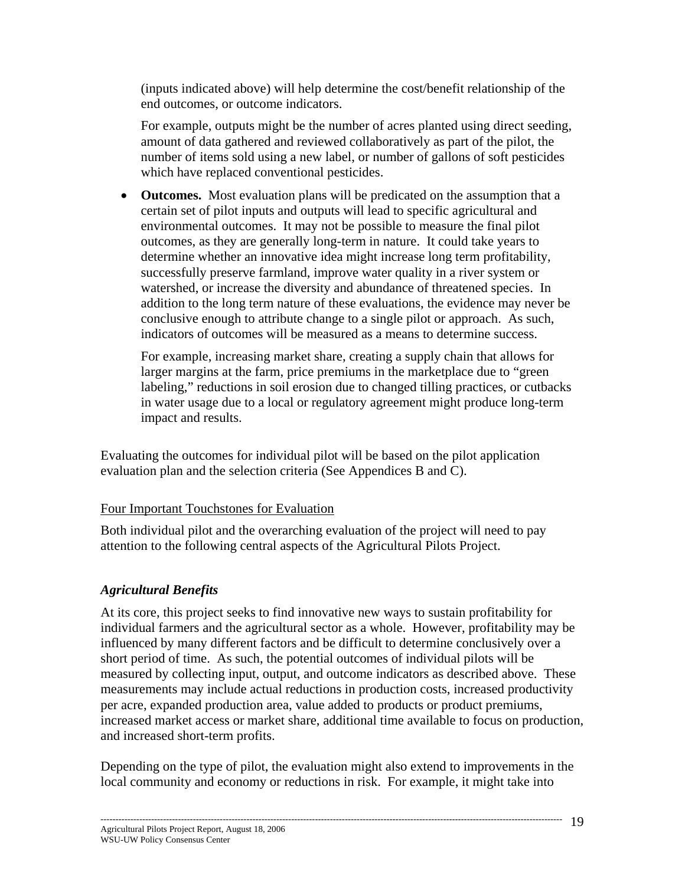(inputs indicated above) will help determine the cost/benefit relationship of the end outcomes, or outcome indicators.

For example, outputs might be the number of acres planted using direct seeding, amount of data gathered and reviewed collaboratively as part of the pilot, the number of items sold using a new label, or number of gallons of soft pesticides which have replaced conventional pesticides.

• **Outcomes.** Most evaluation plans will be predicated on the assumption that a certain set of pilot inputs and outputs will lead to specific agricultural and environmental outcomes. It may not be possible to measure the final pilot outcomes, as they are generally long-term in nature. It could take years to determine whether an innovative idea might increase long term profitability, successfully preserve farmland, improve water quality in a river system or watershed, or increase the diversity and abundance of threatened species. In addition to the long term nature of these evaluations, the evidence may never be conclusive enough to attribute change to a single pilot or approach. As such, indicators of outcomes will be measured as a means to determine success.

For example, increasing market share, creating a supply chain that allows for larger margins at the farm, price premiums in the marketplace due to "green labeling," reductions in soil erosion due to changed tilling practices, or cutbacks in water usage due to a local or regulatory agreement might produce long-term impact and results.

Evaluating the outcomes for individual pilot will be based on the pilot application evaluation plan and the selection criteria (See Appendices B and C).

#### Four Important Touchstones for Evaluation

Both individual pilot and the overarching evaluation of the project will need to pay attention to the following central aspects of the Agricultural Pilots Project.

#### *Agricultural Benefits*

At its core, this project seeks to find innovative new ways to sustain profitability for individual farmers and the agricultural sector as a whole. However, profitability may be influenced by many different factors and be difficult to determine conclusively over a short period of time. As such, the potential outcomes of individual pilots will be measured by collecting input, output, and outcome indicators as described above. These measurements may include actual reductions in production costs, increased productivity per acre, expanded production area, value added to products or product premiums, increased market access or market share, additional time available to focus on production, and increased short-term profits.

Depending on the type of pilot, the evaluation might also extend to improvements in the local community and economy or reductions in risk. For example, it might take into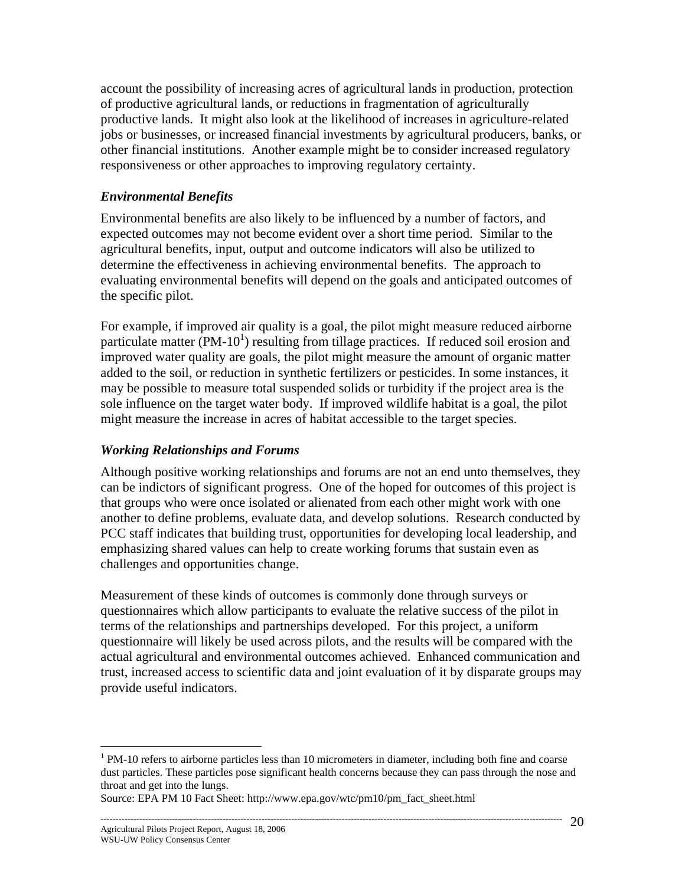account the possibility of increasing acres of agricultural lands in production, protection of productive agricultural lands, or reductions in fragmentation of agriculturally productive lands. It might also look at the likelihood of increases in agriculture-related jobs or businesses, or increased financial investments by agricultural producers, banks, or other financial institutions. Another example might be to consider increased regulatory responsiveness or other approaches to improving regulatory certainty.

#### *Environmental Benefits*

Environmental benefits are also likely to be influenced by a number of factors, and expected outcomes may not become evident over a short time period. Similar to the agricultural benefits, input, output and outcome indicators will also be utilized to determine the effectiveness in achieving environmental benefits. The approach to evaluating environmental benefits will depend on the goals and anticipated outcomes of the specific pilot.

For example, if improved air quality is a goal, the pilot might measure reduced airborne particulate matter (PM-10<sup>1</sup>) resulting from tillage practices. If reduced soil erosion and improved water quality are goals, the pilot might measure the amount of organic matter added to the soil, or reduction in synthetic fertilizers or pesticides. In some instances, it may be possible to measure total suspended solids or turbidity if the project area is the sole influence on the target water body. If improved wildlife habitat is a goal, the pilot might measure the increase in acres of habitat accessible to the target species.

#### *Working Relationships and Forums*

Although positive working relationships and forums are not an end unto themselves, they can be indictors of significant progress. One of the hoped for outcomes of this project is that groups who were once isolated or alienated from each other might work with one another to define problems, evaluate data, and develop solutions. Research conducted by PCC staff indicates that building trust, opportunities for developing local leadership, and emphasizing shared values can help to create working forums that sustain even as challenges and opportunities change.

Measurement of these kinds of outcomes is commonly done through surveys or questionnaires which allow participants to evaluate the relative success of the pilot in terms of the relationships and partnerships developed. For this project, a uniform questionnaire will likely be used across pilots, and the results will be compared with the actual agricultural and environmental outcomes achieved. Enhanced communication and trust, increased access to scientific data and joint evaluation of it by disparate groups may provide useful indicators.

 $\overline{a}$ 

 $1$  PM-10 refers to airborne particles less than 10 micrometers in diameter, including both fine and coarse dust particles. These particles pose significant health concerns because they can pass through the nose and throat and get into the lungs.

Source: EPA PM 10 Fact Sheet: http://www.epa.gov/wtc/pm10/pm\_fact\_sheet.html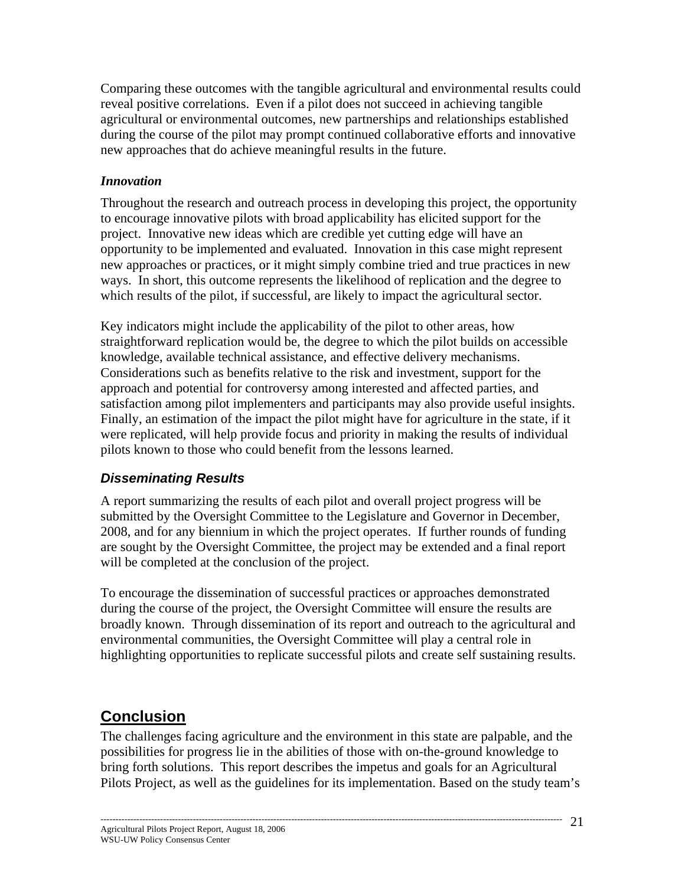Comparing these outcomes with the tangible agricultural and environmental results could reveal positive correlations. Even if a pilot does not succeed in achieving tangible agricultural or environmental outcomes, new partnerships and relationships established during the course of the pilot may prompt continued collaborative efforts and innovative new approaches that do achieve meaningful results in the future.

#### *Innovation*

Throughout the research and outreach process in developing this project, the opportunity to encourage innovative pilots with broad applicability has elicited support for the project. Innovative new ideas which are credible yet cutting edge will have an opportunity to be implemented and evaluated. Innovation in this case might represent new approaches or practices, or it might simply combine tried and true practices in new ways. In short, this outcome represents the likelihood of replication and the degree to which results of the pilot, if successful, are likely to impact the agricultural sector.

Key indicators might include the applicability of the pilot to other areas, how straightforward replication would be, the degree to which the pilot builds on accessible knowledge, available technical assistance, and effective delivery mechanisms. Considerations such as benefits relative to the risk and investment, support for the approach and potential for controversy among interested and affected parties, and satisfaction among pilot implementers and participants may also provide useful insights. Finally, an estimation of the impact the pilot might have for agriculture in the state, if it were replicated, will help provide focus and priority in making the results of individual pilots known to those who could benefit from the lessons learned.

# *Disseminating Results*

A report summarizing the results of each pilot and overall project progress will be submitted by the Oversight Committee to the Legislature and Governor in December, 2008, and for any biennium in which the project operates. If further rounds of funding are sought by the Oversight Committee, the project may be extended and a final report will be completed at the conclusion of the project.

To encourage the dissemination of successful practices or approaches demonstrated during the course of the project, the Oversight Committee will ensure the results are broadly known. Through dissemination of its report and outreach to the agricultural and environmental communities, the Oversight Committee will play a central role in highlighting opportunities to replicate successful pilots and create self sustaining results.

# **Conclusion**

The challenges facing agriculture and the environment in this state are palpable, and the possibilities for progress lie in the abilities of those with on-the-ground knowledge to bring forth solutions. This report describes the impetus and goals for an Agricultural Pilots Project, as well as the guidelines for its implementation. Based on the study team's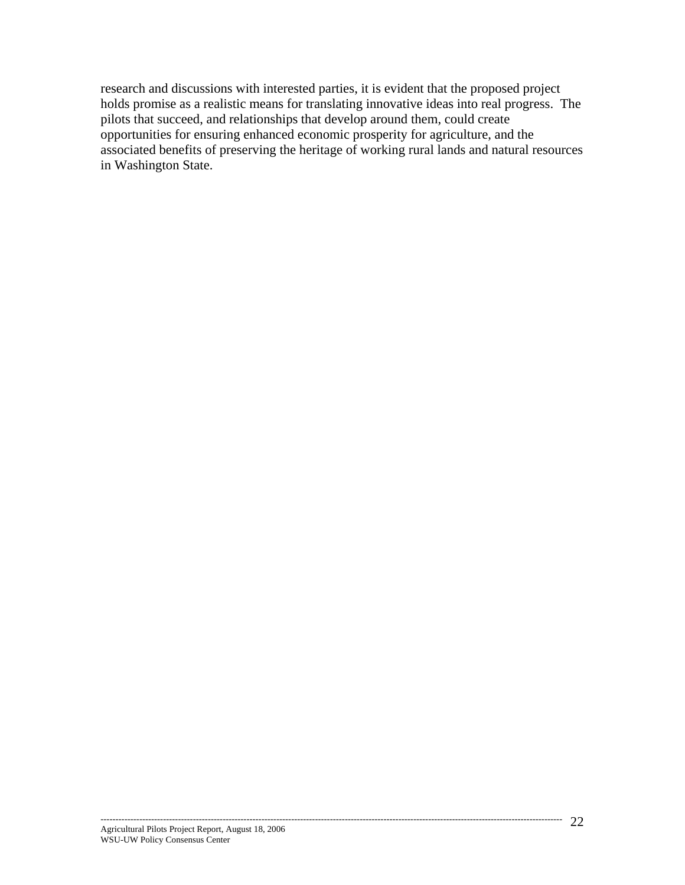research and discussions with interested parties, it is evident that the proposed project holds promise as a realistic means for translating innovative ideas into real progress. The pilots that succeed, and relationships that develop around them, could create opportunities for ensuring enhanced economic prosperity for agriculture, and the associated benefits of preserving the heritage of working rural lands and natural resources in Washington State.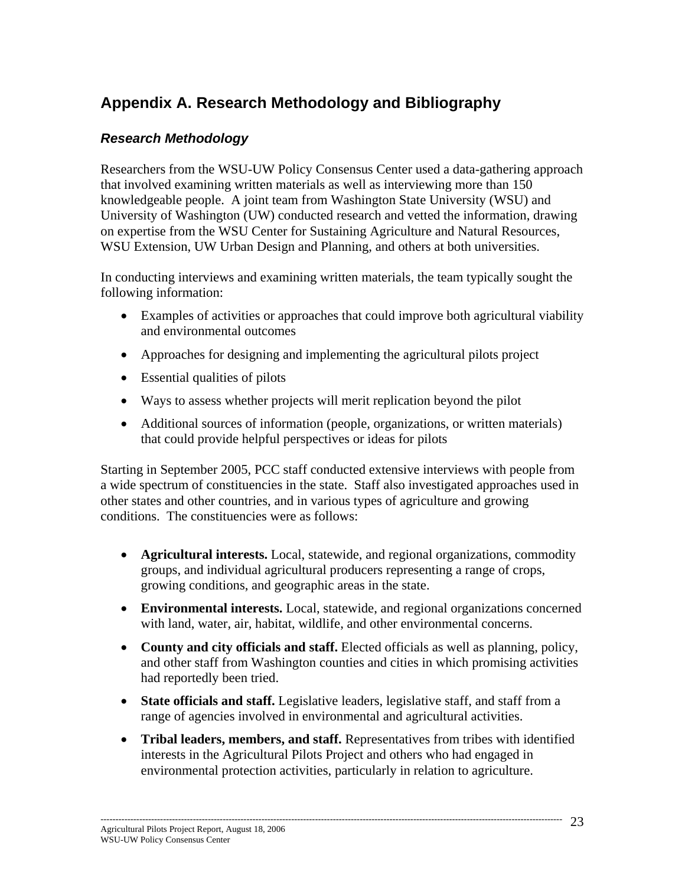# **Appendix A. Research Methodology and Bibliography**

# *Research Methodology*

Researchers from the WSU-UW Policy Consensus Center used a data-gathering approach that involved examining written materials as well as interviewing more than 150 knowledgeable people. A joint team from Washington State University (WSU) and University of Washington (UW) conducted research and vetted the information, drawing on expertise from the WSU Center for Sustaining Agriculture and Natural Resources, WSU Extension, UW Urban Design and Planning, and others at both universities.

In conducting interviews and examining written materials, the team typically sought the following information:

- Examples of activities or approaches that could improve both agricultural viability and environmental outcomes
- Approaches for designing and implementing the agricultural pilots project
- Essential qualities of pilots
- Ways to assess whether projects will merit replication beyond the pilot
- Additional sources of information (people, organizations, or written materials) that could provide helpful perspectives or ideas for pilots

Starting in September 2005, PCC staff conducted extensive interviews with people from a wide spectrum of constituencies in the state. Staff also investigated approaches used in other states and other countries, and in various types of agriculture and growing conditions. The constituencies were as follows:

- **Agricultural interests.** Local, statewide, and regional organizations, commodity groups, and individual agricultural producers representing a range of crops, growing conditions, and geographic areas in the state.
- **Environmental interests.** Local, statewide, and regional organizations concerned with land, water, air, habitat, wildlife, and other environmental concerns.
- **County and city officials and staff.** Elected officials as well as planning, policy, and other staff from Washington counties and cities in which promising activities had reportedly been tried.
- **State officials and staff.** Legislative leaders, legislative staff, and staff from a range of agencies involved in environmental and agricultural activities.
- **Tribal leaders, members, and staff.** Representatives from tribes with identified interests in the Agricultural Pilots Project and others who had engaged in environmental protection activities, particularly in relation to agriculture.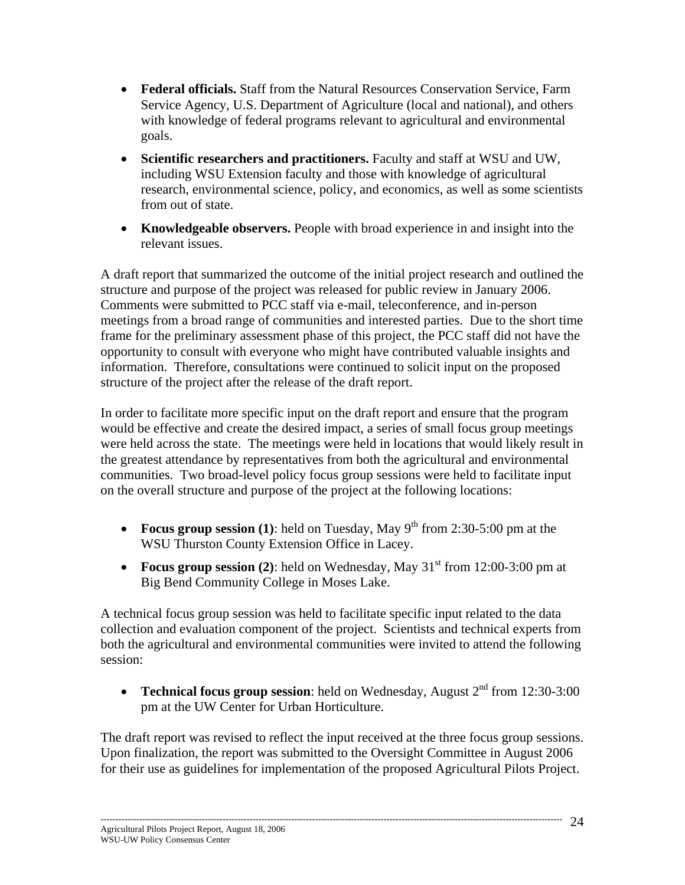- **Federal officials.** Staff from the Natural Resources Conservation Service, Farm Service Agency, U.S. Department of Agriculture (local and national), and others with knowledge of federal programs relevant to agricultural and environmental goals.
- **Scientific researchers and practitioners.** Faculty and staff at WSU and UW, including WSU Extension faculty and those with knowledge of agricultural research, environmental science, policy, and economics, as well as some scientists from out of state.
- **Knowledgeable observers.** People with broad experience in and insight into the relevant issues.

A draft report that summarized the outcome of the initial project research and outlined the structure and purpose of the project was released for public review in January 2006. Comments were submitted to PCC staff via e-mail, teleconference, and in-person meetings from a broad range of communities and interested parties. Due to the short time frame for the preliminary assessment phase of this project, the PCC staff did not have the opportunity to consult with everyone who might have contributed valuable insights and information. Therefore, consultations were continued to solicit input on the proposed structure of the project after the release of the draft report.

In order to facilitate more specific input on the draft report and ensure that the program would be effective and create the desired impact, a series of small focus group meetings were held across the state. The meetings were held in locations that would likely result in the greatest attendance by representatives from both the agricultural and environmental communities. Two broad-level policy focus group sessions were held to facilitate input on the overall structure and purpose of the project at the following locations:

- **Focus group session (1)**: held on Tuesday, May  $9<sup>th</sup>$  from 2:30-5:00 pm at the WSU Thurston County Extension Office in Lacey.
- **Focus group session (2)**: held on Wednesday, May  $31<sup>st</sup>$  from 12:00-3:00 pm at Big Bend Community College in Moses Lake.

A technical focus group session was held to facilitate specific input related to the data collection and evaluation component of the project. Scientists and technical experts from both the agricultural and environmental communities were invited to attend the following session:

• **Technical focus group session**: held on Wednesday, August 2<sup>nd</sup> from 12:30-3:00 pm at the UW Center for Urban Horticulture.

The draft report was revised to reflect the input received at the three focus group sessions. Upon finalization, the report was submitted to the Oversight Committee in August 2006 for their use as guidelines for implementation of the proposed Agricultural Pilots Project.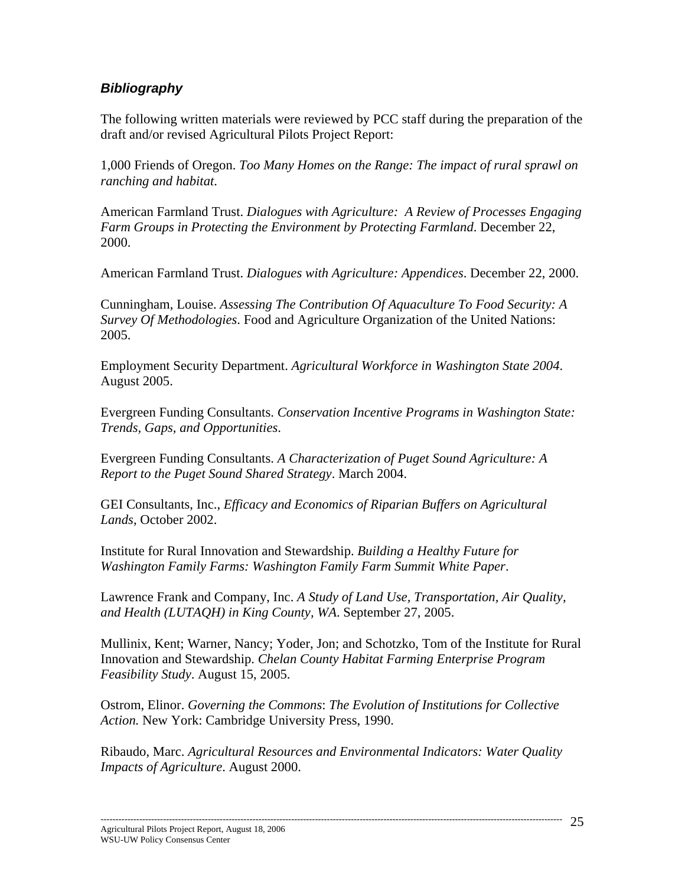## *Bibliography*

The following written materials were reviewed by PCC staff during the preparation of the draft and/or revised Agricultural Pilots Project Report:

1,000 Friends of Oregon. *Too Many Homes on the Range: The impact of rural sprawl on ranching and habitat*.

American Farmland Trust. *Dialogues with Agriculture: A Review of Processes Engaging Farm Groups in Protecting the Environment by Protecting Farmland*. December 22, 2000.

American Farmland Trust. *Dialogues with Agriculture: Appendices*. December 22, 2000.

Cunningham, Louise. *Assessing The Contribution Of Aquaculture To Food Security: A Survey Of Methodologies*. Food and Agriculture Organization of the United Nations: 2005.

Employment Security Department. *Agricultural Workforce in Washington State 2004*. August 2005.

Evergreen Funding Consultants. *Conservation Incentive Programs in Washington State: Trends, Gaps, and Opportunities*.

Evergreen Funding Consultants. *A Characterization of Puget Sound Agriculture: A Report to the Puget Sound Shared Strategy*. March 2004.

GEI Consultants, Inc., *Efficacy and Economics of Riparian Buffers on Agricultural Lands*, October 2002.

Institute for Rural Innovation and Stewardship. *Building a Healthy Future for Washington Family Farms: Washington Family Farm Summit White Paper*.

Lawrence Frank and Company, Inc. *A Study of Land Use, Transportation, Air Quality, and Health (LUTAQH) in King County, WA*. September 27, 2005.

Mullinix, Kent; Warner, Nancy; Yoder, Jon; and Schotzko, Tom of the Institute for Rural Innovation and Stewardship. *Chelan County Habitat Farming Enterprise Program Feasibility Study*. August 15, 2005.

Ostrom, Elinor. *Governing the Commons*: *The Evolution of Institutions for Collective Action.* New York: Cambridge University Press, 1990.

Ribaudo, Marc. *Agricultural Resources and Environmental Indicators: Water Quality Impacts of Agriculture*. August 2000.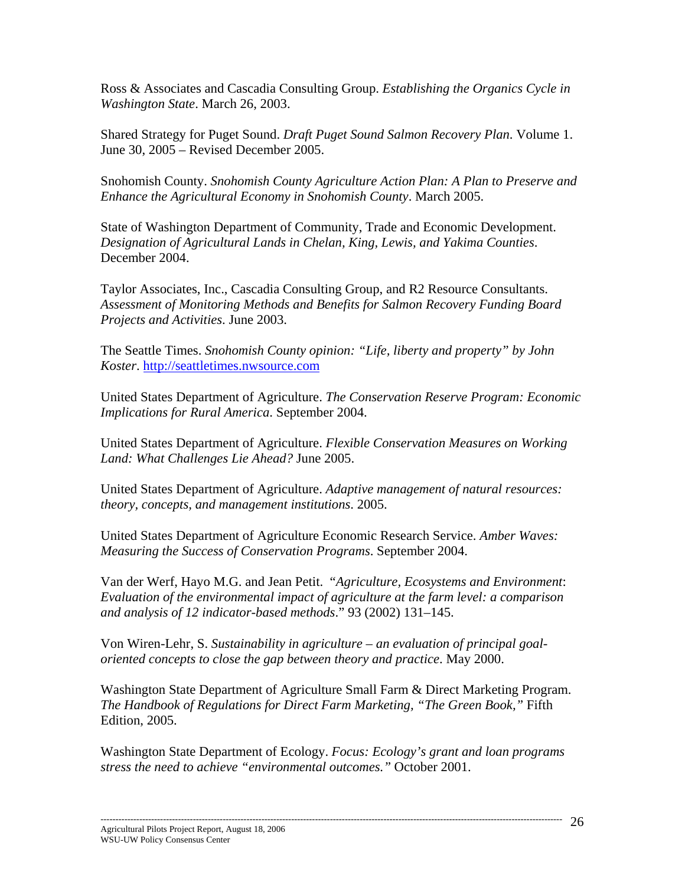Ross & Associates and Cascadia Consulting Group. *Establishing the Organics Cycle in Washington State*. March 26, 2003.

Shared Strategy for Puget Sound. *Draft Puget Sound Salmon Recovery Plan*. Volume 1. June 30, 2005 – Revised December 2005.

Snohomish County. *Snohomish County Agriculture Action Plan: A Plan to Preserve and Enhance the Agricultural Economy in Snohomish County*. March 2005.

State of Washington Department of Community, Trade and Economic Development. *Designation of Agricultural Lands in Chelan, King, Lewis, and Yakima Counties*. December 2004.

Taylor Associates, Inc., Cascadia Consulting Group, and R2 Resource Consultants. *Assessment of Monitoring Methods and Benefits for Salmon Recovery Funding Board Projects and Activities*. June 2003.

The Seattle Times. *Snohomish County opinion: "Life, liberty and property" by John Koster*. http://seattletimes.nwsource.com

United States Department of Agriculture. *The Conservation Reserve Program: Economic Implications for Rural America*. September 2004.

United States Department of Agriculture. *Flexible Conservation Measures on Working Land: What Challenges Lie Ahead?* June 2005.

United States Department of Agriculture. *Adaptive management of natural resources: theory, concepts, and management institutions*. 2005.

United States Department of Agriculture Economic Research Service. *Amber Waves: Measuring the Success of Conservation Programs*. September 2004.

Van der Werf, Hayo M.G. and Jean Petit. "*Agriculture, Ecosystems and Environment*: *Evaluation of the environmental impact of agriculture at the farm level: a comparison and analysis of 12 indicator-based methods*." 93 (2002) 131–145.

Von Wiren-Lehr, S. *Sustainability in agriculture – an evaluation of principal goaloriented concepts to close the gap between theory and practice*. May 2000.

Washington State Department of Agriculture Small Farm & Direct Marketing Program. *The Handbook of Regulations for Direct Farm Marketing, "The Green Book,"* Fifth Edition, 2005.

Washington State Department of Ecology. *Focus: Ecology's grant and loan programs stress the need to achieve "environmental outcomes."* October 2001.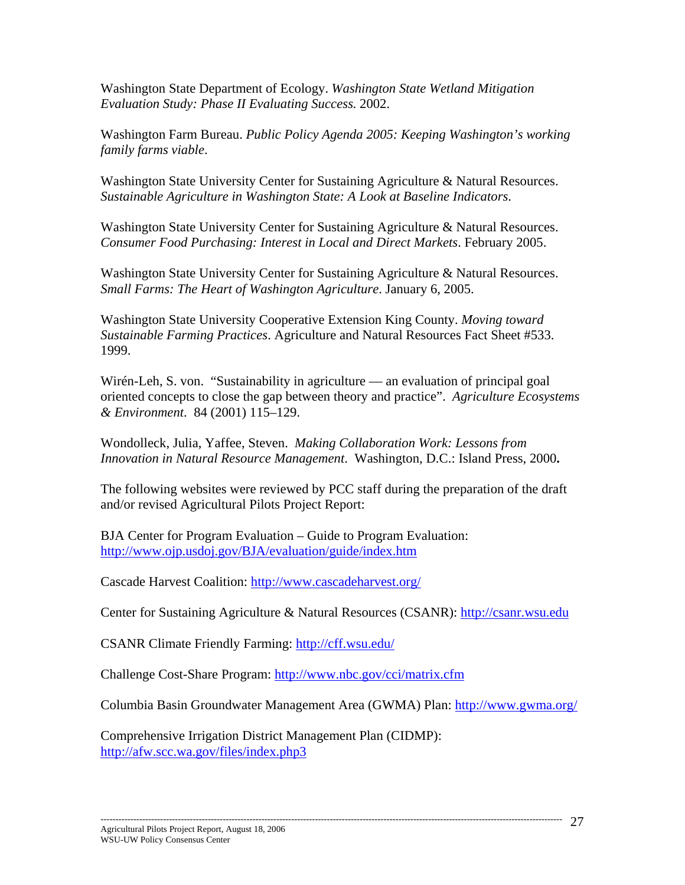Washington State Department of Ecology. *Washington State Wetland Mitigation Evaluation Study: Phase II Evaluating Success.* 2002.

Washington Farm Bureau. *Public Policy Agenda 2005: Keeping Washington's working family farms viable*.

Washington State University Center for Sustaining Agriculture & Natural Resources. *Sustainable Agriculture in Washington State: A Look at Baseline Indicators*.

Washington State University Center for Sustaining Agriculture & Natural Resources. *Consumer Food Purchasing: Interest in Local and Direct Markets*. February 2005.

Washington State University Center for Sustaining Agriculture & Natural Resources. *Small Farms: The Heart of Washington Agriculture*. January 6, 2005.

Washington State University Cooperative Extension King County. *Moving toward Sustainable Farming Practices*. Agriculture and Natural Resources Fact Sheet #533. 1999.

Wirén-Leh, S. von. "Sustainability in agriculture — an evaluation of principal goal oriented concepts to close the gap between theory and practice". *Agriculture Ecosystems & Environment*. 84 (2001) 115–129.

Wondolleck, Julia, Yaffee, Steven. *Making Collaboration Work: Lessons from Innovation in Natural Resource Management*. Washington, D.C.: Island Press, 2000**.**

The following websites were reviewed by PCC staff during the preparation of the draft and/or revised Agricultural Pilots Project Report:

BJA Center for Program Evaluation – Guide to Program Evaluation: http://www.ojp.usdoj.gov/BJA/evaluation/guide/index.htm

Cascade Harvest Coalition: http://www.cascadeharvest.org/

Center for Sustaining Agriculture & Natural Resources (CSANR): http://csanr.wsu.edu

CSANR Climate Friendly Farming: http://cff.wsu.edu/

Challenge Cost-Share Program: http://www.nbc.gov/cci/matrix.cfm

Columbia Basin Groundwater Management Area (GWMA) Plan: http://www.gwma.org/

Comprehensive Irrigation District Management Plan (CIDMP): http://afw.scc.wa.gov/files/index.php3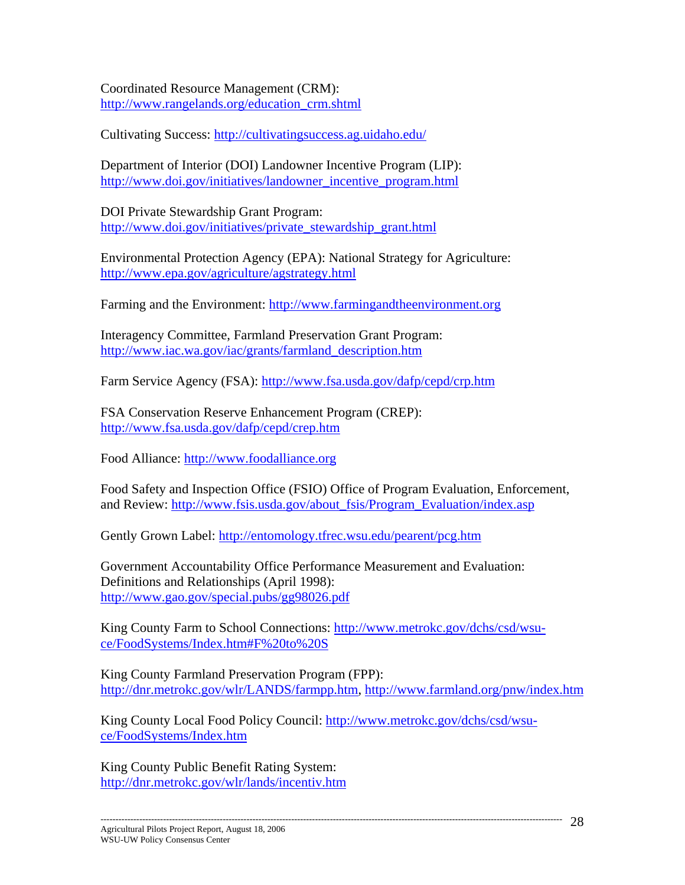Coordinated Resource Management (CRM): http://www.rangelands.org/education\_crm.shtml

Cultivating Success: http://cultivatingsuccess.ag.uidaho.edu/

Department of Interior (DOI) Landowner Incentive Program (LIP): http://www.doi.gov/initiatives/landowner\_incentive\_program.html

DOI Private Stewardship Grant Program: http://www.doi.gov/initiatives/private\_stewardship\_grant.html

Environmental Protection Agency (EPA): National Strategy for Agriculture: http://www.epa.gov/agriculture/agstrategy.html

Farming and the Environment: http://www.farmingandtheenvironment.org

Interagency Committee, Farmland Preservation Grant Program: http://www.iac.wa.gov/iac/grants/farmland\_description.htm

Farm Service Agency (FSA): http://www.fsa.usda.gov/dafp/cepd/crp.htm

FSA Conservation Reserve Enhancement Program (CREP): http://www.fsa.usda.gov/dafp/cepd/crep.htm

Food Alliance: http://www.foodalliance.org

Food Safety and Inspection Office (FSIO) Office of Program Evaluation, Enforcement, and Review: http://www.fsis.usda.gov/about\_fsis/Program\_Evaluation/index.asp

Gently Grown Label: http://entomology.tfrec.wsu.edu/pearent/pcg.htm

Government Accountability Office Performance Measurement and Evaluation: Definitions and Relationships (April 1998): http://www.gao.gov/special.pubs/gg98026.pdf

King County Farm to School Connections: http://www.metrokc.gov/dchs/csd/wsuce/FoodSystems/Index.htm#F%20to%20S

King County Farmland Preservation Program (FPP): http://dnr.metrokc.gov/wlr/LANDS/farmpp.htm, http://www.farmland.org/pnw/index.htm

King County Local Food Policy Council: http://www.metrokc.gov/dchs/csd/wsuce/FoodSystems/Index.htm

King County Public Benefit Rating System: http://dnr.metrokc.gov/wlr/lands/incentiv.htm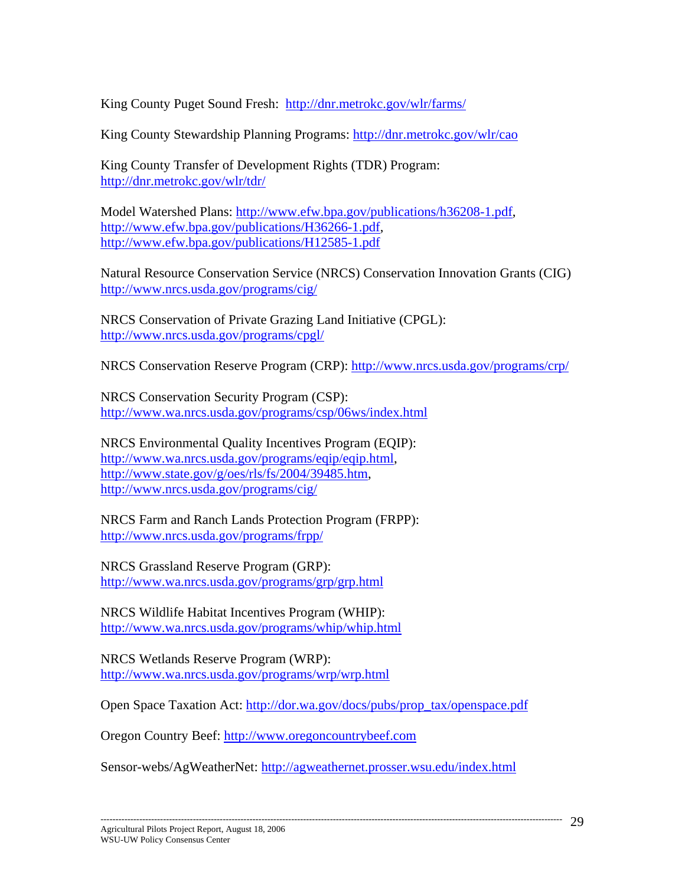King County Puget Sound Fresh: http://dnr.metrokc.gov/wlr/farms/

King County Stewardship Planning Programs: http://dnr.metrokc.gov/wlr/cao

King County Transfer of Development Rights (TDR) Program: http://dnr.metrokc.gov/wlr/tdr/

Model Watershed Plans: http://www.efw.bpa.gov/publications/h36208-1.pdf, http://www.efw.bpa.gov/publications/H36266-1.pdf, http://www.efw.bpa.gov/publications/H12585-1.pdf

Natural Resource Conservation Service (NRCS) Conservation Innovation Grants (CIG) http://www.nrcs.usda.gov/programs/cig/

NRCS Conservation of Private Grazing Land Initiative (CPGL): http://www.nrcs.usda.gov/programs/cpgl/

NRCS Conservation Reserve Program (CRP): http://www.nrcs.usda.gov/programs/crp/

NRCS Conservation Security Program (CSP): http://www.wa.nrcs.usda.gov/programs/csp/06ws/index.html

NRCS Environmental Quality Incentives Program (EQIP): http://www.wa.nrcs.usda.gov/programs/eqip/eqip.html, http://www.state.gov/g/oes/rls/fs/2004/39485.htm, http://www.nrcs.usda.gov/programs/cig/

NRCS Farm and Ranch Lands Protection Program (FRPP): http://www.nrcs.usda.gov/programs/frpp/

NRCS Grassland Reserve Program (GRP): http://www.wa.nrcs.usda.gov/programs/grp/grp.html

NRCS Wildlife Habitat Incentives Program (WHIP): http://www.wa.nrcs.usda.gov/programs/whip/whip.html

NRCS Wetlands Reserve Program (WRP): http://www.wa.nrcs.usda.gov/programs/wrp/wrp.html

Open Space Taxation Act: http://dor.wa.gov/docs/pubs/prop\_tax/openspace.pdf

Oregon Country Beef: http://www.oregoncountrybeef.com

Sensor-webs/AgWeatherNet: http://agweathernet.prosser.wsu.edu/index.html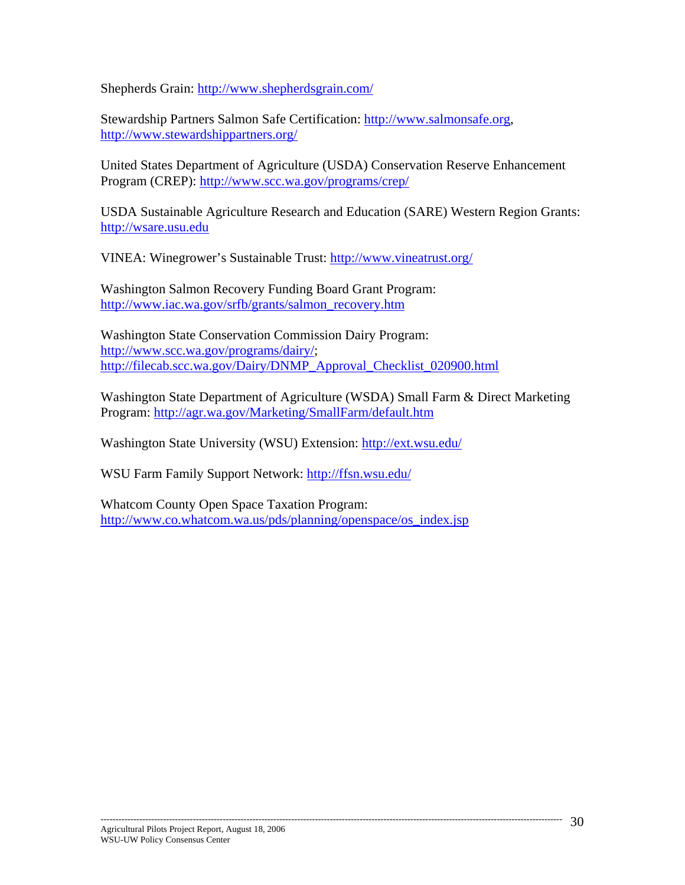Shepherds Grain: http://www.shepherdsgrain.com/

Stewardship Partners Salmon Safe Certification: http://www.salmonsafe.org, http://www.stewardshippartners.org/

United States Department of Agriculture (USDA) Conservation Reserve Enhancement Program (CREP): http://www.scc.wa.gov/programs/crep/

USDA Sustainable Agriculture Research and Education (SARE) Western Region Grants: http://wsare.usu.edu

VINEA: Winegrower's Sustainable Trust: http://www.vineatrust.org/

Washington Salmon Recovery Funding Board Grant Program: http://www.iac.wa.gov/srfb/grants/salmon\_recovery.htm

Washington State Conservation Commission Dairy Program: http://www.scc.wa.gov/programs/dairy/; http://filecab.scc.wa.gov/Dairy/DNMP\_Approval\_Checklist\_020900.html

Washington State Department of Agriculture (WSDA) Small Farm & Direct Marketing Program: http://agr.wa.gov/Marketing/SmallFarm/default.htm

Washington State University (WSU) Extension: http://ext.wsu.edu/

WSU Farm Family Support Network: http://ffsn.wsu.edu/

Whatcom County Open Space Taxation Program: http://www.co.whatcom.wa.us/pds/planning/openspace/os\_index.jsp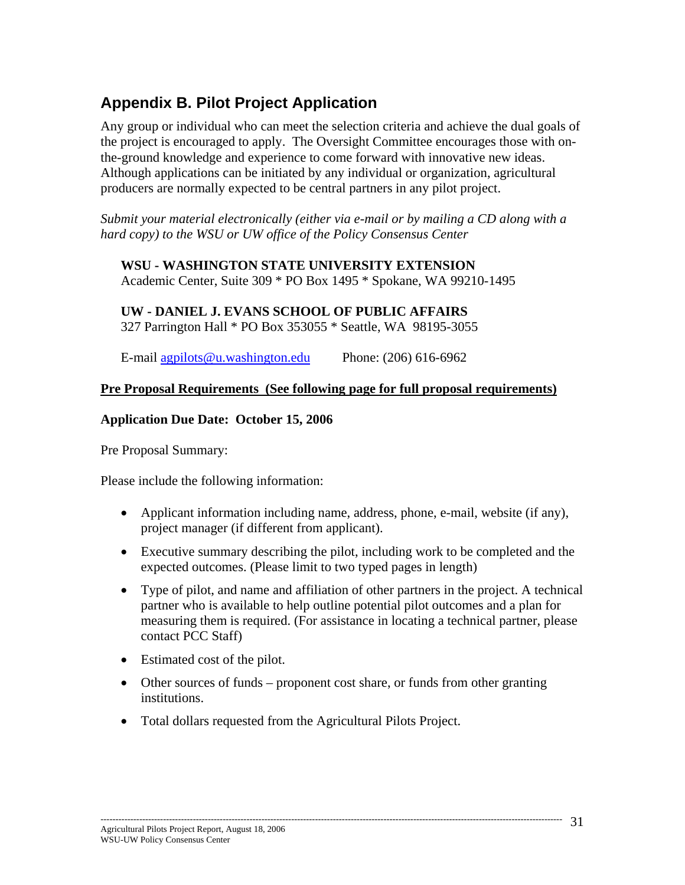# **Appendix B. Pilot Project Application**

Any group or individual who can meet the selection criteria and achieve the dual goals of the project is encouraged to apply. The Oversight Committee encourages those with onthe-ground knowledge and experience to come forward with innovative new ideas. Although applications can be initiated by any individual or organization, agricultural producers are normally expected to be central partners in any pilot project.

*Submit your material electronically (either via e-mail or by mailing a CD along with a hard copy) to the WSU or UW office of the Policy Consensus Center* 

#### **WSU - WASHINGTON STATE UNIVERSITY EXTENSION**

Academic Center, Suite 309 \* PO Box 1495 \* Spokane, WA 99210-1495

## **UW - DANIEL J. EVANS SCHOOL OF PUBLIC AFFAIRS**

327 Parrington Hall \* PO Box 353055 \* Seattle, WA 98195-3055

E-mail agpilots@u.washington.edu Phone: (206) 616-6962

#### **Pre Proposal Requirements (See following page for full proposal requirements)**

#### **Application Due Date: October 15, 2006**

Pre Proposal Summary:

Please include the following information:

- Applicant information including name, address, phone, e-mail, website (if any), project manager (if different from applicant).
- Executive summary describing the pilot, including work to be completed and the expected outcomes. (Please limit to two typed pages in length)
- Type of pilot, and name and affiliation of other partners in the project. A technical partner who is available to help outline potential pilot outcomes and a plan for measuring them is required. (For assistance in locating a technical partner, please contact PCC Staff)
- Estimated cost of the pilot.
- Other sources of funds proponent cost share, or funds from other granting institutions.
- Total dollars requested from the Agricultural Pilots Project.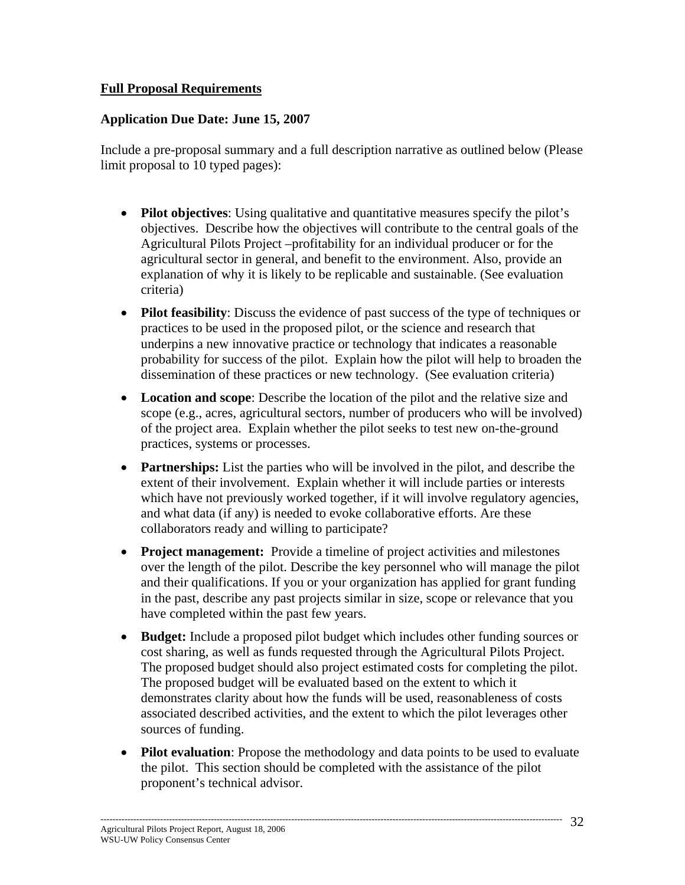#### **Full Proposal Requirements**

#### **Application Due Date: June 15, 2007**

Include a pre-proposal summary and a full description narrative as outlined below (Please limit proposal to 10 typed pages):

- **Pilot objectives**: Using qualitative and quantitative measures specify the pilot's objectives. Describe how the objectives will contribute to the central goals of the Agricultural Pilots Project –profitability for an individual producer or for the agricultural sector in general, and benefit to the environment. Also, provide an explanation of why it is likely to be replicable and sustainable. (See evaluation criteria)
- **Pilot feasibility**: Discuss the evidence of past success of the type of techniques or practices to be used in the proposed pilot, or the science and research that underpins a new innovative practice or technology that indicates a reasonable probability for success of the pilot. Explain how the pilot will help to broaden the dissemination of these practices or new technology. (See evaluation criteria)
- **Location and scope**: Describe the location of the pilot and the relative size and scope (e.g., acres, agricultural sectors, number of producers who will be involved) of the project area. Explain whether the pilot seeks to test new on-the-ground practices, systems or processes.
- **Partnerships:** List the parties who will be involved in the pilot, and describe the extent of their involvement. Explain whether it will include parties or interests which have not previously worked together, if it will involve regulatory agencies, and what data (if any) is needed to evoke collaborative efforts. Are these collaborators ready and willing to participate?
- **Project management:** Provide a timeline of project activities and milestones over the length of the pilot. Describe the key personnel who will manage the pilot and their qualifications. If you or your organization has applied for grant funding in the past, describe any past projects similar in size, scope or relevance that you have completed within the past few years.
- **Budget:** Include a proposed pilot budget which includes other funding sources or cost sharing, as well as funds requested through the Agricultural Pilots Project. The proposed budget should also project estimated costs for completing the pilot. The proposed budget will be evaluated based on the extent to which it demonstrates clarity about how the funds will be used, reasonableness of costs associated described activities, and the extent to which the pilot leverages other sources of funding.
- **Pilot evaluation**: Propose the methodology and data points to be used to evaluate the pilot. This section should be completed with the assistance of the pilot proponent's technical advisor.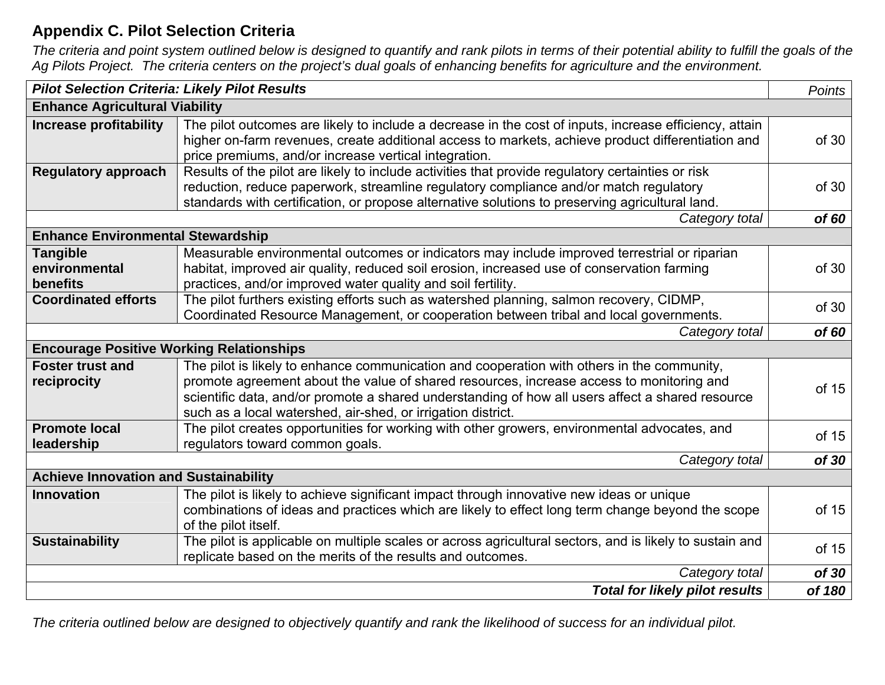# **Appendix C. Pilot Selection Criteria**

*The criteria and point system outlined below is designed to quantify and rank pilots in terms of their potential ability to fulfill the goals of the Ag Pilots Project. The criteria centers on the project's dual goals of enhancing benefits for agriculture and the environment.*

| <b>Pilot Selection Criteria: Likely Pilot Results</b> |                                                                                                                                                                                                                                                                                                                                                            | Points |  |  |  |
|-------------------------------------------------------|------------------------------------------------------------------------------------------------------------------------------------------------------------------------------------------------------------------------------------------------------------------------------------------------------------------------------------------------------------|--------|--|--|--|
| <b>Enhance Agricultural Viability</b>                 |                                                                                                                                                                                                                                                                                                                                                            |        |  |  |  |
| <b>Increase profitability</b>                         | The pilot outcomes are likely to include a decrease in the cost of inputs, increase efficiency, attain<br>higher on-farm revenues, create additional access to markets, achieve product differentiation and<br>price premiums, and/or increase vertical integration.                                                                                       | of 30  |  |  |  |
| <b>Regulatory approach</b>                            | Results of the pilot are likely to include activities that provide regulatory certainties or risk<br>reduction, reduce paperwork, streamline regulatory compliance and/or match regulatory<br>standards with certification, or propose alternative solutions to preserving agricultural land.                                                              | of 30  |  |  |  |
|                                                       | Category total                                                                                                                                                                                                                                                                                                                                             | of 60  |  |  |  |
| <b>Enhance Environmental Stewardship</b>              |                                                                                                                                                                                                                                                                                                                                                            |        |  |  |  |
| <b>Tangible</b><br>environmental<br>benefits          | Measurable environmental outcomes or indicators may include improved terrestrial or riparian<br>habitat, improved air quality, reduced soil erosion, increased use of conservation farming<br>practices, and/or improved water quality and soil fertility.                                                                                                 | of 30  |  |  |  |
| <b>Coordinated efforts</b>                            | The pilot furthers existing efforts such as watershed planning, salmon recovery, CIDMP,<br>Coordinated Resource Management, or cooperation between tribal and local governments.                                                                                                                                                                           | of 30  |  |  |  |
|                                                       | Category total                                                                                                                                                                                                                                                                                                                                             | of 60  |  |  |  |
| <b>Encourage Positive Working Relationships</b>       |                                                                                                                                                                                                                                                                                                                                                            |        |  |  |  |
| <b>Foster trust and</b><br>reciprocity                | The pilot is likely to enhance communication and cooperation with others in the community,<br>promote agreement about the value of shared resources, increase access to monitoring and<br>scientific data, and/or promote a shared understanding of how all users affect a shared resource<br>such as a local watershed, air-shed, or irrigation district. | of 15  |  |  |  |
| <b>Promote local</b><br>leadership                    | The pilot creates opportunities for working with other growers, environmental advocates, and<br>regulators toward common goals.                                                                                                                                                                                                                            | of 15  |  |  |  |
|                                                       | Category total                                                                                                                                                                                                                                                                                                                                             | of 30  |  |  |  |
| <b>Achieve Innovation and Sustainability</b>          |                                                                                                                                                                                                                                                                                                                                                            |        |  |  |  |
| <b>Innovation</b>                                     | The pilot is likely to achieve significant impact through innovative new ideas or unique<br>combinations of ideas and practices which are likely to effect long term change beyond the scope<br>of the pilot itself.                                                                                                                                       | of 15  |  |  |  |
| <b>Sustainability</b>                                 | The pilot is applicable on multiple scales or across agricultural sectors, and is likely to sustain and<br>replicate based on the merits of the results and outcomes.                                                                                                                                                                                      | of 15  |  |  |  |
|                                                       | Category total                                                                                                                                                                                                                                                                                                                                             | of 30  |  |  |  |
|                                                       | <b>Total for likely pilot results</b>                                                                                                                                                                                                                                                                                                                      | of 180 |  |  |  |

*The criteria outlined below are designed to objectively quantify and rank the likelihood of success for an individual pilot.*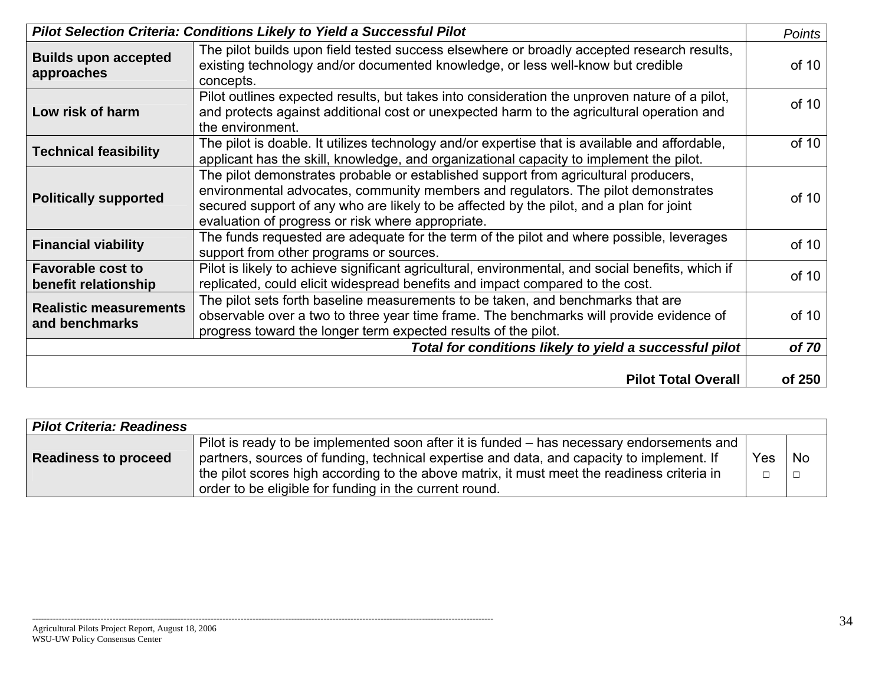| <b>Pilot Selection Criteria: Conditions Likely to Yield a Successful Pilot</b> |                                                                                                                                                                                                                                                                                                                          | <b>Points</b> |
|--------------------------------------------------------------------------------|--------------------------------------------------------------------------------------------------------------------------------------------------------------------------------------------------------------------------------------------------------------------------------------------------------------------------|---------------|
| <b>Builds upon accepted</b><br>approaches                                      | The pilot builds upon field tested success elsewhere or broadly accepted research results,<br>existing technology and/or documented knowledge, or less well-know but credible<br>concepts.                                                                                                                               | of 10         |
| Low risk of harm                                                               | Pilot outlines expected results, but takes into consideration the unproven nature of a pilot,<br>and protects against additional cost or unexpected harm to the agricultural operation and<br>the environment.                                                                                                           | of 10         |
| <b>Technical feasibility</b>                                                   | The pilot is doable. It utilizes technology and/or expertise that is available and affordable,<br>applicant has the skill, knowledge, and organizational capacity to implement the pilot.                                                                                                                                | of 10         |
| <b>Politically supported</b>                                                   | The pilot demonstrates probable or established support from agricultural producers,<br>environmental advocates, community members and regulators. The pilot demonstrates<br>secured support of any who are likely to be affected by the pilot, and a plan for joint<br>evaluation of progress or risk where appropriate. | of 10         |
| <b>Financial viability</b>                                                     | The funds requested are adequate for the term of the pilot and where possible, leverages<br>support from other programs or sources.                                                                                                                                                                                      | of 10         |
| <b>Favorable cost to</b><br>benefit relationship                               | Pilot is likely to achieve significant agricultural, environmental, and social benefits, which if<br>replicated, could elicit widespread benefits and impact compared to the cost.                                                                                                                                       | of 10         |
| <b>Realistic measurements</b><br>and benchmarks                                | The pilot sets forth baseline measurements to be taken, and benchmarks that are<br>observable over a two to three year time frame. The benchmarks will provide evidence of<br>progress toward the longer term expected results of the pilot.                                                                             | of 10         |
|                                                                                | Total for conditions likely to yield a successful pilot                                                                                                                                                                                                                                                                  | of 70         |
|                                                                                | <b>Pilot Total Overall</b>                                                                                                                                                                                                                                                                                               | of 250        |

| <b>Pilot Criteria: Readiness</b> |                                                                                             |        |        |
|----------------------------------|---------------------------------------------------------------------------------------------|--------|--------|
|                                  | Pilot is ready to be implemented soon after it is funded – has necessary endorsements and   |        |        |
| <b>Readiness to proceed</b>      | partners, sources of funding, technical expertise and data, and capacity to implement. If   | Yes    | l No   |
|                                  | the pilot scores high according to the above matrix, it must meet the readiness criteria in | $\Box$ | $\Box$ |
|                                  | order to be eligible for funding in the current round.                                      |        |        |

-----------------------------------------------------------------------------------------------------------------------------------------------------------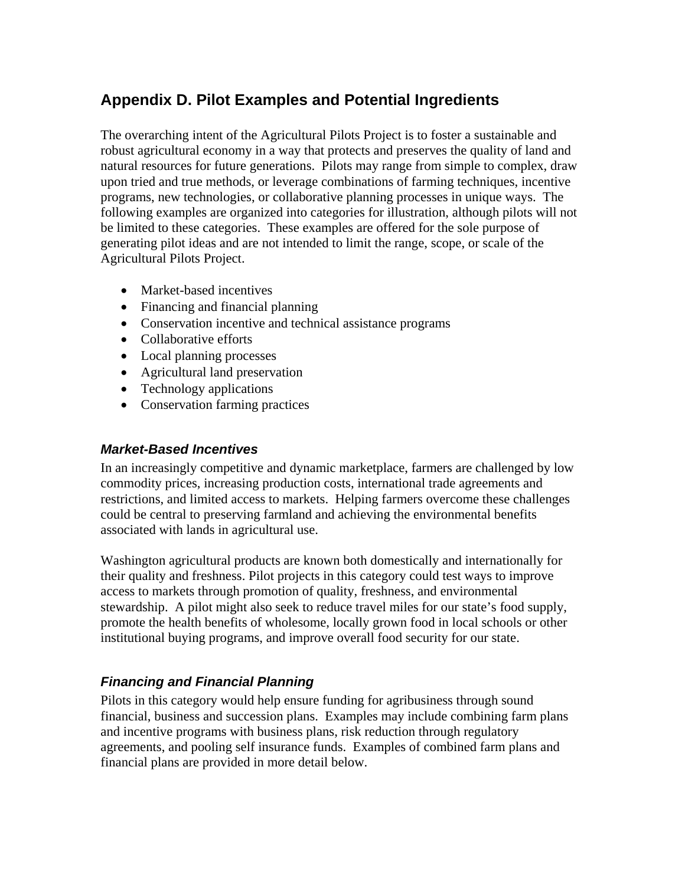# **Appendix D. Pilot Examples and Potential Ingredients**

The overarching intent of the Agricultural Pilots Project is to foster a sustainable and robust agricultural economy in a way that protects and preserves the quality of land and natural resources for future generations. Pilots may range from simple to complex, draw upon tried and true methods, or leverage combinations of farming techniques, incentive programs, new technologies, or collaborative planning processes in unique ways. The following examples are organized into categories for illustration, although pilots will not be limited to these categories. These examples are offered for the sole purpose of generating pilot ideas and are not intended to limit the range, scope, or scale of the Agricultural Pilots Project.

- Market-based incentives
- Financing and financial planning
- Conservation incentive and technical assistance programs
- Collaborative efforts
- Local planning processes
- Agricultural land preservation
- Technology applications
- Conservation farming practices

#### *Market-Based Incentives*

In an increasingly competitive and dynamic marketplace, farmers are challenged by low commodity prices, increasing production costs, international trade agreements and restrictions, and limited access to markets. Helping farmers overcome these challenges could be central to preserving farmland and achieving the environmental benefits associated with lands in agricultural use.

Washington agricultural products are known both domestically and internationally for their quality and freshness. Pilot projects in this category could test ways to improve access to markets through promotion of quality, freshness, and environmental stewardship. A pilot might also seek to reduce travel miles for our state's food supply, promote the health benefits of wholesome, locally grown food in local schools or other institutional buying programs, and improve overall food security for our state.

#### *Financing and Financial Planning*

Pilots in this category would help ensure funding for agribusiness through sound financial, business and succession plans. Examples may include combining farm plans and incentive programs with business plans, risk reduction through regulatory agreements, and pooling self insurance funds. Examples of combined farm plans and financial plans are provided in more detail below.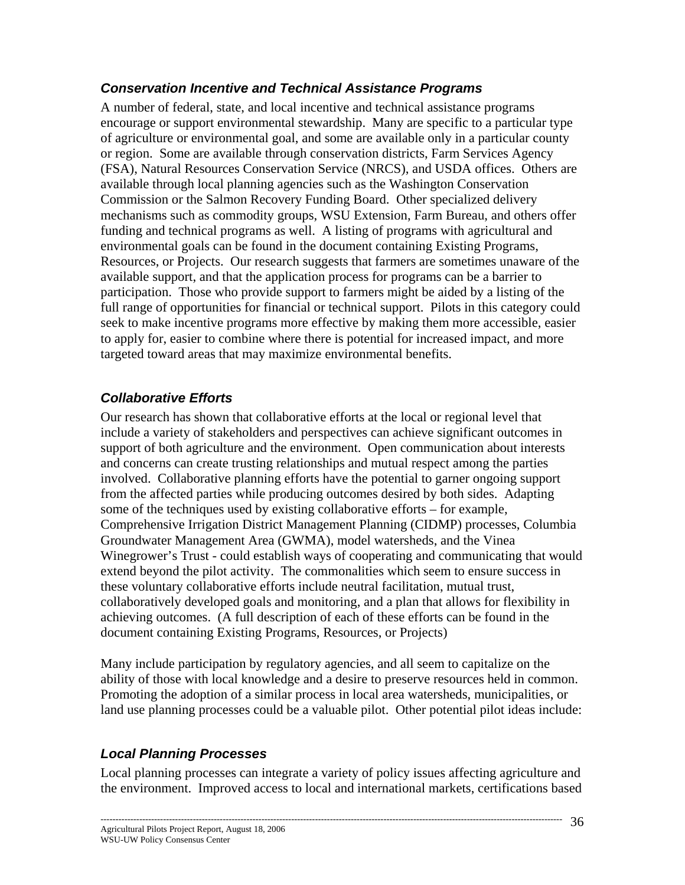## *Conservation Incentive and Technical Assistance Programs*

A number of federal, state, and local incentive and technical assistance programs encourage or support environmental stewardship. Many are specific to a particular type of agriculture or environmental goal, and some are available only in a particular county or region. Some are available through conservation districts, Farm Services Agency (FSA), Natural Resources Conservation Service (NRCS), and USDA offices. Others are available through local planning agencies such as the Washington Conservation Commission or the Salmon Recovery Funding Board. Other specialized delivery mechanisms such as commodity groups, WSU Extension, Farm Bureau, and others offer funding and technical programs as well. A listing of programs with agricultural and environmental goals can be found in the document containing Existing Programs, Resources, or Projects. Our research suggests that farmers are sometimes unaware of the available support, and that the application process for programs can be a barrier to participation. Those who provide support to farmers might be aided by a listing of the full range of opportunities for financial or technical support. Pilots in this category could seek to make incentive programs more effective by making them more accessible, easier to apply for, easier to combine where there is potential for increased impact, and more targeted toward areas that may maximize environmental benefits.

## *Collaborative Efforts*

Our research has shown that collaborative efforts at the local or regional level that include a variety of stakeholders and perspectives can achieve significant outcomes in support of both agriculture and the environment. Open communication about interests and concerns can create trusting relationships and mutual respect among the parties involved. Collaborative planning efforts have the potential to garner ongoing support from the affected parties while producing outcomes desired by both sides. Adapting some of the techniques used by existing collaborative efforts – for example, Comprehensive Irrigation District Management Planning (CIDMP) processes, Columbia Groundwater Management Area (GWMA), model watersheds, and the Vinea Winegrower's Trust - could establish ways of cooperating and communicating that would extend beyond the pilot activity. The commonalities which seem to ensure success in these voluntary collaborative efforts include neutral facilitation, mutual trust, collaboratively developed goals and monitoring, and a plan that allows for flexibility in achieving outcomes. (A full description of each of these efforts can be found in the document containing Existing Programs, Resources, or Projects)

Many include participation by regulatory agencies, and all seem to capitalize on the ability of those with local knowledge and a desire to preserve resources held in common. Promoting the adoption of a similar process in local area watersheds, municipalities, or land use planning processes could be a valuable pilot. Other potential pilot ideas include:

# *Local Planning Processes*

Local planning processes can integrate a variety of policy issues affecting agriculture and the environment. Improved access to local and international markets, certifications based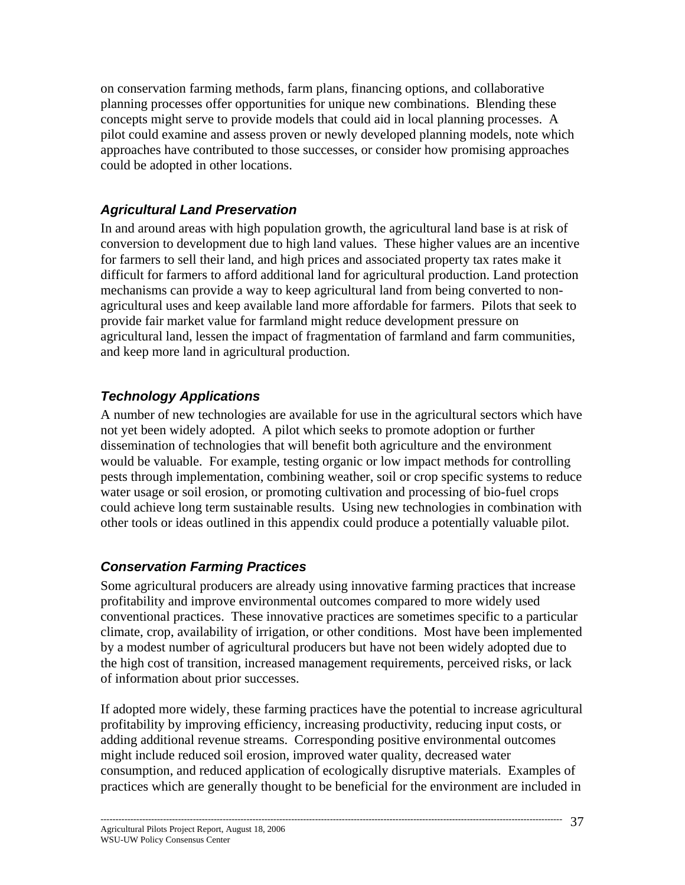on conservation farming methods, farm plans, financing options, and collaborative planning processes offer opportunities for unique new combinations. Blending these concepts might serve to provide models that could aid in local planning processes. A pilot could examine and assess proven or newly developed planning models, note which approaches have contributed to those successes, or consider how promising approaches could be adopted in other locations.

# *Agricultural Land Preservation*

In and around areas with high population growth, the agricultural land base is at risk of conversion to development due to high land values. These higher values are an incentive for farmers to sell their land, and high prices and associated property tax rates make it difficult for farmers to afford additional land for agricultural production. Land protection mechanisms can provide a way to keep agricultural land from being converted to nonagricultural uses and keep available land more affordable for farmers. Pilots that seek to provide fair market value for farmland might reduce development pressure on agricultural land, lessen the impact of fragmentation of farmland and farm communities, and keep more land in agricultural production.

# *Technology Applications*

A number of new technologies are available for use in the agricultural sectors which have not yet been widely adopted. A pilot which seeks to promote adoption or further dissemination of technologies that will benefit both agriculture and the environment would be valuable. For example, testing organic or low impact methods for controlling pests through implementation, combining weather, soil or crop specific systems to reduce water usage or soil erosion, or promoting cultivation and processing of bio-fuel crops could achieve long term sustainable results. Using new technologies in combination with other tools or ideas outlined in this appendix could produce a potentially valuable pilot.

# *Conservation Farming Practices*

Some agricultural producers are already using innovative farming practices that increase profitability and improve environmental outcomes compared to more widely used conventional practices. These innovative practices are sometimes specific to a particular climate, crop, availability of irrigation, or other conditions. Most have been implemented by a modest number of agricultural producers but have not been widely adopted due to the high cost of transition, increased management requirements, perceived risks, or lack of information about prior successes.

If adopted more widely, these farming practices have the potential to increase agricultural profitability by improving efficiency, increasing productivity, reducing input costs, or adding additional revenue streams. Corresponding positive environmental outcomes might include reduced soil erosion, improved water quality, decreased water consumption, and reduced application of ecologically disruptive materials. Examples of practices which are generally thought to be beneficial for the environment are included in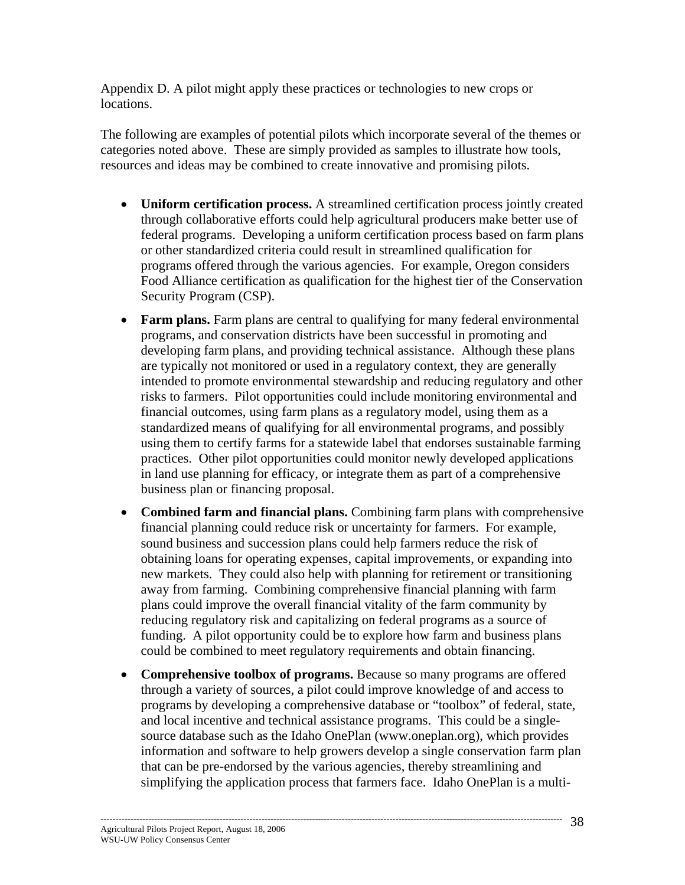Appendix D. A pilot might apply these practices or technologies to new crops or locations.

The following are examples of potential pilots which incorporate several of the themes or categories noted above. These are simply provided as samples to illustrate how tools, resources and ideas may be combined to create innovative and promising pilots.

- **Uniform certification process.** A streamlined certification process jointly created through collaborative efforts could help agricultural producers make better use of federal programs. Developing a uniform certification process based on farm plans or other standardized criteria could result in streamlined qualification for programs offered through the various agencies. For example, Oregon considers Food Alliance certification as qualification for the highest tier of the Conservation Security Program (CSP).
- **Farm plans.** Farm plans are central to qualifying for many federal environmental programs, and conservation districts have been successful in promoting and developing farm plans, and providing technical assistance. Although these plans are typically not monitored or used in a regulatory context, they are generally intended to promote environmental stewardship and reducing regulatory and other risks to farmers. Pilot opportunities could include monitoring environmental and financial outcomes, using farm plans as a regulatory model, using them as a standardized means of qualifying for all environmental programs, and possibly using them to certify farms for a statewide label that endorses sustainable farming practices. Other pilot opportunities could monitor newly developed applications in land use planning for efficacy, or integrate them as part of a comprehensive business plan or financing proposal.
- **Combined farm and financial plans.** Combining farm plans with comprehensive financial planning could reduce risk or uncertainty for farmers. For example, sound business and succession plans could help farmers reduce the risk of obtaining loans for operating expenses, capital improvements, or expanding into new markets. They could also help with planning for retirement or transitioning away from farming. Combining comprehensive financial planning with farm plans could improve the overall financial vitality of the farm community by reducing regulatory risk and capitalizing on federal programs as a source of funding. A pilot opportunity could be to explore how farm and business plans could be combined to meet regulatory requirements and obtain financing.
- **Comprehensive toolbox of programs.** Because so many programs are offered through a variety of sources, a pilot could improve knowledge of and access to programs by developing a comprehensive database or "toolbox" of federal, state, and local incentive and technical assistance programs. This could be a singlesource database such as the Idaho OnePlan (www.oneplan.org), which provides information and software to help growers develop a single conservation farm plan that can be pre-endorsed by the various agencies, thereby streamlining and simplifying the application process that farmers face. Idaho OnePlan is a multi-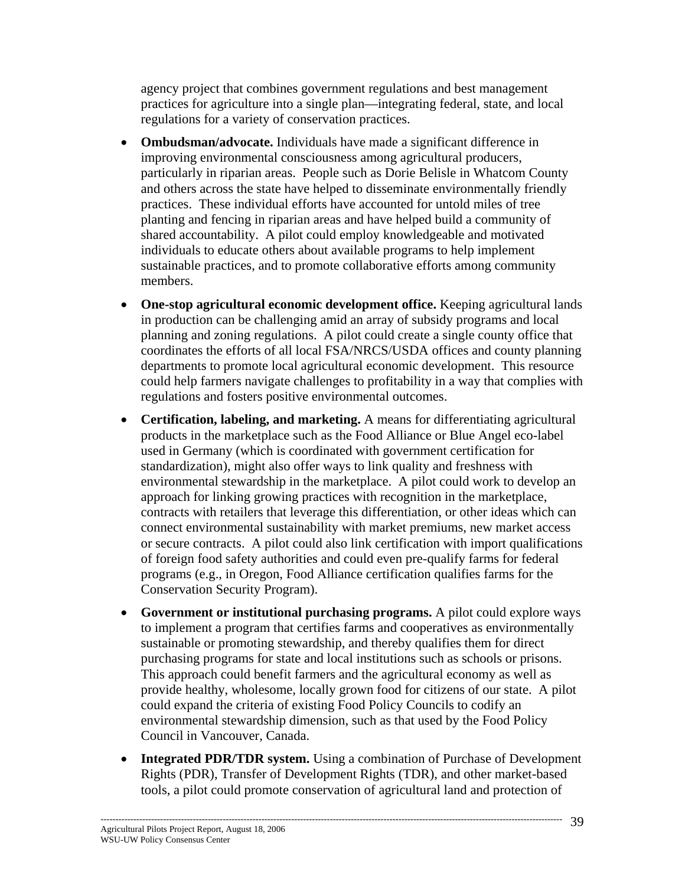agency project that combines government regulations and best management practices for agriculture into a single plan—integrating federal, state, and local regulations for a variety of conservation practices.

- **Ombudsman/advocate.** Individuals have made a significant difference in improving environmental consciousness among agricultural producers, particularly in riparian areas. People such as Dorie Belisle in Whatcom County and others across the state have helped to disseminate environmentally friendly practices. These individual efforts have accounted for untold miles of tree planting and fencing in riparian areas and have helped build a community of shared accountability. A pilot could employ knowledgeable and motivated individuals to educate others about available programs to help implement sustainable practices, and to promote collaborative efforts among community members.
- **One-stop agricultural economic development office.** Keeping agricultural lands in production can be challenging amid an array of subsidy programs and local planning and zoning regulations. A pilot could create a single county office that coordinates the efforts of all local FSA/NRCS/USDA offices and county planning departments to promote local agricultural economic development. This resource could help farmers navigate challenges to profitability in a way that complies with regulations and fosters positive environmental outcomes.
- **Certification, labeling, and marketing.** A means for differentiating agricultural products in the marketplace such as the Food Alliance or Blue Angel eco-label used in Germany (which is coordinated with government certification for standardization), might also offer ways to link quality and freshness with environmental stewardship in the marketplace. A pilot could work to develop an approach for linking growing practices with recognition in the marketplace, contracts with retailers that leverage this differentiation, or other ideas which can connect environmental sustainability with market premiums, new market access or secure contracts. A pilot could also link certification with import qualifications of foreign food safety authorities and could even pre-qualify farms for federal programs (e.g., in Oregon, Food Alliance certification qualifies farms for the Conservation Security Program).
- **Government or institutional purchasing programs.** A pilot could explore ways to implement a program that certifies farms and cooperatives as environmentally sustainable or promoting stewardship, and thereby qualifies them for direct purchasing programs for state and local institutions such as schools or prisons. This approach could benefit farmers and the agricultural economy as well as provide healthy, wholesome, locally grown food for citizens of our state. A pilot could expand the criteria of existing Food Policy Councils to codify an environmental stewardship dimension, such as that used by the Food Policy Council in Vancouver, Canada.
- **Integrated PDR/TDR system.** Using a combination of Purchase of Development Rights (PDR), Transfer of Development Rights (TDR), and other market-based tools, a pilot could promote conservation of agricultural land and protection of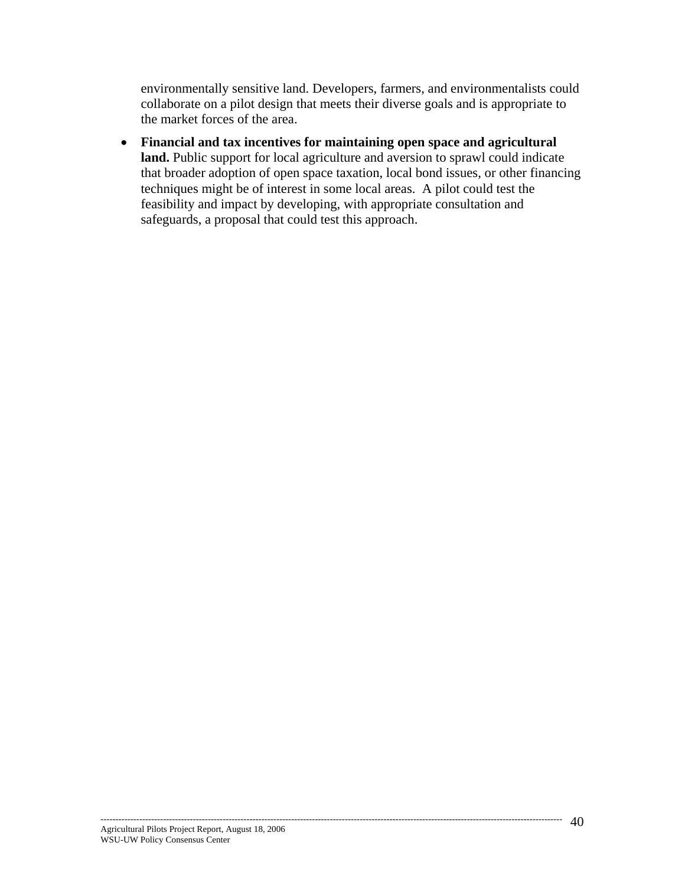environmentally sensitive land. Developers, farmers, and environmentalists could collaborate on a pilot design that meets their diverse goals and is appropriate to the market forces of the area.

• **Financial and tax incentives for maintaining open space and agricultural**  land. Public support for local agriculture and aversion to sprawl could indicate that broader adoption of open space taxation, local bond issues, or other financing techniques might be of interest in some local areas. A pilot could test the feasibility and impact by developing, with appropriate consultation and safeguards, a proposal that could test this approach.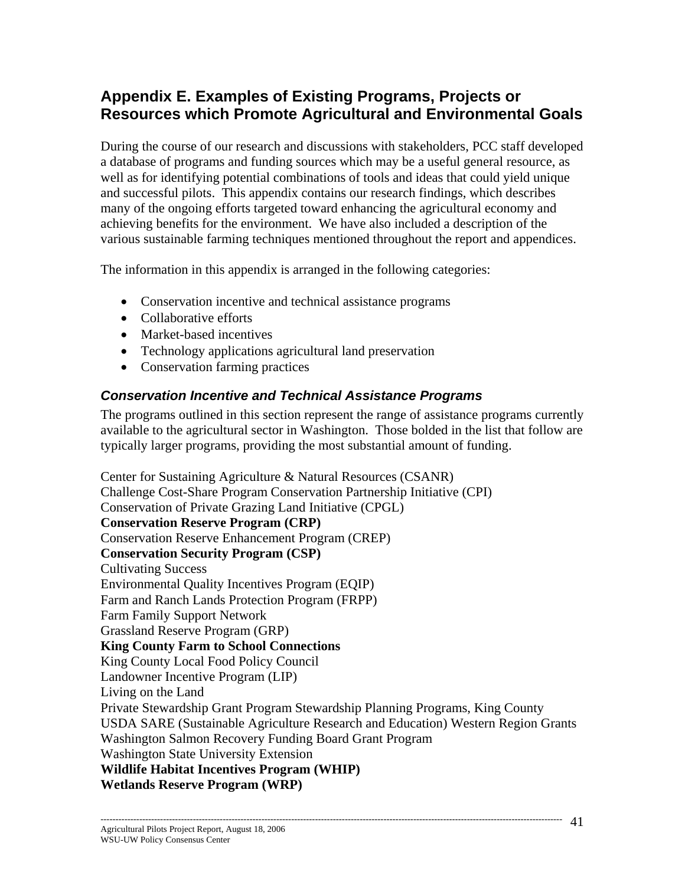# **Appendix E. Examples of Existing Programs, Projects or Resources which Promote Agricultural and Environmental Goals**

During the course of our research and discussions with stakeholders, PCC staff developed a database of programs and funding sources which may be a useful general resource, as well as for identifying potential combinations of tools and ideas that could yield unique and successful pilots. This appendix contains our research findings, which describes many of the ongoing efforts targeted toward enhancing the agricultural economy and achieving benefits for the environment. We have also included a description of the various sustainable farming techniques mentioned throughout the report and appendices.

The information in this appendix is arranged in the following categories:

- Conservation incentive and technical assistance programs
- Collaborative efforts
- Market-based incentives
- Technology applications agricultural land preservation
- Conservation farming practices

#### *Conservation Incentive and Technical Assistance Programs*

The programs outlined in this section represent the range of assistance programs currently available to the agricultural sector in Washington. Those bolded in the list that follow are typically larger programs, providing the most substantial amount of funding.

Center for Sustaining Agriculture & Natural Resources (CSANR) Challenge Cost-Share Program Conservation Partnership Initiative (CPI) Conservation of Private Grazing Land Initiative (CPGL) **Conservation Reserve Program (CRP)**  Conservation Reserve Enhancement Program (CREP) **Conservation Security Program (CSP)**  Cultivating Success Environmental Quality Incentives Program (EQIP) Farm and Ranch Lands Protection Program (FRPP) Farm Family Support Network Grassland Reserve Program (GRP) **King County Farm to School Connections**  King County Local Food Policy Council Landowner Incentive Program (LIP) Living on the Land Private Stewardship Grant Program Stewardship Planning Programs, King County USDA SARE (Sustainable Agriculture Research and Education) Western Region Grants Washington Salmon Recovery Funding Board Grant Program Washington State University Extension **Wildlife Habitat Incentives Program (WHIP) Wetlands Reserve Program (WRP)**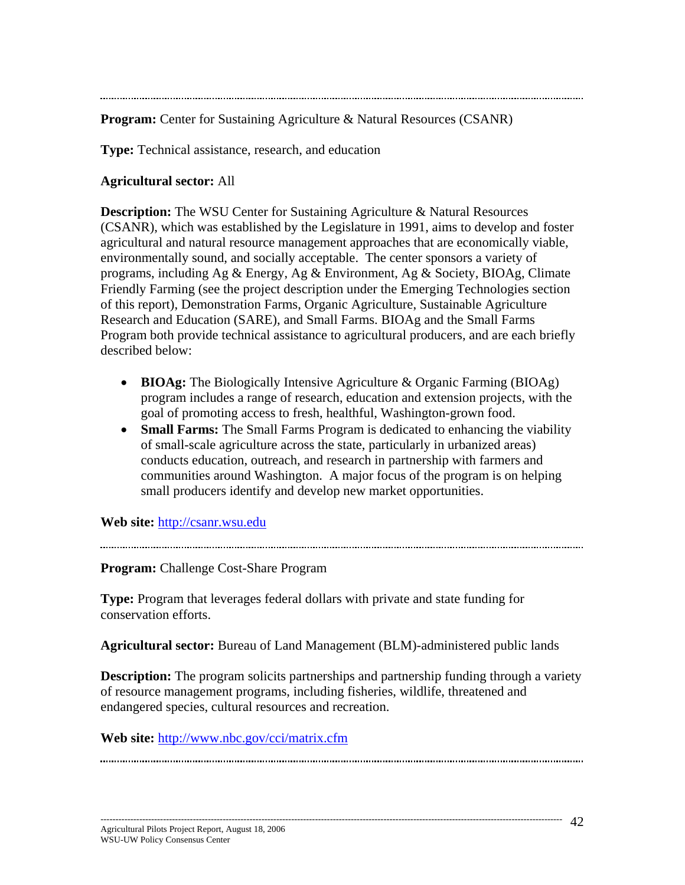**Program:** Center for Sustaining Agriculture & Natural Resources (CSANR)

**Type:** Technical assistance, research, and education

#### **Agricultural sector:** All

**Description:** The WSU Center for Sustaining Agriculture & Natural Resources (CSANR), which was established by the Legislature in 1991, aims to develop and foster agricultural and natural resource management approaches that are economically viable, environmentally sound, and socially acceptable. The center sponsors a variety of programs, including Ag & Energy, Ag & Environment, Ag & Society, BIOAg, Climate Friendly Farming (see the project description under the Emerging Technologies section of this report), Demonstration Farms, Organic Agriculture, Sustainable Agriculture Research and Education (SARE), and Small Farms. BIOAg and the Small Farms Program both provide technical assistance to agricultural producers, and are each briefly described below:

- **BIOAg:** The Biologically Intensive Agriculture & Organic Farming (BIOAg) program includes a range of research, education and extension projects, with the goal of promoting access to fresh, healthful, Washington-grown food.
- **Small Farms:** The Small Farms Program is dedicated to enhancing the viability of small-scale agriculture across the state, particularly in urbanized areas) conducts education, outreach, and research in partnership with farmers and communities around Washington. A major focus of the program is on helping small producers identify and develop new market opportunities.

**Web site:** http://csanr.wsu.edu

**Program:** Challenge Cost-Share Program

**Type:** Program that leverages federal dollars with private and state funding for conservation efforts.

**Agricultural sector:** Bureau of Land Management (BLM)-administered public lands

**Description:** The program solicits partnerships and partnership funding through a variety of resource management programs, including fisheries, wildlife, threatened and endangered species, cultural resources and recreation.

**Web site:** http://www.nbc.gov/cci/matrix.cfm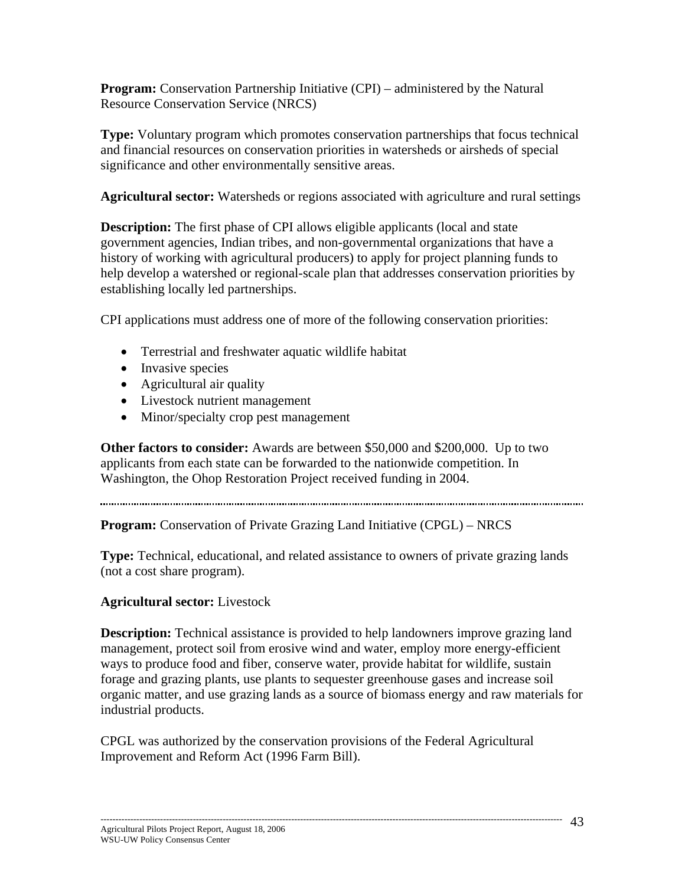**Program:** Conservation Partnership Initiative (CPI) – administered by the Natural Resource Conservation Service (NRCS)

**Type:** Voluntary program which promotes conservation partnerships that focus technical and financial resources on conservation priorities in watersheds or airsheds of special significance and other environmentally sensitive areas.

**Agricultural sector:** Watersheds or regions associated with agriculture and rural settings

**Description:** The first phase of CPI allows eligible applicants (local and state government agencies, Indian tribes, and non-governmental organizations that have a history of working with agricultural producers) to apply for project planning funds to help develop a watershed or regional-scale plan that addresses conservation priorities by establishing locally led partnerships.

CPI applications must address one of more of the following conservation priorities:

- Terrestrial and freshwater aquatic wildlife habitat
- Invasive species
- Agricultural air quality
- Livestock nutrient management
- Minor/specialty crop pest management

**Other factors to consider:** Awards are between \$50,000 and \$200,000. Up to two applicants from each state can be forwarded to the nationwide competition. In Washington, the Ohop Restoration Project received funding in 2004.

**Program:** Conservation of Private Grazing Land Initiative (CPGL) – NRCS

**Type:** Technical, educational, and related assistance to owners of private grazing lands (not a cost share program).

#### **Agricultural sector:** Livestock

**Description:** Technical assistance is provided to help landowners improve grazing land management, protect soil from erosive wind and water, employ more energy-efficient ways to produce food and fiber, conserve water, provide habitat for wildlife, sustain forage and grazing plants, use plants to sequester greenhouse gases and increase soil organic matter, and use grazing lands as a source of biomass energy and raw materials for industrial products.

CPGL was authorized by the conservation provisions of the Federal Agricultural Improvement and Reform Act (1996 Farm Bill).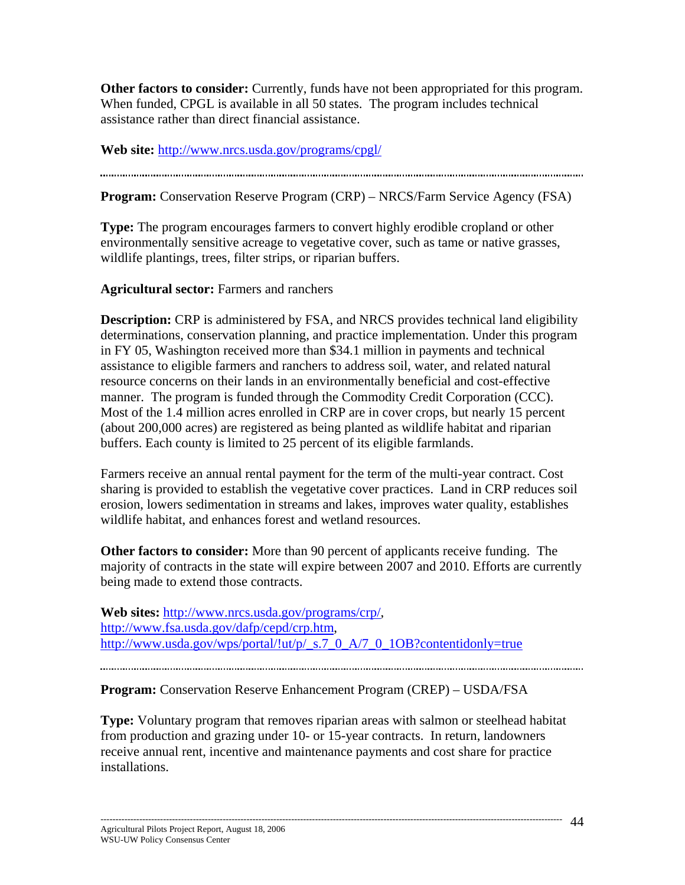**Other factors to consider:** Currently, funds have not been appropriated for this program. When funded, CPGL is available in all 50 states. The program includes technical assistance rather than direct financial assistance.

**Web site:** http://www.nrcs.usda.gov/programs/cpgl/

**Program:** Conservation Reserve Program (CRP) – NRCS/Farm Service Agency (FSA)

**Type:** The program encourages farmers to convert highly erodible cropland or other environmentally sensitive acreage to vegetative cover, such as tame or native grasses, wildlife plantings, trees, filter strips, or riparian buffers.

**Agricultural sector:** Farmers and ranchers

**Description:** CRP is administered by FSA, and NRCS provides technical land eligibility determinations, conservation planning, and practice implementation. Under this program in FY 05, Washington received more than \$34.1 million in payments and technical assistance to eligible farmers and ranchers to address soil, water, and related natural resource concerns on their lands in an environmentally beneficial and cost-effective manner. The program is funded through the Commodity Credit Corporation (CCC). Most of the 1.4 million acres enrolled in CRP are in cover crops, but nearly 15 percent (about 200,000 acres) are registered as being planted as wildlife habitat and riparian buffers. Each county is limited to 25 percent of its eligible farmlands.

Farmers receive an annual rental payment for the term of the multi-year contract. Cost sharing is provided to establish the vegetative cover practices. Land in CRP reduces soil erosion, lowers sedimentation in streams and lakes, improves water quality, establishes wildlife habitat, and enhances forest and wetland resources.

**Other factors to consider:** More than 90 percent of applicants receive funding. The majority of contracts in the state will expire between 2007 and 2010. Efforts are currently being made to extend those contracts.

**Web sites:** http://www.nrcs.usda.gov/programs/crp/, http://www.fsa.usda.gov/dafp/cepd/crp.htm, http://www.usda.gov/wps/portal/!ut/p/\_s.7\_0\_A/7\_0\_1OB?contentidonly=true

**Program:** Conservation Reserve Enhancement Program (CREP) – USDA/FSA

**Type:** Voluntary program that removes riparian areas with salmon or steelhead habitat from production and grazing under 10- or 15-year contracts. In return, landowners receive annual rent, incentive and maintenance payments and cost share for practice installations.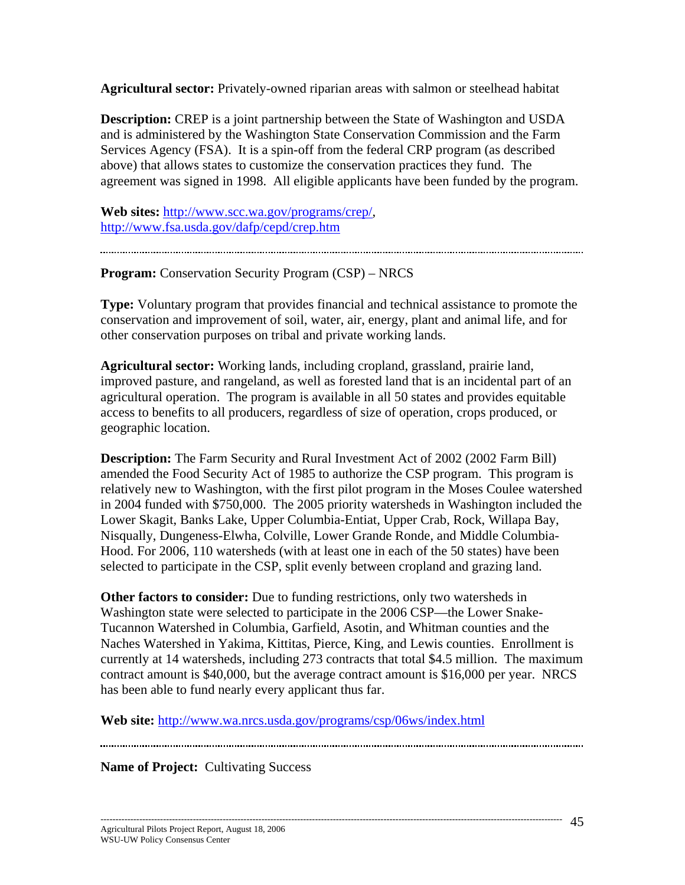**Agricultural sector:** Privately-owned riparian areas with salmon or steelhead habitat

**Description:** CREP is a joint partnership between the State of Washington and USDA and is administered by the Washington State Conservation Commission and the Farm Services Agency (FSA). It is a spin-off from the federal CRP program (as described above) that allows states to customize the conservation practices they fund. The agreement was signed in 1998. All eligible applicants have been funded by the program.

**Web sites:** http://www.scc.wa.gov/programs/crep/, http://www.fsa.usda.gov/dafp/cepd/crep.htm

**Program:** Conservation Security Program (CSP) – NRCS

**Type:** Voluntary program that provides financial and technical assistance to promote the conservation and improvement of soil, water, air, energy, plant and animal life, and for other conservation purposes on tribal and private working lands.

**Agricultural sector:** Working lands, including cropland, grassland, prairie land, improved pasture, and rangeland, as well as forested land that is an incidental part of an agricultural operation. The program is available in all 50 states and provides equitable access to benefits to all producers, regardless of size of operation, crops produced, or geographic location.

**Description:** The Farm Security and Rural Investment Act of 2002 (2002 Farm Bill) amended the Food Security Act of 1985 to authorize the CSP program. This program is relatively new to Washington, with the first pilot program in the Moses Coulee watershed in 2004 funded with \$750,000. The 2005 priority watersheds in Washington included the Lower Skagit, Banks Lake, Upper Columbia-Entiat, Upper Crab, Rock, Willapa Bay, Nisqually, Dungeness-Elwha, Colville, Lower Grande Ronde, and Middle Columbia-Hood. For 2006, 110 watersheds (with at least one in each of the 50 states) have been selected to participate in the CSP, split evenly between cropland and grazing land.

**Other factors to consider:** Due to funding restrictions, only two watersheds in Washington state were selected to participate in the 2006 CSP—the Lower Snake-Tucannon Watershed in Columbia, Garfield, Asotin, and Whitman counties and the Naches Watershed in Yakima, Kittitas, Pierce, King, and Lewis counties. Enrollment is currently at 14 watersheds, including 273 contracts that total \$4.5 million. The maximum contract amount is \$40,000, but the average contract amount is \$16,000 per year. NRCS has been able to fund nearly every applicant thus far.

**Web site:** http://www.wa.nrcs.usda.gov/programs/csp/06ws/index.html

**Name of Project:** Cultivating Success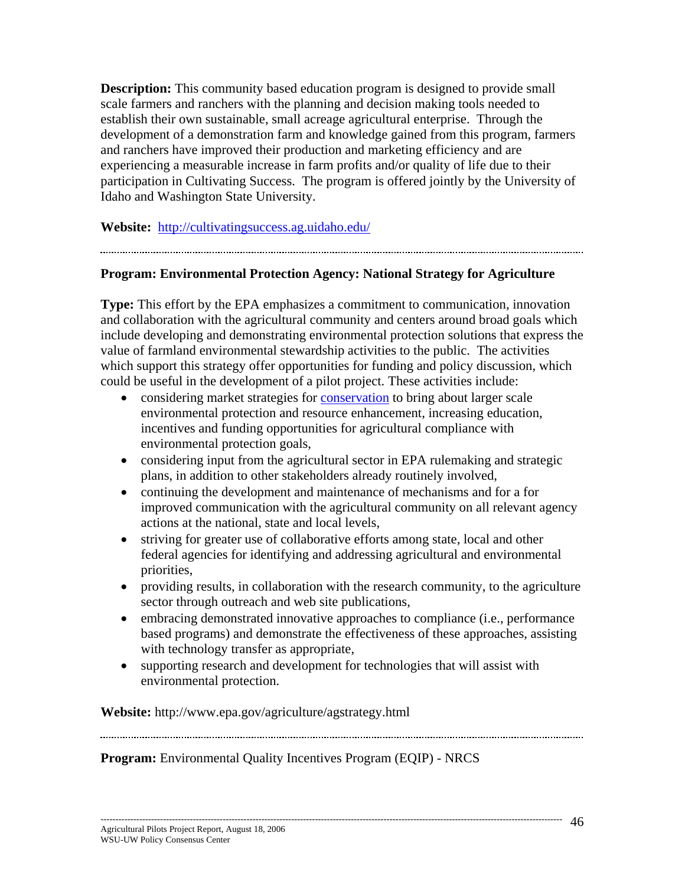**Description:** This community based education program is designed to provide small scale farmers and ranchers with the planning and decision making tools needed to establish their own sustainable, small acreage agricultural enterprise. Through the development of a demonstration farm and knowledge gained from this program, farmers and ranchers have improved their production and marketing efficiency and are experiencing a measurable increase in farm profits and/or quality of life due to their participation in Cultivating Success. The program is offered jointly by the University of Idaho and Washington State University.

**Website:** http://cultivatingsuccess.ag.uidaho.edu/

# **Program: Environmental Protection Agency: National Strategy for Agriculture**

## **Type:** This effort by the EPA emphasizes a commitment to communication, innovation and collaboration with the agricultural community and centers around broad goals which include developing and demonstrating environmental protection solutions that express the value of farmland environmental stewardship activities to the public. The activities which support this strategy offer opportunities for funding and policy discussion, which

- could be useful in the development of a pilot project. These activities include: • considering market strategies for conservation to bring about larger scale environmental protection and resource enhancement, increasing education,
	- incentives and funding opportunities for agricultural compliance with environmental protection goals,
	- considering input from the agricultural sector in EPA rulemaking and strategic plans, in addition to other stakeholders already routinely involved,
	- continuing the development and maintenance of mechanisms and for a for improved communication with the agricultural community on all relevant agency actions at the national, state and local levels,
	- striving for greater use of collaborative efforts among state, local and other federal agencies for identifying and addressing agricultural and environmental priorities,
	- providing results, in collaboration with the research community, to the agriculture sector through outreach and web site publications,
	- embracing demonstrated innovative approaches to compliance (i.e., performance based programs) and demonstrate the effectiveness of these approaches, assisting with technology transfer as appropriate,

• supporting research and development for technologies that will assist with environmental protection.

**Website:** http://www.epa.gov/agriculture/agstrategy.html

#### **Program:** Environmental Quality Incentives Program (EQIP) - NRCS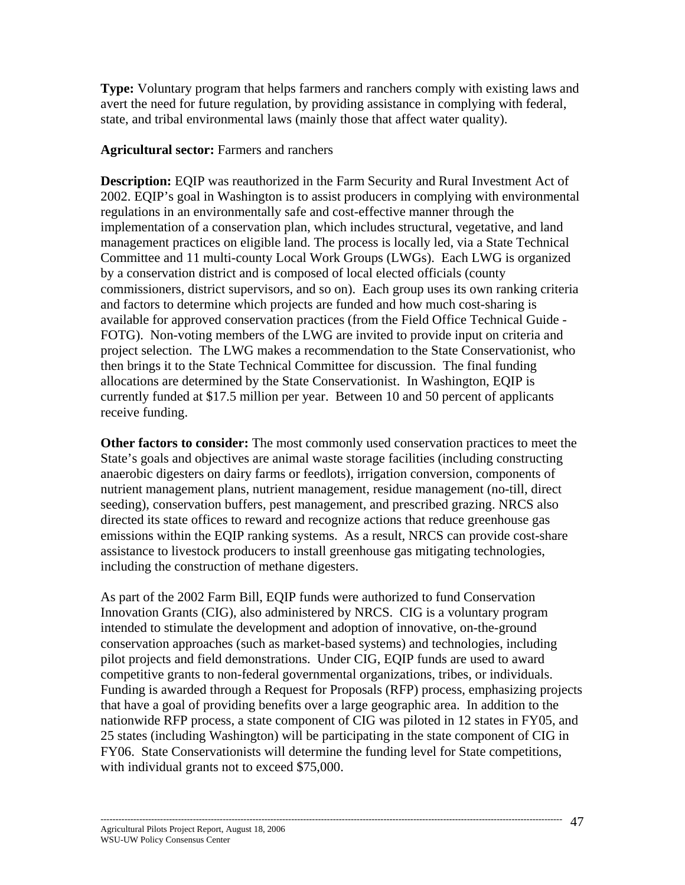**Type:** Voluntary program that helps farmers and ranchers comply with existing laws and avert the need for future regulation, by providing assistance in complying with federal, state, and tribal environmental laws (mainly those that affect water quality).

#### **Agricultural sector:** Farmers and ranchers

**Description:** EQIP was reauthorized in the Farm Security and Rural Investment Act of 2002. EQIP's goal in Washington is to assist producers in complying with environmental regulations in an environmentally safe and cost-effective manner through the implementation of a conservation plan, which includes structural, vegetative, and land management practices on eligible land. The process is locally led, via a State Technical Committee and 11 multi-county Local Work Groups (LWGs). Each LWG is organized by a conservation district and is composed of local elected officials (county commissioners, district supervisors, and so on). Each group uses its own ranking criteria and factors to determine which projects are funded and how much cost-sharing is available for approved conservation practices (from the Field Office Technical Guide - FOTG). Non-voting members of the LWG are invited to provide input on criteria and project selection. The LWG makes a recommendation to the State Conservationist, who then brings it to the State Technical Committee for discussion. The final funding allocations are determined by the State Conservationist. In Washington, EQIP is currently funded at \$17.5 million per year. Between 10 and 50 percent of applicants receive funding.

**Other factors to consider:** The most commonly used conservation practices to meet the State's goals and objectives are animal waste storage facilities (including constructing anaerobic digesters on dairy farms or feedlots), irrigation conversion, components of nutrient management plans, nutrient management, residue management (no-till, direct seeding), conservation buffers, pest management, and prescribed grazing. NRCS also directed its state offices to reward and recognize actions that reduce greenhouse gas emissions within the EQIP ranking systems. As a result, NRCS can provide cost-share assistance to livestock producers to install greenhouse gas mitigating technologies, including the construction of methane digesters.

As part of the 2002 Farm Bill, EQIP funds were authorized to fund Conservation Innovation Grants (CIG), also administered by NRCS. CIG is a voluntary program intended to stimulate the development and adoption of innovative, on-the-ground conservation approaches (such as market-based systems) and technologies, including pilot projects and field demonstrations. Under CIG, EQIP funds are used to award competitive grants to non-federal governmental organizations, tribes, or individuals. Funding is awarded through a Request for Proposals (RFP) process, emphasizing projects that have a goal of providing benefits over a large geographic area. In addition to the nationwide RFP process, a state component of CIG was piloted in 12 states in FY05, and 25 states (including Washington) will be participating in the state component of CIG in FY06. State Conservationists will determine the funding level for State competitions, with individual grants not to exceed \$75,000.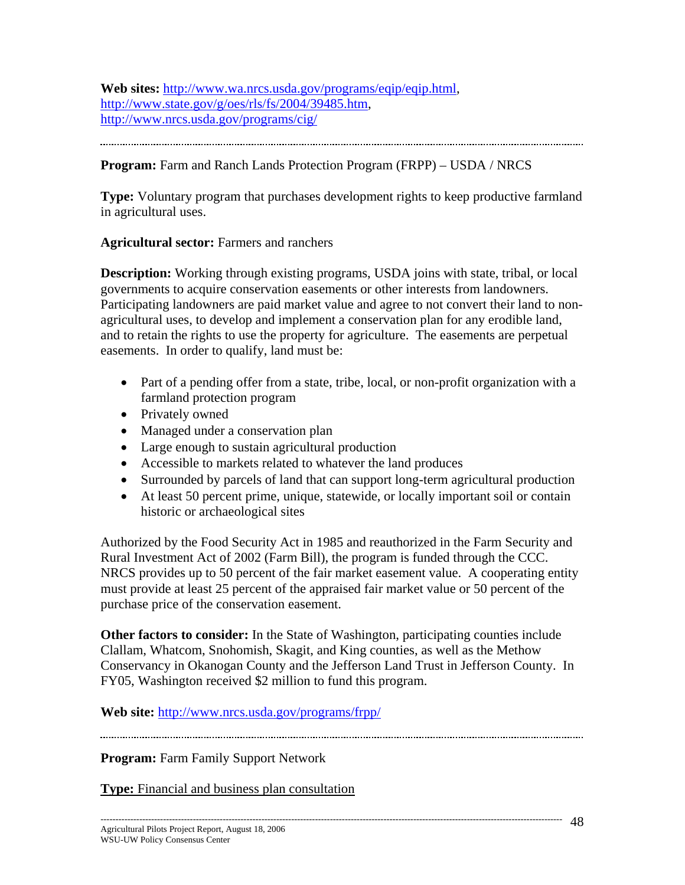**Web sites:** http://www.wa.nrcs.usda.gov/programs/eqip/eqip.html, http://www.state.gov/g/oes/rls/fs/2004/39485.htm, http://www.nrcs.usda.gov/programs/cig/

## **Program:** Farm and Ranch Lands Protection Program (FRPP) – USDA / NRCS

**Type:** Voluntary program that purchases development rights to keep productive farmland in agricultural uses.

#### **Agricultural sector:** Farmers and ranchers

**Description:** Working through existing programs, USDA joins with state, tribal, or local governments to acquire conservation easements or other interests from landowners. Participating landowners are paid market value and agree to not convert their land to nonagricultural uses, to develop and implement a conservation plan for any erodible land, and to retain the rights to use the property for agriculture. The easements are perpetual easements. In order to qualify, land must be:

- Part of a pending offer from a state, tribe, local, or non-profit organization with a farmland protection program
- Privately owned
- Managed under a conservation plan
- Large enough to sustain agricultural production
- Accessible to markets related to whatever the land produces
- Surrounded by parcels of land that can support long-term agricultural production
- At least 50 percent prime, unique, statewide, or locally important soil or contain historic or archaeological sites

Authorized by the Food Security Act in 1985 and reauthorized in the Farm Security and Rural Investment Act of 2002 (Farm Bill), the program is funded through the CCC. NRCS provides up to 50 percent of the fair market easement value. A cooperating entity must provide at least 25 percent of the appraised fair market value or 50 percent of the purchase price of the conservation easement.

**Other factors to consider:** In the State of Washington, participating counties include Clallam, Whatcom, Snohomish, Skagit, and King counties, as well as the Methow Conservancy in Okanogan County and the Jefferson Land Trust in Jefferson County. In FY05, Washington received \$2 million to fund this program.

**Web site:** http://www.nrcs.usda.gov/programs/frpp/

**Program:** Farm Family Support Network

**Type:** Financial and business plan consultation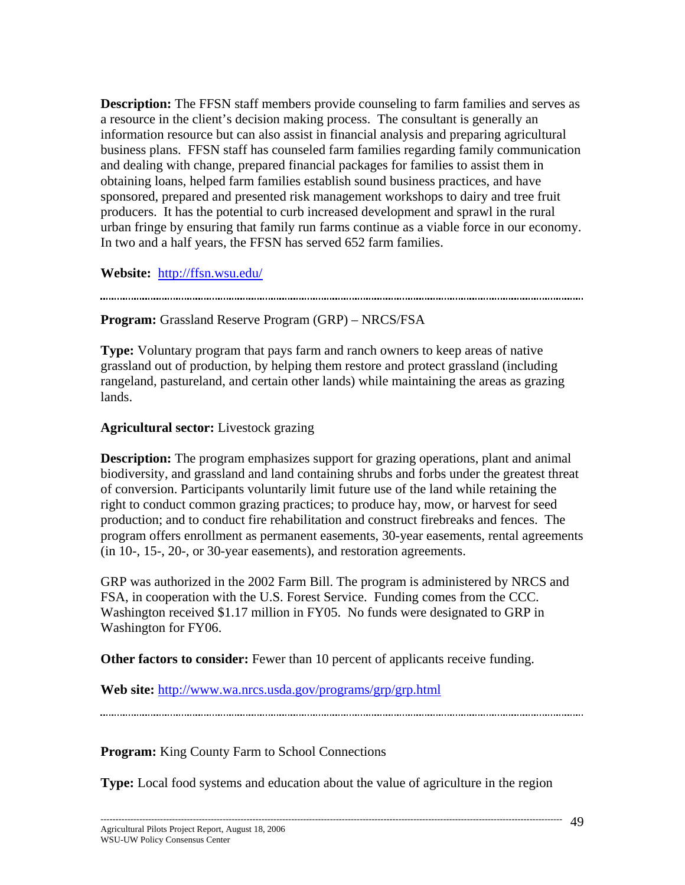**Description:** The FFSN staff members provide counseling to farm families and serves as a resource in the client's decision making process. The consultant is generally an information resource but can also assist in financial analysis and preparing agricultural business plans. FFSN staff has counseled farm families regarding family communication and dealing with change, prepared financial packages for families to assist them in obtaining loans, helped farm families establish sound business practices, and have sponsored, prepared and presented risk management workshops to dairy and tree fruit producers. It has the potential to curb increased development and sprawl in the rural urban fringe by ensuring that family run farms continue as a viable force in our economy. In two and a half years, the FFSN has served 652 farm families.

**Website:** http://ffsn.wsu.edu/

**Program:** Grassland Reserve Program (GRP) – NRCS/FSA

**Type:** Voluntary program that pays farm and ranch owners to keep areas of native grassland out of production, by helping them restore and protect grassland (including rangeland, pastureland, and certain other lands) while maintaining the areas as grazing lands.

#### **Agricultural sector:** Livestock grazing

**Description:** The program emphasizes support for grazing operations, plant and animal biodiversity, and grassland and land containing shrubs and forbs under the greatest threat of conversion. Participants voluntarily limit future use of the land while retaining the right to conduct common grazing practices; to produce hay, mow, or harvest for seed production; and to conduct fire rehabilitation and construct firebreaks and fences. The program offers enrollment as permanent easements, 30-year easements, rental agreements (in 10-, 15-, 20-, or 30-year easements), and restoration agreements.

GRP was authorized in the 2002 Farm Bill. The program is administered by NRCS and FSA, in cooperation with the U.S. Forest Service. Funding comes from the CCC. Washington received \$1.17 million in FY05. No funds were designated to GRP in Washington for FY06.

**Other factors to consider:** Fewer than 10 percent of applicants receive funding.

**Web site:** http://www.wa.nrcs.usda.gov/programs/grp/grp.html

**Program:** King County Farm to School Connections

**Type:** Local food systems and education about the value of agriculture in the region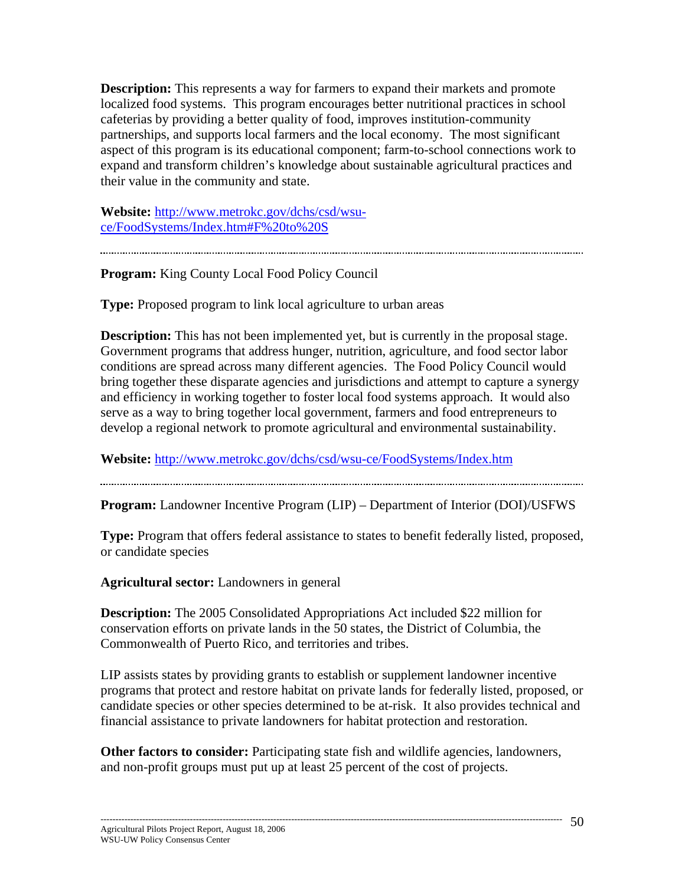**Description:** This represents a way for farmers to expand their markets and promote localized food systems. This program encourages better nutritional practices in school cafeterias by providing a better quality of food, improves institution-community partnerships, and supports local farmers and the local economy. The most significant aspect of this program is its educational component; farm-to-school connections work to expand and transform children's knowledge about sustainable agricultural practices and their value in the community and state.

**Website:** http://www.metrokc.gov/dchs/csd/wsuce/FoodSystems/Index.htm#F%20to%20S

**Program:** King County Local Food Policy Council

**Type:** Proposed program to link local agriculture to urban areas

**Description:** This has not been implemented yet, but is currently in the proposal stage. Government programs that address hunger, nutrition, agriculture, and food sector labor conditions are spread across many different agencies. The Food Policy Council would bring together these disparate agencies and jurisdictions and attempt to capture a synergy and efficiency in working together to foster local food systems approach. It would also serve as a way to bring together local government, farmers and food entrepreneurs to develop a regional network to promote agricultural and environmental sustainability.

**Website:** http://www.metrokc.gov/dchs/csd/wsu-ce/FoodSystems/Index.htm

**Program:** Landowner Incentive Program (LIP) – Department of Interior (DOI)/USFWS

**Type:** Program that offers federal assistance to states to benefit federally listed, proposed, or candidate species

**Agricultural sector:** Landowners in general

**Description:** The 2005 Consolidated Appropriations Act included \$22 million for conservation efforts on private lands in the 50 states, the District of Columbia, the Commonwealth of Puerto Rico, and territories and tribes.

LIP assists states by providing grants to establish or supplement landowner incentive programs that protect and restore habitat on private lands for federally listed, proposed, or candidate species or other species determined to be at-risk. It also provides technical and financial assistance to private landowners for habitat protection and restoration.

**Other factors to consider:** Participating state fish and wildlife agencies, landowners, and non-profit groups must put up at least 25 percent of the cost of projects.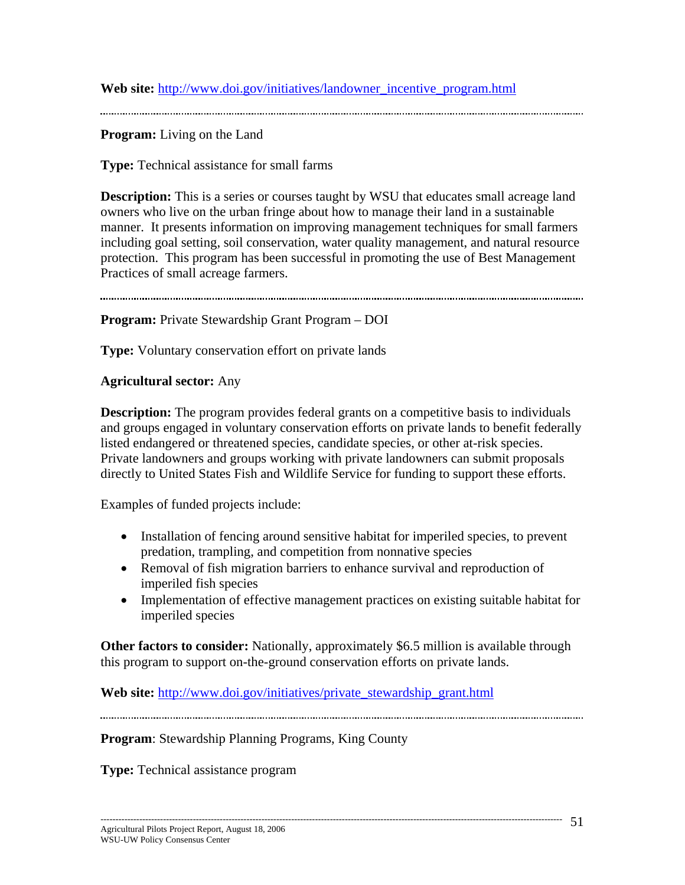**Web site:** http://www.doi.gov/initiatives/landowner\_incentive\_program.html

**Program:** Living on the Land

**Type:** Technical assistance for small farms

**Description:** This is a series or courses taught by WSU that educates small acreage land owners who live on the urban fringe about how to manage their land in a sustainable manner. It presents information on improving management techniques for small farmers including goal setting, soil conservation, water quality management, and natural resource protection. This program has been successful in promoting the use of Best Management Practices of small acreage farmers.

**Program:** Private Stewardship Grant Program – DOI

**Type:** Voluntary conservation effort on private lands

#### **Agricultural sector:** Any

**Description:** The program provides federal grants on a competitive basis to individuals and groups engaged in voluntary conservation efforts on private lands to benefit federally listed endangered or threatened species, candidate species, or other at-risk species. Private landowners and groups working with private landowners can submit proposals directly to United States Fish and Wildlife Service for funding to support these efforts.

Examples of funded projects include:

- Installation of fencing around sensitive habitat for imperiled species, to prevent predation, trampling, and competition from nonnative species
- Removal of fish migration barriers to enhance survival and reproduction of imperiled fish species
- Implementation of effective management practices on existing suitable habitat for imperiled species

**Other factors to consider:** Nationally, approximately \$6.5 million is available through this program to support on-the-ground conservation efforts on private lands.

**Web site:** http://www.doi.gov/initiatives/private\_stewardship\_grant.html

**Program**: Stewardship Planning Programs, King County

**Type:** Technical assistance program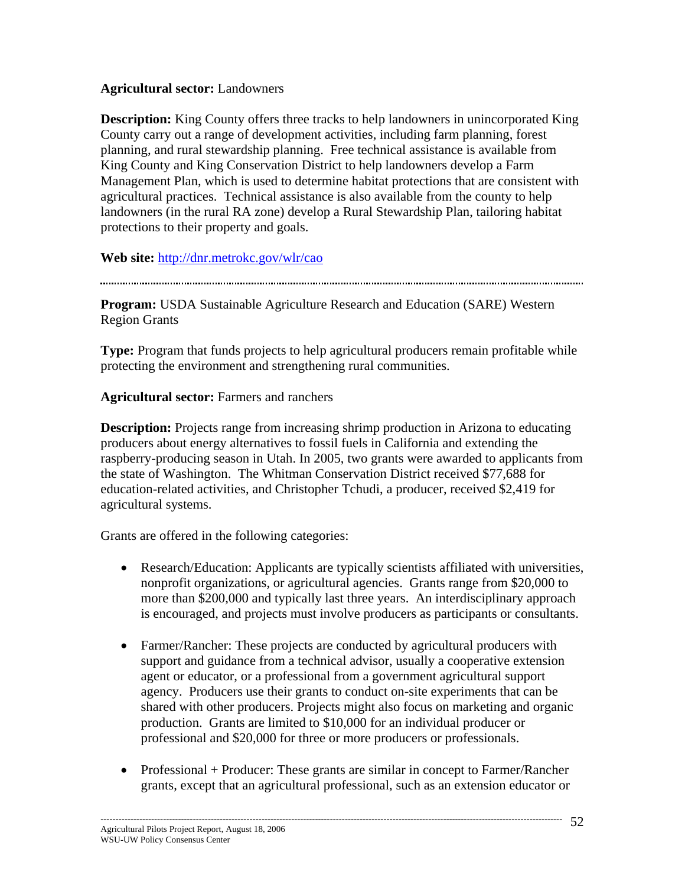#### **Agricultural sector:** Landowners

**Description:** King County offers three tracks to help landowners in unincorporated King County carry out a range of development activities, including farm planning, forest planning, and rural stewardship planning. Free technical assistance is available from King County and King Conservation District to help landowners develop a Farm Management Plan, which is used to determine habitat protections that are consistent with agricultural practices. Technical assistance is also available from the county to help landowners (in the rural RA zone) develop a Rural Stewardship Plan, tailoring habitat protections to their property and goals.

**Web site:** http://dnr.metrokc.gov/wlr/cao

**Program:** USDA Sustainable Agriculture Research and Education (SARE) Western Region Grants

**Type:** Program that funds projects to help agricultural producers remain profitable while protecting the environment and strengthening rural communities.

#### **Agricultural sector:** Farmers and ranchers

**Description:** Projects range from increasing shrimp production in Arizona to educating producers about energy alternatives to fossil fuels in California and extending the raspberry-producing season in Utah. In 2005, two grants were awarded to applicants from the state of Washington. The Whitman Conservation District received \$77,688 for education-related activities, and Christopher Tchudi, a producer, received \$2,419 for agricultural systems.

Grants are offered in the following categories:

- Research/Education: Applicants are typically scientists affiliated with universities, nonprofit organizations, or agricultural agencies. Grants range from \$20,000 to more than \$200,000 and typically last three years. An interdisciplinary approach is encouraged, and projects must involve producers as participants or consultants.
- Farmer/Rancher: These projects are conducted by agricultural producers with support and guidance from a technical advisor, usually a cooperative extension agent or educator, or a professional from a government agricultural support agency. Producers use their grants to conduct on-site experiments that can be shared with other producers. Projects might also focus on marketing and organic production. Grants are limited to \$10,000 for an individual producer or professional and \$20,000 for three or more producers or professionals.
- Professional + Producer: These grants are similar in concept to Farmer/Rancher grants, except that an agricultural professional, such as an extension educator or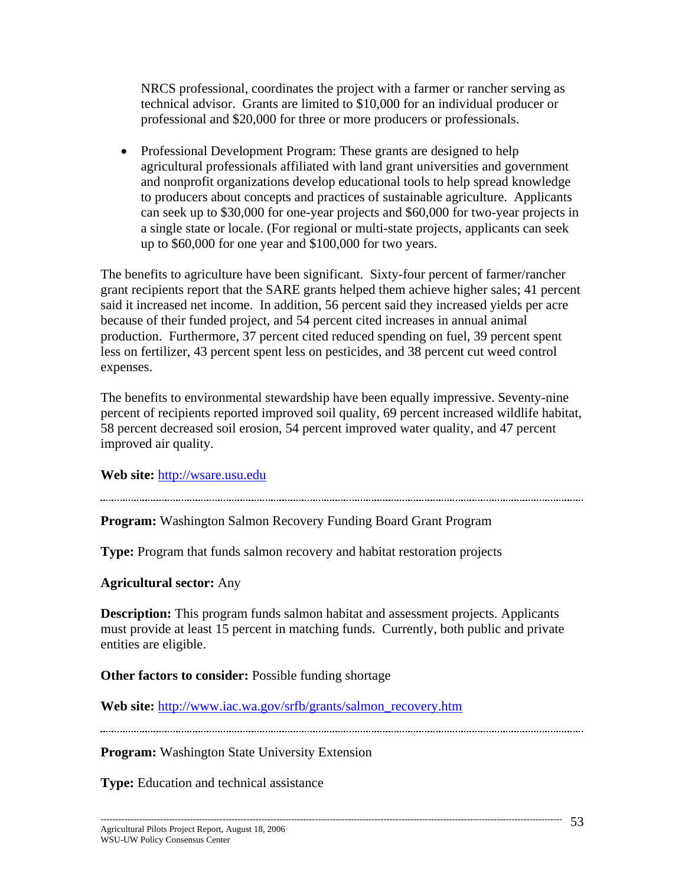NRCS professional, coordinates the project with a farmer or rancher serving as technical advisor. Grants are limited to \$10,000 for an individual producer or professional and \$20,000 for three or more producers or professionals.

• Professional Development Program: These grants are designed to help agricultural professionals affiliated with land grant universities and government and nonprofit organizations develop educational tools to help spread knowledge to producers about concepts and practices of sustainable agriculture. Applicants can seek up to \$30,000 for one-year projects and \$60,000 for two-year projects in a single state or locale. (For regional or multi-state projects, applicants can seek up to \$60,000 for one year and \$100,000 for two years.

The benefits to agriculture have been significant. Sixty-four percent of farmer/rancher grant recipients report that the SARE grants helped them achieve higher sales; 41 percent said it increased net income. In addition, 56 percent said they increased yields per acre because of their funded project, and 54 percent cited increases in annual animal production. Furthermore, 37 percent cited reduced spending on fuel, 39 percent spent less on fertilizer, 43 percent spent less on pesticides, and 38 percent cut weed control expenses.

The benefits to environmental stewardship have been equally impressive. Seventy-nine percent of recipients reported improved soil quality, 69 percent increased wildlife habitat, 58 percent decreased soil erosion, 54 percent improved water quality, and 47 percent improved air quality.

**Web site:** http://wsare.usu.edu

**Program:** Washington Salmon Recovery Funding Board Grant Program

**Type:** Program that funds salmon recovery and habitat restoration projects

**Agricultural sector:** Any

**Description:** This program funds salmon habitat and assessment projects. Applicants must provide at least 15 percent in matching funds. Currently, both public and private entities are eligible.

**Other factors to consider:** Possible funding shortage

**Web site:** http://www.iac.wa.gov/srfb/grants/salmon\_recovery.htm

**Program:** Washington State University Extension

**Type:** Education and technical assistance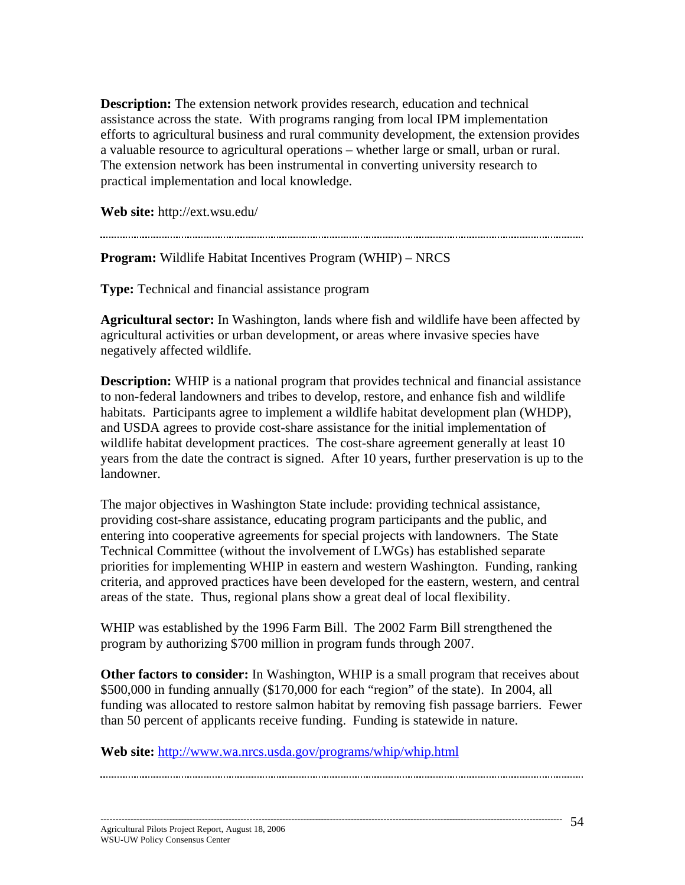**Description:** The extension network provides research, education and technical assistance across the state. With programs ranging from local IPM implementation efforts to agricultural business and rural community development, the extension provides a valuable resource to agricultural operations – whether large or small, urban or rural. The extension network has been instrumental in converting university research to practical implementation and local knowledge.

**Web site:** http://ext.wsu.edu/

**Program:** Wildlife Habitat Incentives Program (WHIP) – NRCS

**Type:** Technical and financial assistance program

**Agricultural sector:** In Washington, lands where fish and wildlife have been affected by agricultural activities or urban development, or areas where invasive species have negatively affected wildlife.

**Description:** WHIP is a national program that provides technical and financial assistance to non-federal landowners and tribes to develop, restore, and enhance fish and wildlife habitats. Participants agree to implement a wildlife habitat development plan (WHDP), and USDA agrees to provide cost-share assistance for the initial implementation of wildlife habitat development practices. The cost-share agreement generally at least 10 years from the date the contract is signed. After 10 years, further preservation is up to the landowner.

The major objectives in Washington State include: providing technical assistance, providing cost-share assistance, educating program participants and the public, and entering into cooperative agreements for special projects with landowners. The State Technical Committee (without the involvement of LWGs) has established separate priorities for implementing WHIP in eastern and western Washington. Funding, ranking criteria, and approved practices have been developed for the eastern, western, and central areas of the state. Thus, regional plans show a great deal of local flexibility.

WHIP was established by the 1996 Farm Bill. The 2002 Farm Bill strengthened the program by authorizing \$700 million in program funds through 2007.

**Other factors to consider:** In Washington, WHIP is a small program that receives about \$500,000 in funding annually (\$170,000 for each "region" of the state). In 2004, all funding was allocated to restore salmon habitat by removing fish passage barriers. Fewer than 50 percent of applicants receive funding. Funding is statewide in nature.

**Web site:** http://www.wa.nrcs.usda.gov/programs/whip/whip.html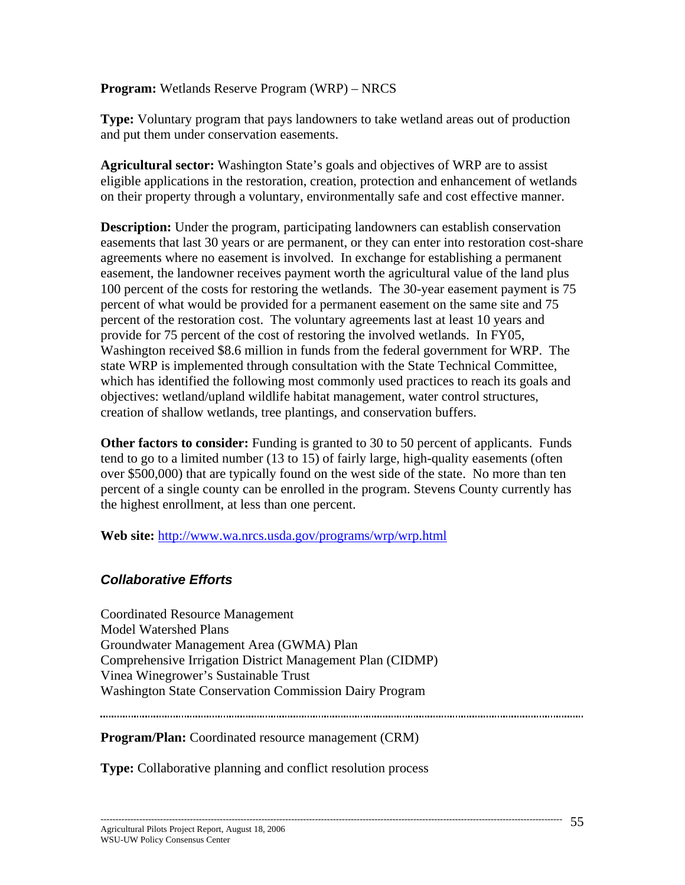#### **Program:** Wetlands Reserve Program (WRP) – NRCS

**Type:** Voluntary program that pays landowners to take wetland areas out of production and put them under conservation easements.

**Agricultural sector:** Washington State's goals and objectives of WRP are to assist eligible applications in the restoration, creation, protection and enhancement of wetlands on their property through a voluntary, environmentally safe and cost effective manner.

**Description:** Under the program, participating landowners can establish conservation easements that last 30 years or are permanent, or they can enter into restoration cost-share agreements where no easement is involved. In exchange for establishing a permanent easement, the landowner receives payment worth the agricultural value of the land plus 100 percent of the costs for restoring the wetlands. The 30-year easement payment is 75 percent of what would be provided for a permanent easement on the same site and 75 percent of the restoration cost. The voluntary agreements last at least 10 years and provide for 75 percent of the cost of restoring the involved wetlands. In FY05, Washington received \$8.6 million in funds from the federal government for WRP. The state WRP is implemented through consultation with the State Technical Committee, which has identified the following most commonly used practices to reach its goals and objectives: wetland/upland wildlife habitat management, water control structures, creation of shallow wetlands, tree plantings, and conservation buffers.

**Other factors to consider:** Funding is granted to 30 to 50 percent of applicants. Funds tend to go to a limited number (13 to 15) of fairly large, high-quality easements (often over \$500,000) that are typically found on the west side of the state. No more than ten percent of a single county can be enrolled in the program. Stevens County currently has the highest enrollment, at less than one percent.

**Web site:** http://www.wa.nrcs.usda.gov/programs/wrp/wrp.html

#### *Collaborative Efforts*

Coordinated Resource Management Model Watershed Plans Groundwater Management Area (GWMA) Plan Comprehensive Irrigation District Management Plan (CIDMP) Vinea Winegrower's Sustainable Trust Washington State Conservation Commission Dairy Program

**Program/Plan:** Coordinated resource management (CRM)

**Type:** Collaborative planning and conflict resolution process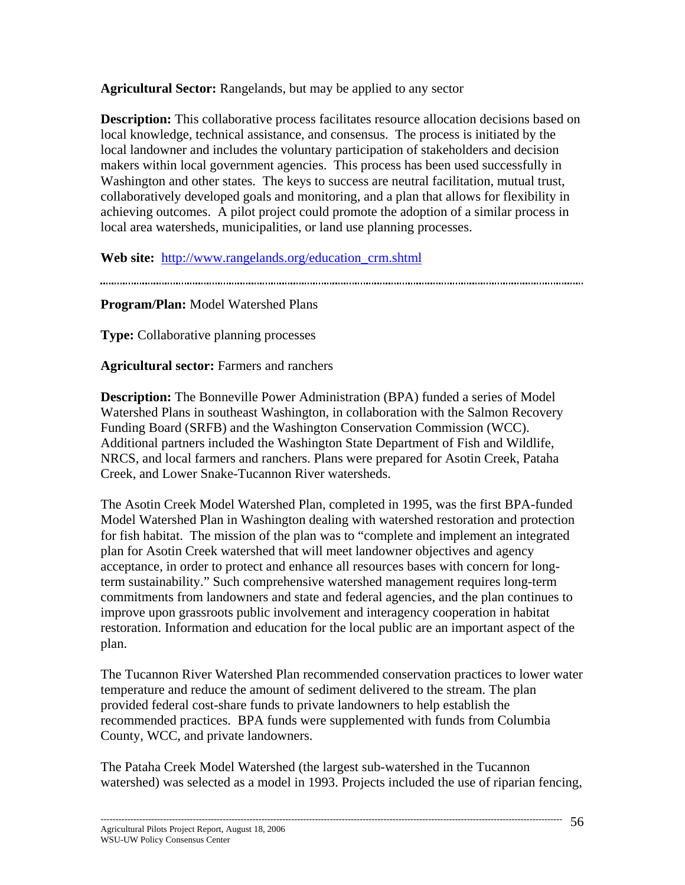**Agricultural Sector:** Rangelands, but may be applied to any sector

**Description:** This collaborative process facilitates resource allocation decisions based on local knowledge, technical assistance, and consensus. The process is initiated by the local landowner and includes the voluntary participation of stakeholders and decision makers within local government agencies. This process has been used successfully in Washington and other states. The keys to success are neutral facilitation, mutual trust, collaboratively developed goals and monitoring, and a plan that allows for flexibility in achieving outcomes. A pilot project could promote the adoption of a similar process in local area watersheds, municipalities, or land use planning processes.

**Web site:** http://www.rangelands.org/education\_crm.shtml

**Program/Plan:** Model Watershed Plans

**Type:** Collaborative planning processes

**Agricultural sector:** Farmers and ranchers

**Description:** The Bonneville Power Administration (BPA) funded a series of Model Watershed Plans in southeast Washington, in collaboration with the Salmon Recovery Funding Board (SRFB) and the Washington Conservation Commission (WCC). Additional partners included the Washington State Department of Fish and Wildlife, NRCS, and local farmers and ranchers. Plans were prepared for Asotin Creek, Pataha Creek, and Lower Snake-Tucannon River watersheds.

The Asotin Creek Model Watershed Plan, completed in 1995, was the first BPA-funded Model Watershed Plan in Washington dealing with watershed restoration and protection for fish habitat. The mission of the plan was to "complete and implement an integrated plan for Asotin Creek watershed that will meet landowner objectives and agency acceptance, in order to protect and enhance all resources bases with concern for longterm sustainability." Such comprehensive watershed management requires long-term commitments from landowners and state and federal agencies, and the plan continues to improve upon grassroots public involvement and interagency cooperation in habitat restoration. Information and education for the local public are an important aspect of the plan.

The Tucannon River Watershed Plan recommended conservation practices to lower water temperature and reduce the amount of sediment delivered to the stream. The plan provided federal cost-share funds to private landowners to help establish the recommended practices. BPA funds were supplemented with funds from Columbia County, WCC, and private landowners.

The Pataha Creek Model Watershed (the largest sub-watershed in the Tucannon watershed) was selected as a model in 1993. Projects included the use of riparian fencing,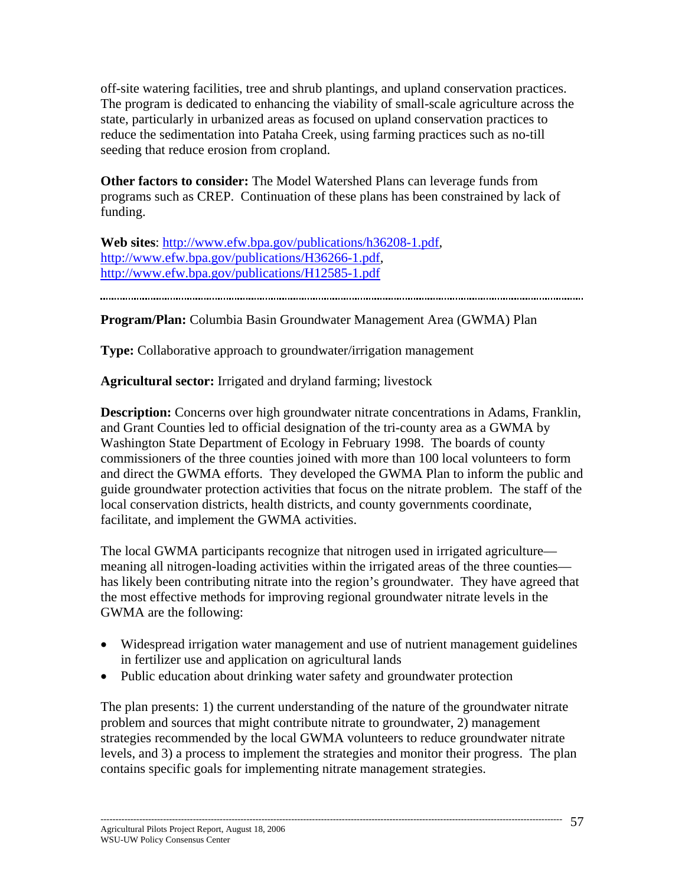off-site watering facilities, tree and shrub plantings, and upland conservation practices. The program is dedicated to enhancing the viability of small-scale agriculture across the state, particularly in urbanized areas as focused on upland conservation practices to reduce the sedimentation into Pataha Creek, using farming practices such as no-till seeding that reduce erosion from cropland.

**Other factors to consider:** The Model Watershed Plans can leverage funds from programs such as CREP. Continuation of these plans has been constrained by lack of funding.

**Web sites**: http://www.efw.bpa.gov/publications/h36208-1.pdf, http://www.efw.bpa.gov/publications/H36266-1.pdf, http://www.efw.bpa.gov/publications/H12585-1.pdf

**Program/Plan:** Columbia Basin Groundwater Management Area (GWMA) Plan

**Type:** Collaborative approach to groundwater/irrigation management

**Agricultural sector:** Irrigated and dryland farming; livestock

**Description:** Concerns over high groundwater nitrate concentrations in Adams, Franklin, and Grant Counties led to official designation of the tri-county area as a GWMA by Washington State Department of Ecology in February 1998. The boards of county commissioners of the three counties joined with more than 100 local volunteers to form and direct the GWMA efforts. They developed the GWMA Plan to inform the public and guide groundwater protection activities that focus on the nitrate problem. The staff of the local conservation districts, health districts, and county governments coordinate, facilitate, and implement the GWMA activities.

The local GWMA participants recognize that nitrogen used in irrigated agriculture meaning all nitrogen-loading activities within the irrigated areas of the three counties has likely been contributing nitrate into the region's groundwater. They have agreed that the most effective methods for improving regional groundwater nitrate levels in the GWMA are the following:

- Widespread irrigation water management and use of nutrient management guidelines in fertilizer use and application on agricultural lands
- Public education about drinking water safety and groundwater protection

The plan presents: 1) the current understanding of the nature of the groundwater nitrate problem and sources that might contribute nitrate to groundwater, 2) management strategies recommended by the local GWMA volunteers to reduce groundwater nitrate levels, and 3) a process to implement the strategies and monitor their progress. The plan contains specific goals for implementing nitrate management strategies.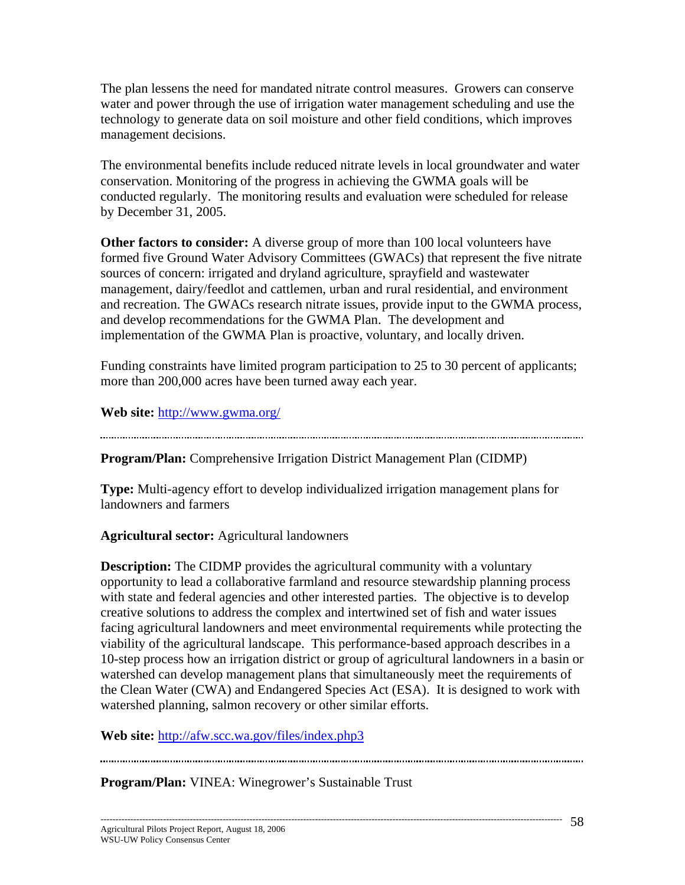The plan lessens the need for mandated nitrate control measures. Growers can conserve water and power through the use of irrigation water management scheduling and use the technology to generate data on soil moisture and other field conditions, which improves management decisions.

The environmental benefits include reduced nitrate levels in local groundwater and water conservation. Monitoring of the progress in achieving the GWMA goals will be conducted regularly. The monitoring results and evaluation were scheduled for release by December 31, 2005.

**Other factors to consider:** A diverse group of more than 100 local volunteers have formed five Ground Water Advisory Committees (GWACs) that represent the five nitrate sources of concern: irrigated and dryland agriculture, sprayfield and wastewater management, dairy/feedlot and cattlemen, urban and rural residential, and environment and recreation. The GWACs research nitrate issues, provide input to the GWMA process, and develop recommendations for the GWMA Plan. The development and implementation of the GWMA Plan is proactive, voluntary, and locally driven.

Funding constraints have limited program participation to 25 to 30 percent of applicants; more than 200,000 acres have been turned away each year.

**Web site:** http://www.gwma.org/

**Program/Plan:** Comprehensive Irrigation District Management Plan (CIDMP)

**Type:** Multi-agency effort to develop individualized irrigation management plans for landowners and farmers

**Agricultural sector:** Agricultural landowners

**Description:** The CIDMP provides the agricultural community with a voluntary opportunity to lead a collaborative farmland and resource stewardship planning process with state and federal agencies and other interested parties. The objective is to develop creative solutions to address the complex and intertwined set of fish and water issues facing agricultural landowners and meet environmental requirements while protecting the viability of the agricultural landscape. This performance-based approach describes in a 10-step process how an irrigation district or group of agricultural landowners in a basin or watershed can develop management plans that simultaneously meet the requirements of the Clean Water (CWA) and Endangered Species Act (ESA). It is designed to work with watershed planning, salmon recovery or other similar efforts.

**Web site:** http://afw.scc.wa.gov/files/index.php3

**Program/Plan:** VINEA: Winegrower's Sustainable Trust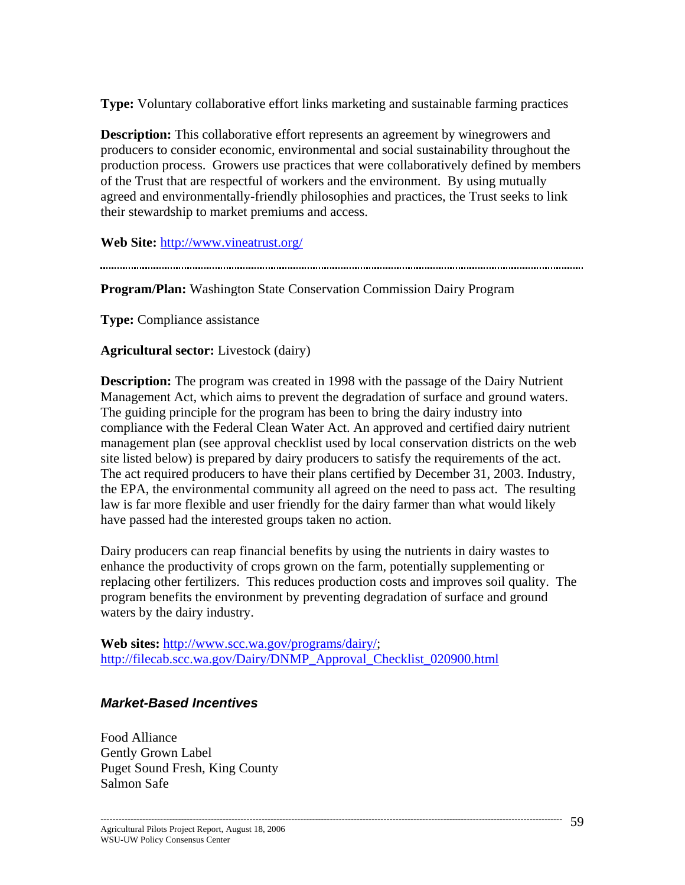**Type:** Voluntary collaborative effort links marketing and sustainable farming practices

**Description:** This collaborative effort represents an agreement by winegrowers and producers to consider economic, environmental and social sustainability throughout the production process. Growers use practices that were collaboratively defined by members of the Trust that are respectful of workers and the environment. By using mutually agreed and environmentally-friendly philosophies and practices, the Trust seeks to link their stewardship to market premiums and access.

**Web Site:** http://www.vineatrust.org/

**Program/Plan:** Washington State Conservation Commission Dairy Program

**Type:** Compliance assistance

**Agricultural sector:** Livestock (dairy)

**Description:** The program was created in 1998 with the passage of the Dairy Nutrient Management Act, which aims to prevent the degradation of surface and ground waters. The guiding principle for the program has been to bring the dairy industry into compliance with the Federal Clean Water Act. An approved and certified dairy nutrient management plan (see approval checklist used by local conservation districts on the web site listed below) is prepared by dairy producers to satisfy the requirements of the act. The act required producers to have their plans certified by December 31, 2003. Industry, the EPA, the environmental community all agreed on the need to pass act. The resulting law is far more flexible and user friendly for the dairy farmer than what would likely have passed had the interested groups taken no action.

Dairy producers can reap financial benefits by using the nutrients in dairy wastes to enhance the productivity of crops grown on the farm, potentially supplementing or replacing other fertilizers. This reduces production costs and improves soil quality. The program benefits the environment by preventing degradation of surface and ground waters by the dairy industry.

**Web sites:** http://www.scc.wa.gov/programs/dairy/; http://filecab.scc.wa.gov/Dairy/DNMP\_Approval\_Checklist\_020900.html

# *Market-Based Incentives*

Food Alliance Gently Grown Label Puget Sound Fresh, King County Salmon Safe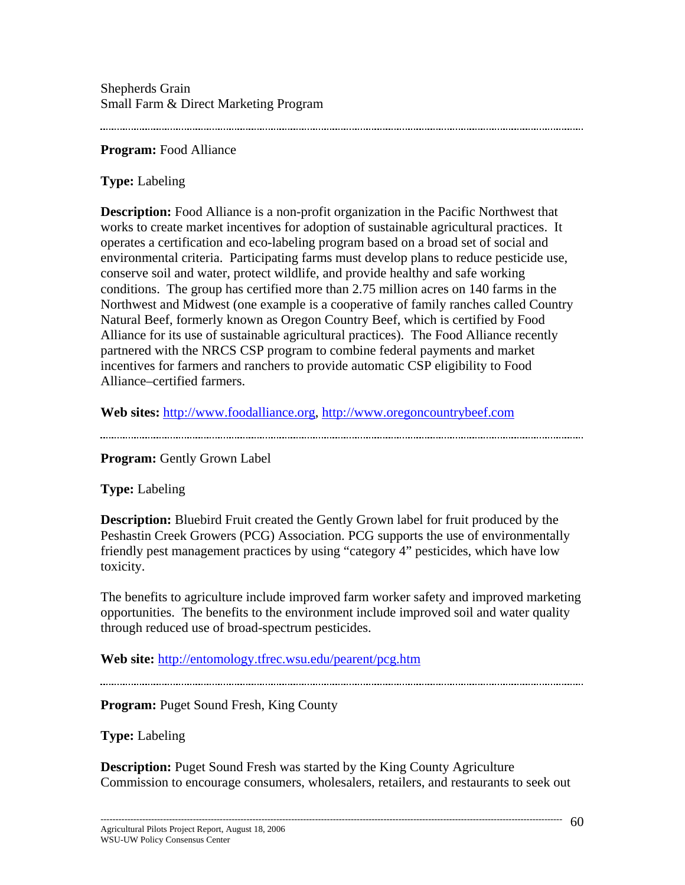Shepherds Grain Small Farm & Direct Marketing Program

**Program:** Food Alliance

**Type:** Labeling

**Description:** Food Alliance is a non-profit organization in the Pacific Northwest that works to create market incentives for adoption of sustainable agricultural practices. It operates a certification and eco-labeling program based on a broad set of social and environmental criteria. Participating farms must develop plans to reduce pesticide use, conserve soil and water, protect wildlife, and provide healthy and safe working conditions. The group has certified more than 2.75 million acres on 140 farms in the Northwest and Midwest (one example is a cooperative of family ranches called Country Natural Beef, formerly known as Oregon Country Beef, which is certified by Food Alliance for its use of sustainable agricultural practices). The Food Alliance recently partnered with the NRCS CSP program to combine federal payments and market incentives for farmers and ranchers to provide automatic CSP eligibility to Food Alliance–certified farmers.

**Web sites:** http://www.foodalliance.org, http://www.oregoncountrybeef.com

**Program:** Gently Grown Label

**Type:** Labeling

**Description:** Bluebird Fruit created the Gently Grown label for fruit produced by the Peshastin Creek Growers (PCG) Association. PCG supports the use of environmentally friendly pest management practices by using "category 4" pesticides, which have low toxicity.

The benefits to agriculture include improved farm worker safety and improved marketing opportunities. The benefits to the environment include improved soil and water quality through reduced use of broad-spectrum pesticides.

**Web site:** http://entomology.tfrec.wsu.edu/pearent/pcg.htm

**Program: Puget Sound Fresh, King County** 

**Type:** Labeling

**Description:** Puget Sound Fresh was started by the King County Agriculture Commission to encourage consumers, wholesalers, retailers, and restaurants to seek out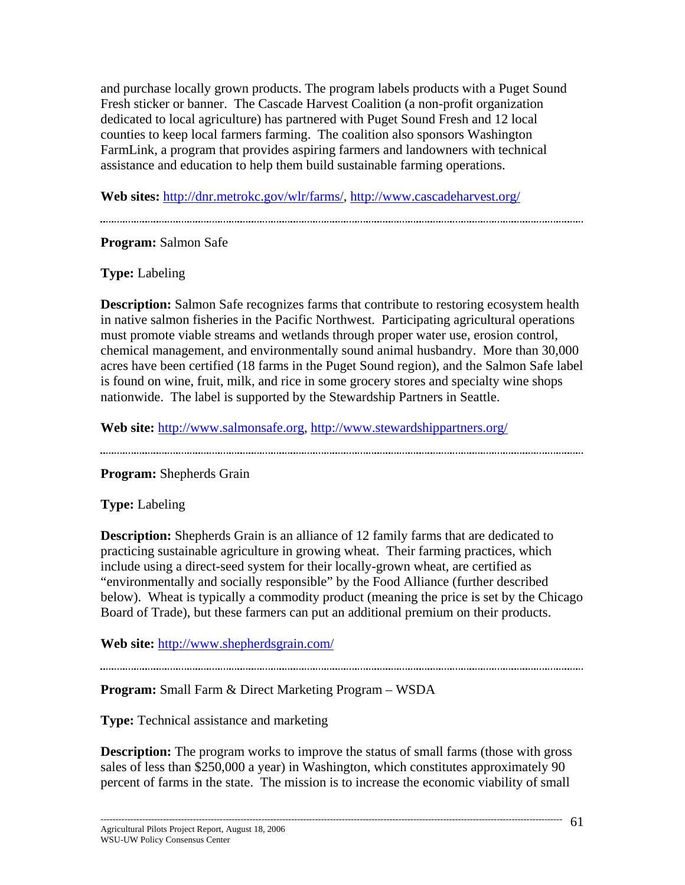and purchase locally grown products. The program labels products with a Puget Sound Fresh sticker or banner. The Cascade Harvest Coalition (a non-profit organization dedicated to local agriculture) has partnered with Puget Sound Fresh and 12 local counties to keep local farmers farming. The coalition also sponsors Washington FarmLink, a program that provides aspiring farmers and landowners with technical assistance and education to help them build sustainable farming operations.

**Web sites:** http://dnr.metrokc.gov/wlr/farms/, http://www.cascadeharvest.org/

## **Program:** Salmon Safe

**Type:** Labeling

**Description:** Salmon Safe recognizes farms that contribute to restoring ecosystem health in native salmon fisheries in the Pacific Northwest. Participating agricultural operations must promote viable streams and wetlands through proper water use, erosion control, chemical management, and environmentally sound animal husbandry. More than 30,000 acres have been certified (18 farms in the Puget Sound region), and the Salmon Safe label is found on wine, fruit, milk, and rice in some grocery stores and specialty wine shops nationwide. The label is supported by the Stewardship Partners in Seattle.

**Web site:** http://www.salmonsafe.org, http://www.stewardshippartners.org/

**Program:** Shepherds Grain

**Type:** Labeling

**Description:** Shepherds Grain is an alliance of 12 family farms that are dedicated to practicing sustainable agriculture in growing wheat. Their farming practices, which include using a direct-seed system for their locally-grown wheat, are certified as "environmentally and socially responsible" by the Food Alliance (further described below). Wheat is typically a commodity product (meaning the price is set by the Chicago Board of Trade), but these farmers can put an additional premium on their products.

**Web site:** http://www.shepherdsgrain.com/

**Program:** Small Farm & Direct Marketing Program – WSDA

**Type:** Technical assistance and marketing

**Description:** The program works to improve the status of small farms (those with gross sales of less than \$250,000 a year) in Washington, which constitutes approximately 90 percent of farms in the state. The mission is to increase the economic viability of small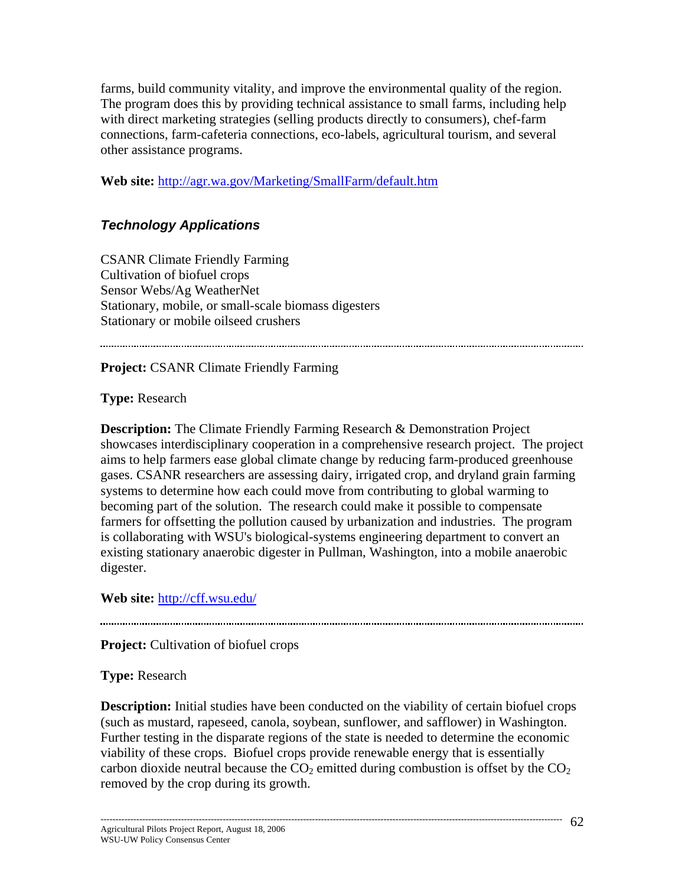farms, build community vitality, and improve the environmental quality of the region. The program does this by providing technical assistance to small farms, including help with direct marketing strategies (selling products directly to consumers), chef-farm connections, farm-cafeteria connections, eco-labels, agricultural tourism, and several other assistance programs.

**Web site:** http://agr.wa.gov/Marketing/SmallFarm/default.htm

# *Technology Applications*

CSANR Climate Friendly Farming Cultivation of biofuel crops Sensor Webs/Ag WeatherNet Stationary, mobile, or small-scale biomass digesters Stationary or mobile oilseed crushers

**Project:** CSANR Climate Friendly Farming

**Type:** Research

**Description:** The Climate Friendly Farming Research & Demonstration Project showcases interdisciplinary cooperation in a comprehensive research project. The project aims to help farmers ease global climate change by reducing farm-produced greenhouse gases. CSANR researchers are assessing dairy, irrigated crop, and dryland grain farming systems to determine how each could move from contributing to global warming to becoming part of the solution. The research could make it possible to compensate farmers for offsetting the pollution caused by urbanization and industries. The program is collaborating with WSU's biological-systems engineering department to convert an existing stationary anaerobic digester in Pullman, Washington, into a mobile anaerobic digester.

**Web site:** http://cff.wsu.edu/

**Project:** Cultivation of biofuel crops

**Type:** Research

**Description:** Initial studies have been conducted on the viability of certain biofuel crops (such as mustard, rapeseed, canola, soybean, sunflower, and safflower) in Washington. Further testing in the disparate regions of the state is needed to determine the economic viability of these crops. Biofuel crops provide renewable energy that is essentially carbon dioxide neutral because the  $CO<sub>2</sub>$  emitted during combustion is offset by the  $CO<sub>2</sub>$ removed by the crop during its growth.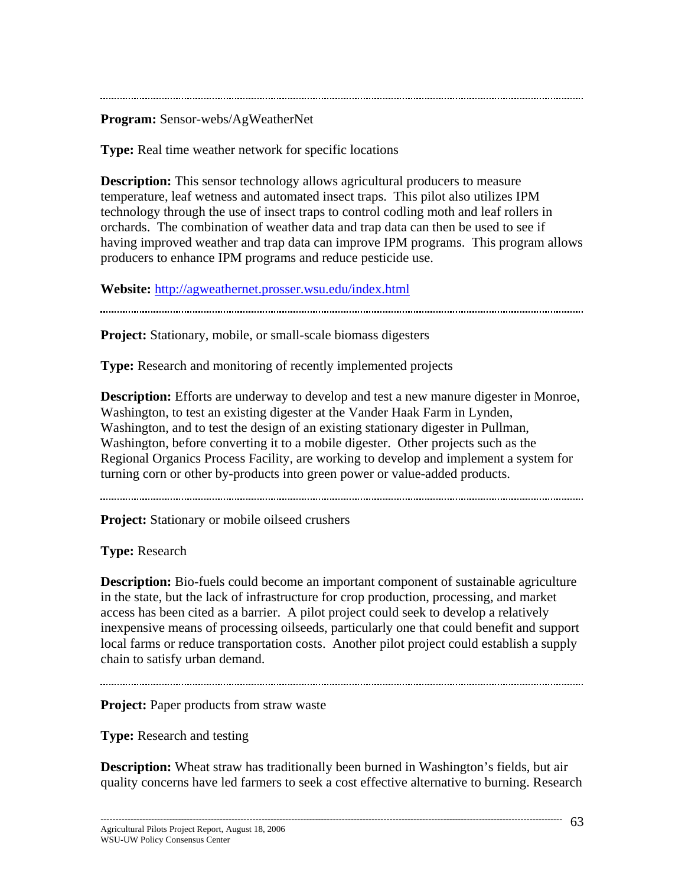**Program:** Sensor-webs/AgWeatherNet

**Type:** Real time weather network for specific locations

**Description:** This sensor technology allows agricultural producers to measure temperature, leaf wetness and automated insect traps. This pilot also utilizes IPM technology through the use of insect traps to control codling moth and leaf rollers in orchards. The combination of weather data and trap data can then be used to see if having improved weather and trap data can improve IPM programs. This program allows producers to enhance IPM programs and reduce pesticide use.

**Website:** http://agweathernet.prosser.wsu.edu/index.html

**Project:** Stationary, mobile, or small-scale biomass digesters

**Type:** Research and monitoring of recently implemented projects

**Description:** Efforts are underway to develop and test a new manure digester in Monroe, Washington, to test an existing digester at the Vander Haak Farm in Lynden, Washington, and to test the design of an existing stationary digester in Pullman, Washington, before converting it to a mobile digester. Other projects such as the Regional Organics Process Facility, are working to develop and implement a system for turning corn or other by-products into green power or value-added products.

**Project:** Stationary or mobile oilseed crushers

**Type:** Research

**Description:** Bio-fuels could become an important component of sustainable agriculture in the state, but the lack of infrastructure for crop production, processing, and market access has been cited as a barrier. A pilot project could seek to develop a relatively inexpensive means of processing oilseeds, particularly one that could benefit and support local farms or reduce transportation costs. Another pilot project could establish a supply chain to satisfy urban demand.

**Project:** Paper products from straw waste

**Type:** Research and testing

**Description:** Wheat straw has traditionally been burned in Washington's fields, but air quality concerns have led farmers to seek a cost effective alternative to burning. Research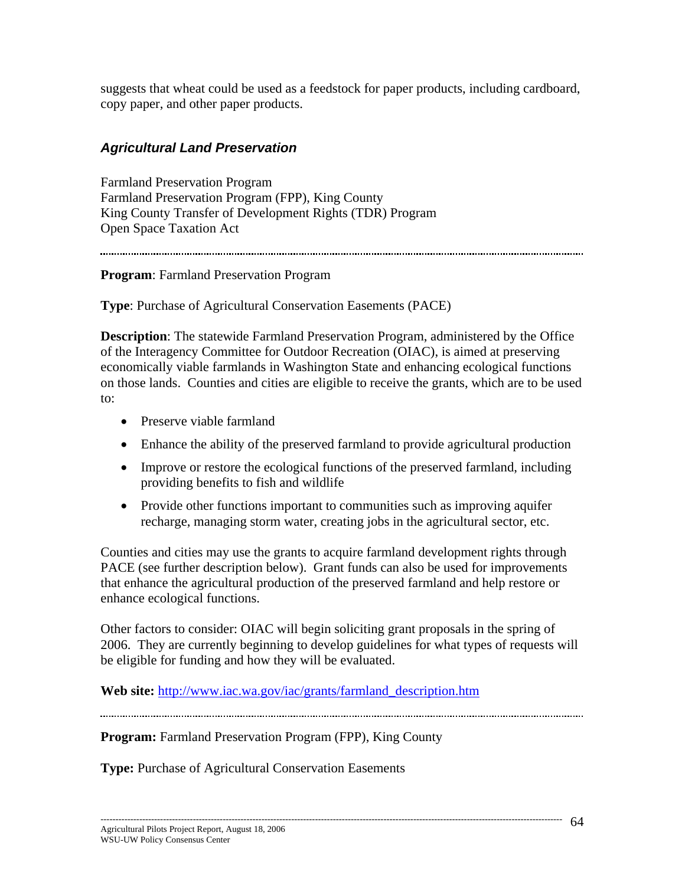suggests that wheat could be used as a feedstock for paper products, including cardboard, copy paper, and other paper products.

## *Agricultural Land Preservation*

Farmland Preservation Program Farmland Preservation Program (FPP), King County King County Transfer of Development Rights (TDR) Program Open Space Taxation Act

#### **Program**: Farmland Preservation Program

**Type**: Purchase of Agricultural Conservation Easements (PACE)

**Description**: The statewide Farmland Preservation Program, administered by the Office of the Interagency Committee for Outdoor Recreation (OIAC), is aimed at preserving economically viable farmlands in Washington State and enhancing ecological functions on those lands. Counties and cities are eligible to receive the grants, which are to be used to:

- Preserve viable farmland
- Enhance the ability of the preserved farmland to provide agricultural production
- Improve or restore the ecological functions of the preserved farmland, including providing benefits to fish and wildlife
- Provide other functions important to communities such as improving aquifer recharge, managing storm water, creating jobs in the agricultural sector, etc.

Counties and cities may use the grants to acquire farmland development rights through PACE (see further description below). Grant funds can also be used for improvements that enhance the agricultural production of the preserved farmland and help restore or enhance ecological functions.

Other factors to consider: OIAC will begin soliciting grant proposals in the spring of 2006. They are currently beginning to develop guidelines for what types of requests will be eligible for funding and how they will be evaluated.

**Web site:** http://www.iac.wa.gov/iac/grants/farmland\_description.htm

**Program:** Farmland Preservation Program (FPP), King County

**Type:** Purchase of Agricultural Conservation Easements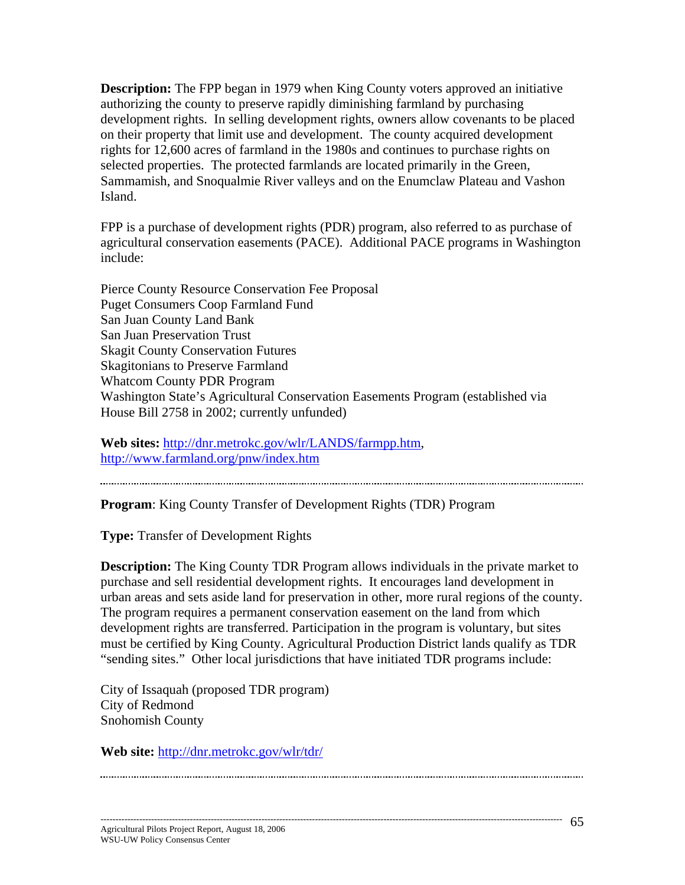**Description:** The FPP began in 1979 when King County voters approved an initiative authorizing the county to preserve rapidly diminishing farmland by purchasing development rights. In selling development rights, owners allow covenants to be placed on their property that limit use and development. The county acquired development rights for 12,600 acres of farmland in the 1980s and continues to purchase rights on selected properties. The protected farmlands are located primarily in the Green, Sammamish, and Snoqualmie River valleys and on the Enumclaw Plateau and Vashon Island.

FPP is a purchase of development rights (PDR) program, also referred to as purchase of agricultural conservation easements (PACE). Additional PACE programs in Washington include:

Pierce County Resource Conservation Fee Proposal Puget Consumers Coop Farmland Fund San Juan County Land Bank San Juan Preservation Trust Skagit County Conservation Futures Skagitonians to Preserve Farmland Whatcom County PDR Program Washington State's Agricultural Conservation Easements Program (established via House Bill 2758 in 2002; currently unfunded)

**Web sites:** http://dnr.metrokc.gov/wlr/LANDS/farmpp.htm, http://www.farmland.org/pnw/index.htm

**Program**: King County Transfer of Development Rights (TDR) Program

**Type:** Transfer of Development Rights

**Description:** The King County TDR Program allows individuals in the private market to purchase and sell residential development rights. It encourages land development in urban areas and sets aside land for preservation in other, more rural regions of the county. The program requires a permanent conservation easement on the land from which development rights are transferred. Participation in the program is voluntary, but sites must be certified by King County. Agricultural Production District lands qualify as TDR "sending sites." Other local jurisdictions that have initiated TDR programs include:

City of Issaquah (proposed TDR program) City of Redmond Snohomish County

**Web site:** http://dnr.metrokc.gov/wlr/tdr/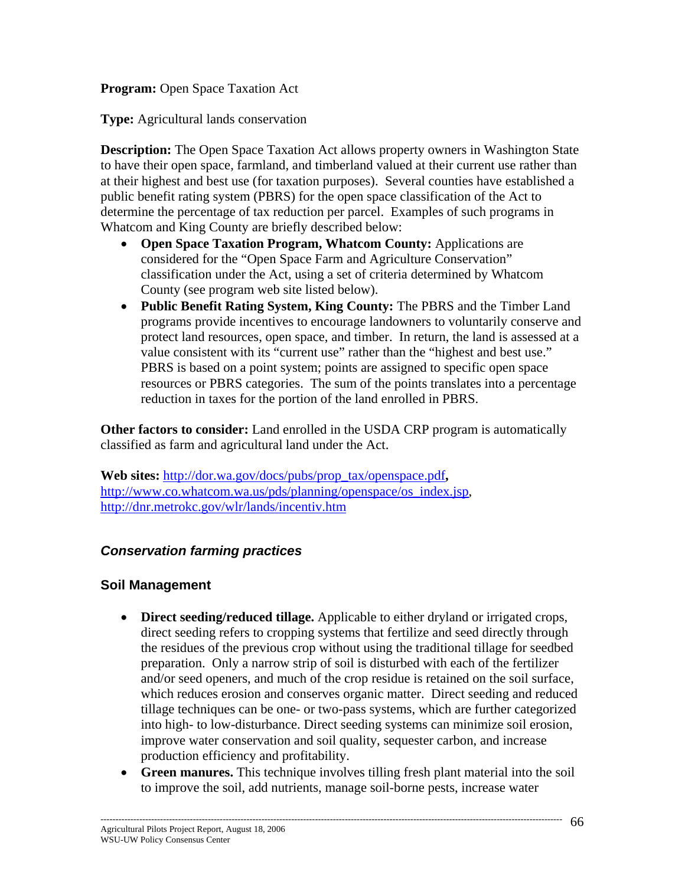**Program:** Open Space Taxation Act

**Type:** Agricultural lands conservation

**Description:** The Open Space Taxation Act allows property owners in Washington State to have their open space, farmland, and timberland valued at their current use rather than at their highest and best use (for taxation purposes). Several counties have established a public benefit rating system (PBRS) for the open space classification of the Act to determine the percentage of tax reduction per parcel. Examples of such programs in Whatcom and King County are briefly described below:

- **Open Space Taxation Program, Whatcom County:** Applications are considered for the "Open Space Farm and Agriculture Conservation" classification under the Act, using a set of criteria determined by Whatcom County (see program web site listed below).
- **Public Benefit Rating System, King County:** The PBRS and the Timber Land programs provide incentives to encourage landowners to voluntarily conserve and protect land resources, open space, and timber. In return, the land is assessed at a value consistent with its "current use" rather than the "highest and best use." PBRS is based on a point system; points are assigned to specific open space resources or PBRS categories. The sum of the points translates into a percentage reduction in taxes for the portion of the land enrolled in PBRS.

**Other factors to consider:** Land enrolled in the USDA CRP program is automatically classified as farm and agricultural land under the Act.

**Web sites:** http://dor.wa.gov/docs/pubs/prop\_tax/openspace.pdf**,**  http://www.co.whatcom.wa.us/pds/planning/openspace/os\_index.jsp, http://dnr.metrokc.gov/wlr/lands/incentiv.htm

# *Conservation farming practices*

#### **Soil Management**

- **Direct seeding/reduced tillage.** Applicable to either dryland or irrigated crops, direct seeding refers to cropping systems that fertilize and seed directly through the residues of the previous crop without using the traditional tillage for seedbed preparation. Only a narrow strip of soil is disturbed with each of the fertilizer and/or seed openers, and much of the crop residue is retained on the soil surface, which reduces erosion and conserves organic matter. Direct seeding and reduced tillage techniques can be one- or two-pass systems, which are further categorized into high- to low-disturbance. Direct seeding systems can minimize soil erosion, improve water conservation and soil quality, sequester carbon, and increase production efficiency and profitability.
- **Green manures.** This technique involves tilling fresh plant material into the soil to improve the soil, add nutrients, manage soil-borne pests, increase water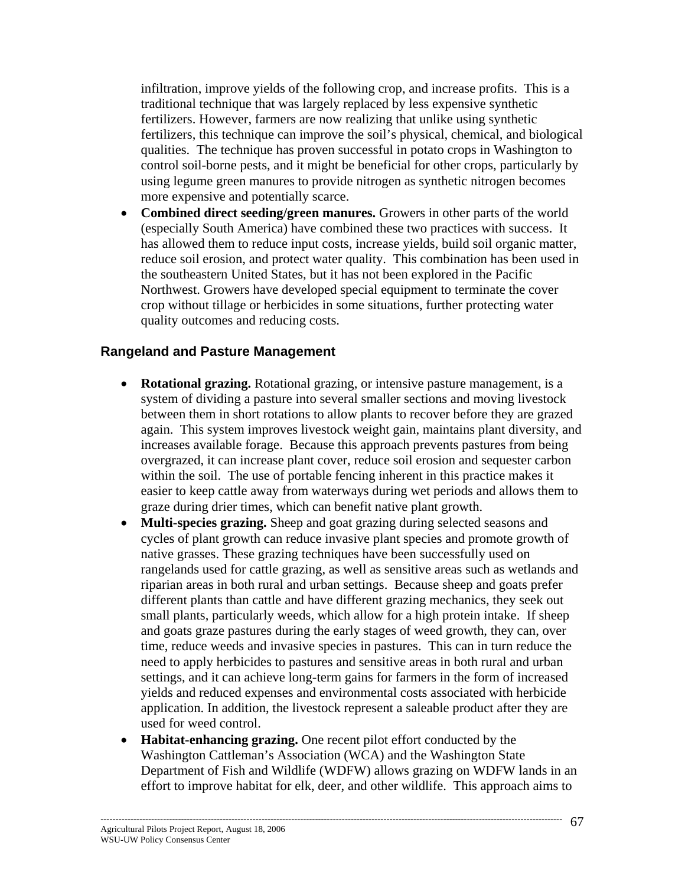infiltration, improve yields of the following crop, and increase profits. This is a traditional technique that was largely replaced by less expensive synthetic fertilizers. However, farmers are now realizing that unlike using synthetic fertilizers, this technique can improve the soil's physical, chemical, and biological qualities. The technique has proven successful in potato crops in Washington to control soil-borne pests, and it might be beneficial for other crops, particularly by using legume green manures to provide nitrogen as synthetic nitrogen becomes more expensive and potentially scarce.

• **Combined direct seeding/green manures.** Growers in other parts of the world (especially South America) have combined these two practices with success. It has allowed them to reduce input costs, increase yields, build soil organic matter, reduce soil erosion, and protect water quality. This combination has been used in the southeastern United States, but it has not been explored in the Pacific Northwest. Growers have developed special equipment to terminate the cover crop without tillage or herbicides in some situations, further protecting water quality outcomes and reducing costs.

#### **Rangeland and Pasture Management**

- **Rotational grazing.** Rotational grazing, or intensive pasture management, is a system of dividing a pasture into several smaller sections and moving livestock between them in short rotations to allow plants to recover before they are grazed again. This system improves livestock weight gain, maintains plant diversity, and increases available forage. Because this approach prevents pastures from being overgrazed, it can increase plant cover, reduce soil erosion and sequester carbon within the soil. The use of portable fencing inherent in this practice makes it easier to keep cattle away from waterways during wet periods and allows them to graze during drier times, which can benefit native plant growth.
- **Multi-species grazing.** Sheep and goat grazing during selected seasons and cycles of plant growth can reduce invasive plant species and promote growth of native grasses. These grazing techniques have been successfully used on rangelands used for cattle grazing, as well as sensitive areas such as wetlands and riparian areas in both rural and urban settings. Because sheep and goats prefer different plants than cattle and have different grazing mechanics, they seek out small plants, particularly weeds, which allow for a high protein intake. If sheep and goats graze pastures during the early stages of weed growth, they can, over time, reduce weeds and invasive species in pastures. This can in turn reduce the need to apply herbicides to pastures and sensitive areas in both rural and urban settings, and it can achieve long-term gains for farmers in the form of increased yields and reduced expenses and environmental costs associated with herbicide application. In addition, the livestock represent a saleable product after they are used for weed control.
- **Habitat-enhancing grazing.** One recent pilot effort conducted by the Washington Cattleman's Association (WCA) and the Washington State Department of Fish and Wildlife (WDFW) allows grazing on WDFW lands in an effort to improve habitat for elk, deer, and other wildlife. This approach aims to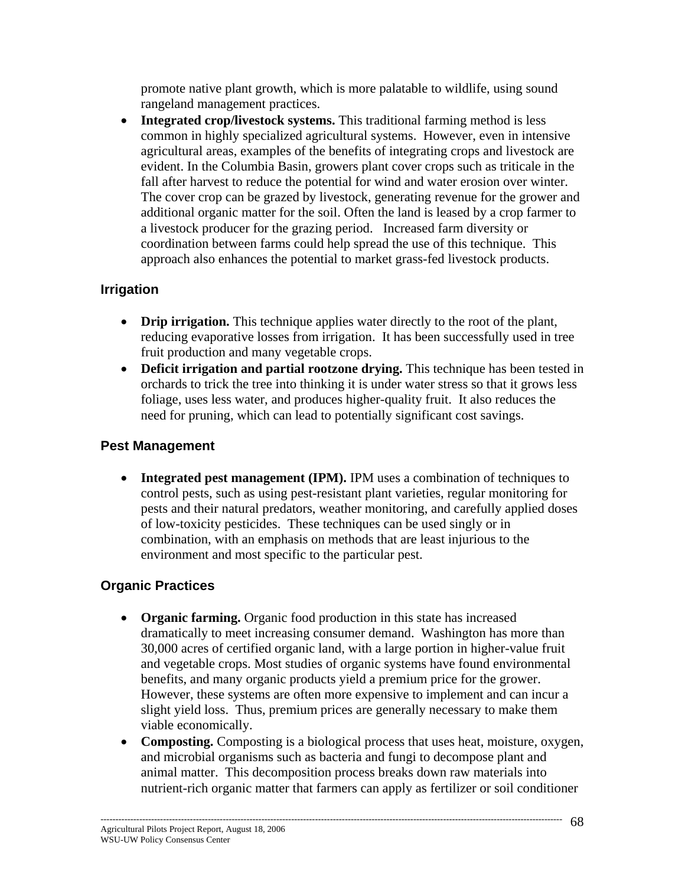promote native plant growth, which is more palatable to wildlife, using sound rangeland management practices.

• **Integrated crop/livestock systems.** This traditional farming method is less common in highly specialized agricultural systems. However, even in intensive agricultural areas, examples of the benefits of integrating crops and livestock are evident. In the Columbia Basin, growers plant cover crops such as triticale in the fall after harvest to reduce the potential for wind and water erosion over winter. The cover crop can be grazed by livestock, generating revenue for the grower and additional organic matter for the soil. Often the land is leased by a crop farmer to a livestock producer for the grazing period. Increased farm diversity or coordination between farms could help spread the use of this technique. This approach also enhances the potential to market grass-fed livestock products.

## **Irrigation**

- **Drip irrigation.** This technique applies water directly to the root of the plant, reducing evaporative losses from irrigation. It has been successfully used in tree fruit production and many vegetable crops.
- **Deficit irrigation and partial rootzone drying.** This technique has been tested in orchards to trick the tree into thinking it is under water stress so that it grows less foliage, uses less water, and produces higher-quality fruit. It also reduces the need for pruning, which can lead to potentially significant cost savings.

#### **Pest Management**

• **Integrated pest management (IPM).** IPM uses a combination of techniques to control pests, such as using pest-resistant plant varieties, regular monitoring for pests and their natural predators, weather monitoring, and carefully applied doses of low-toxicity pesticides. These techniques can be used singly or in combination, with an emphasis on methods that are least injurious to the environment and most specific to the particular pest.

# **Organic Practices**

- **Organic farming.** Organic food production in this state has increased dramatically to meet increasing consumer demand. Washington has more than 30,000 acres of certified organic land, with a large portion in higher-value fruit and vegetable crops. Most studies of organic systems have found environmental benefits, and many organic products yield a premium price for the grower. However, these systems are often more expensive to implement and can incur a slight yield loss. Thus, premium prices are generally necessary to make them viable economically.
- **Composting.** Composting is a biological process that uses heat, moisture, oxygen, and microbial organisms such as bacteria and fungi to decompose plant and animal matter. This decomposition process breaks down raw materials into nutrient-rich organic matter that farmers can apply as fertilizer or soil conditioner